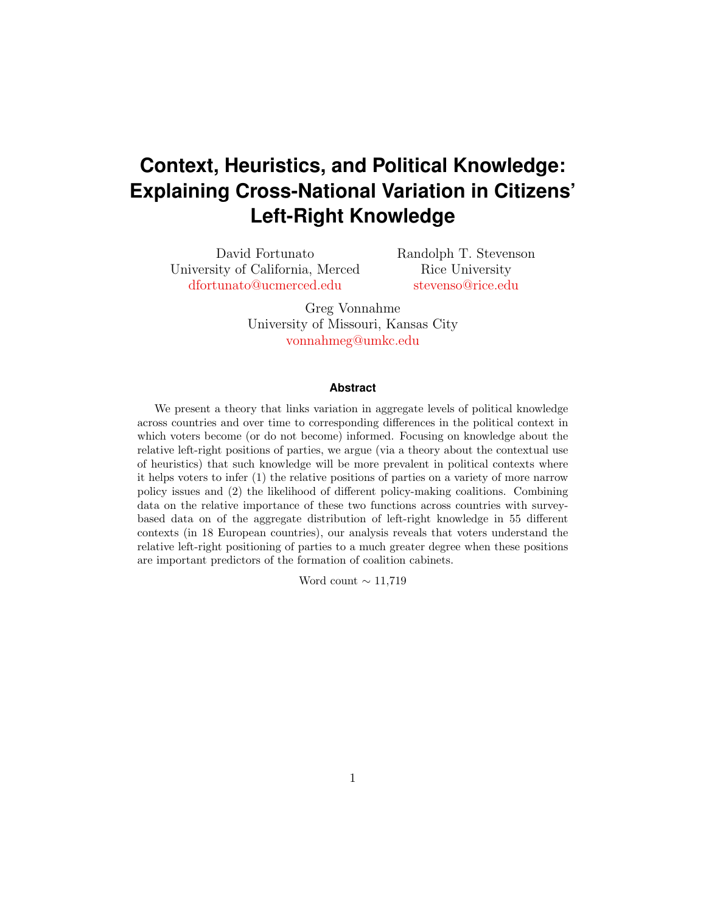# **Context, Heuristics, and Political Knowledge: Explaining Cross-National Variation in Citizens' Left-Right Knowledge**

David Fortunato University of California, Merced <dfortunato@ucmerced.edu>

Randolph T. Stevenson Rice University <stevenso@rice.edu>

Greg Vonnahme University of Missouri, Kansas City <vonnahmeg@umkc.edu>

#### **Abstract**

We present a theory that links variation in aggregate levels of political knowledge across countries and over time to corresponding differences in the political context in which voters become (or do not become) informed. Focusing on knowledge about the relative left-right positions of parties, we argue (via a theory about the contextual use of heuristics) that such knowledge will be more prevalent in political contexts where it helps voters to infer (1) the relative positions of parties on a variety of more narrow policy issues and (2) the likelihood of different policy-making coalitions. Combining data on the relative importance of these two functions across countries with surveybased data on of the aggregate distribution of left-right knowledge in 55 different contexts (in 18 European countries), our analysis reveals that voters understand the relative left-right positioning of parties to a much greater degree when these positions are important predictors of the formation of coalition cabinets.

Word count  $\sim$  11,719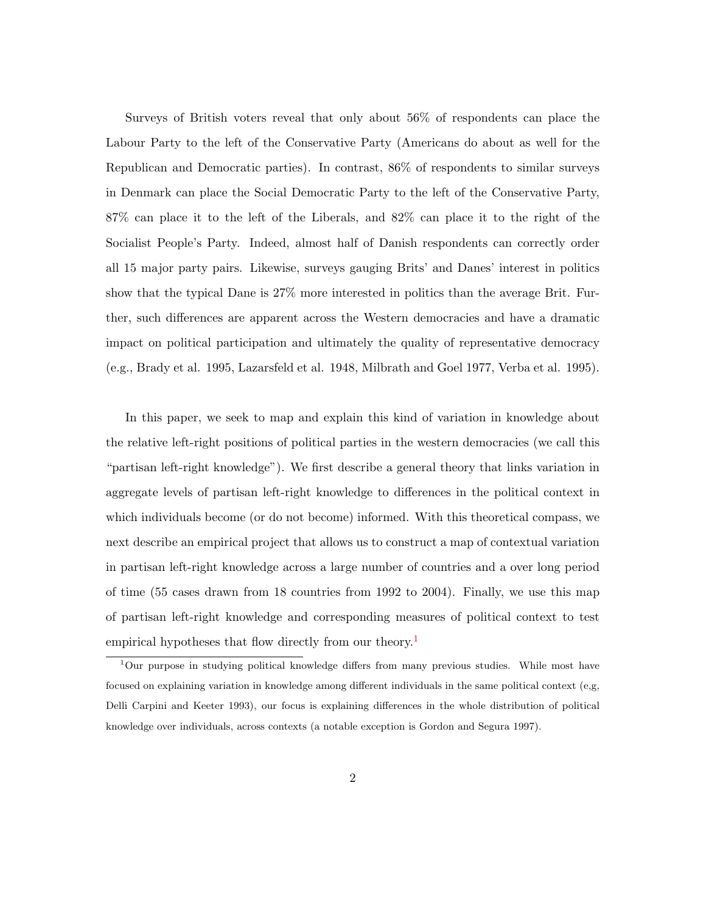Surveys of British voters reveal that only about 56% of respondents can place the Labour Party to the left of the Conservative Party (Americans do about as well for the Republican and Democratic parties). In contrast, 86% of respondents to similar surveys in Denmark can place the Social Democratic Party to the left of the Conservative Party, 87% can place it to the left of the Liberals, and 82% can place it to the right of the Socialist People's Party. Indeed, almost half of Danish respondents can correctly order all 15 major party pairs. Likewise, surveys gauging Brits' and Danes' interest in politics show that the typical Dane is 27% more interested in politics than the average Brit. Further, such differences are apparent across the Western democracies and have a dramatic impact on political participation and ultimately the quality of representative democracy (e.g., Brady et al. 1995, Lazarsfeld et al. 1948, Milbrath and Goel 1977, Verba et al. 1995).

In this paper, we seek to map and explain this kind of variation in knowledge about the relative left-right positions of political parties in the western democracies (we call this "partisan left-right knowledge"). We first describe a general theory that links variation in aggregate levels of partisan left-right knowledge to differences in the political context in which individuals become (or do not become) informed. With this theoretical compass, we next describe an empirical project that allows us to construct a map of contextual variation in partisan left-right knowledge across a large number of countries and a over long period of time (55 cases drawn from 18 countries from 1992 to 2004). Finally, we use this map of partisan left-right knowledge and corresponding measures of political context to test empirical hypotheses that flow directly from our theory.<sup>[1](#page-1-0)</sup>

<span id="page-1-0"></span><sup>1</sup>Our purpose in studying political knowledge differs from many previous studies. While most have focused on explaining variation in knowledge among different individuals in the same political context (e,g, Delli Carpini and Keeter 1993), our focus is explaining differences in the whole distribution of political knowledge over individuals, across contexts (a notable exception is Gordon and Segura 1997).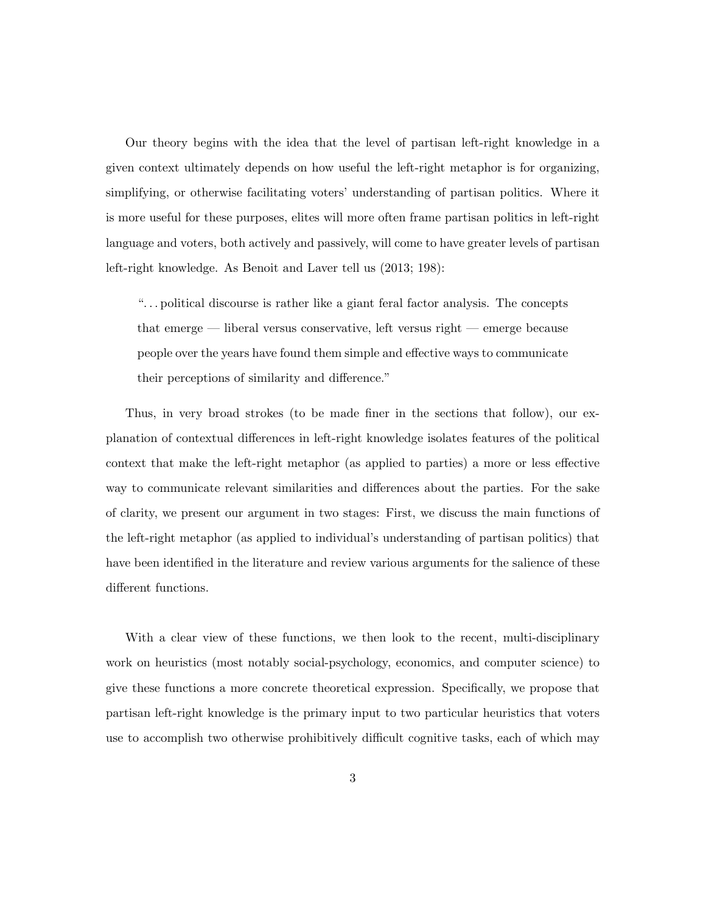Our theory begins with the idea that the level of partisan left-right knowledge in a given context ultimately depends on how useful the left-right metaphor is for organizing, simplifying, or otherwise facilitating voters' understanding of partisan politics. Where it is more useful for these purposes, elites will more often frame partisan politics in left-right language and voters, both actively and passively, will come to have greater levels of partisan left-right knowledge. As Benoit and Laver tell us (2013; 198):

". . . political discourse is rather like a giant feral factor analysis. The concepts that emerge — liberal versus conservative, left versus right — emerge because people over the years have found them simple and effective ways to communicate their perceptions of similarity and difference."

Thus, in very broad strokes (to be made finer in the sections that follow), our explanation of contextual differences in left-right knowledge isolates features of the political context that make the left-right metaphor (as applied to parties) a more or less effective way to communicate relevant similarities and differences about the parties. For the sake of clarity, we present our argument in two stages: First, we discuss the main functions of the left-right metaphor (as applied to individual's understanding of partisan politics) that have been identified in the literature and review various arguments for the salience of these different functions.

With a clear view of these functions, we then look to the recent, multi-disciplinary work on heuristics (most notably social-psychology, economics, and computer science) to give these functions a more concrete theoretical expression. Specifically, we propose that partisan left-right knowledge is the primary input to two particular heuristics that voters use to accomplish two otherwise prohibitively difficult cognitive tasks, each of which may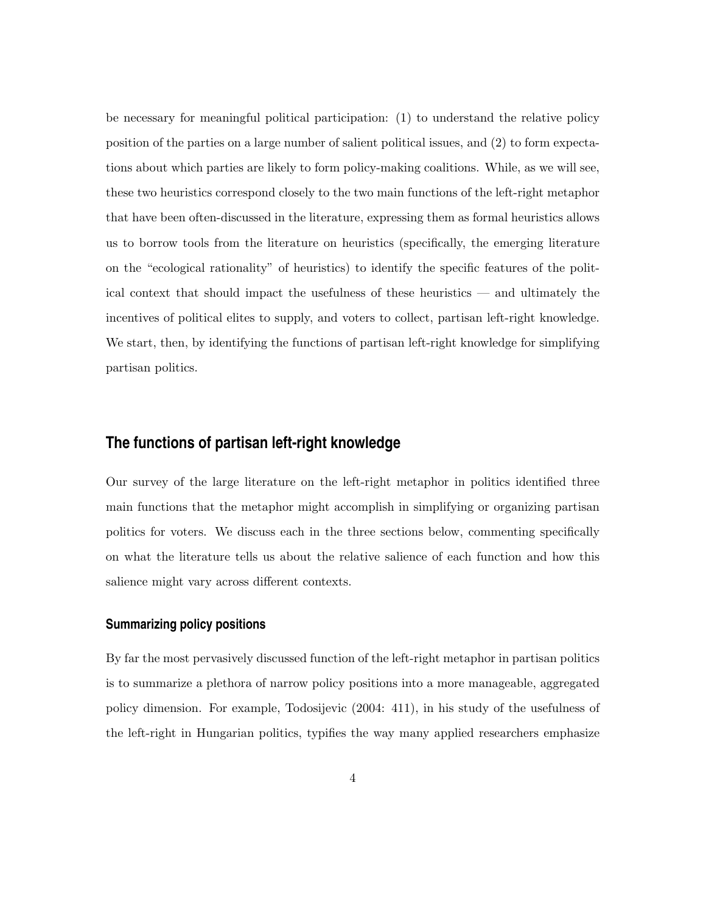be necessary for meaningful political participation: (1) to understand the relative policy position of the parties on a large number of salient political issues, and (2) to form expectations about which parties are likely to form policy-making coalitions. While, as we will see, these two heuristics correspond closely to the two main functions of the left-right metaphor that have been often-discussed in the literature, expressing them as formal heuristics allows us to borrow tools from the literature on heuristics (specifically, the emerging literature on the "ecological rationality" of heuristics) to identify the specific features of the political context that should impact the usefulness of these heuristics — and ultimately the incentives of political elites to supply, and voters to collect, partisan left-right knowledge. We start, then, by identifying the functions of partisan left-right knowledge for simplifying partisan politics.

## **The functions of partisan left-right knowledge**

Our survey of the large literature on the left-right metaphor in politics identified three main functions that the metaphor might accomplish in simplifying or organizing partisan politics for voters. We discuss each in the three sections below, commenting specifically on what the literature tells us about the relative salience of each function and how this salience might vary across different contexts.

#### **Summarizing policy positions**

By far the most pervasively discussed function of the left-right metaphor in partisan politics is to summarize a plethora of narrow policy positions into a more manageable, aggregated policy dimension. For example, Todosijevic (2004: 411), in his study of the usefulness of the left-right in Hungarian politics, typifies the way many applied researchers emphasize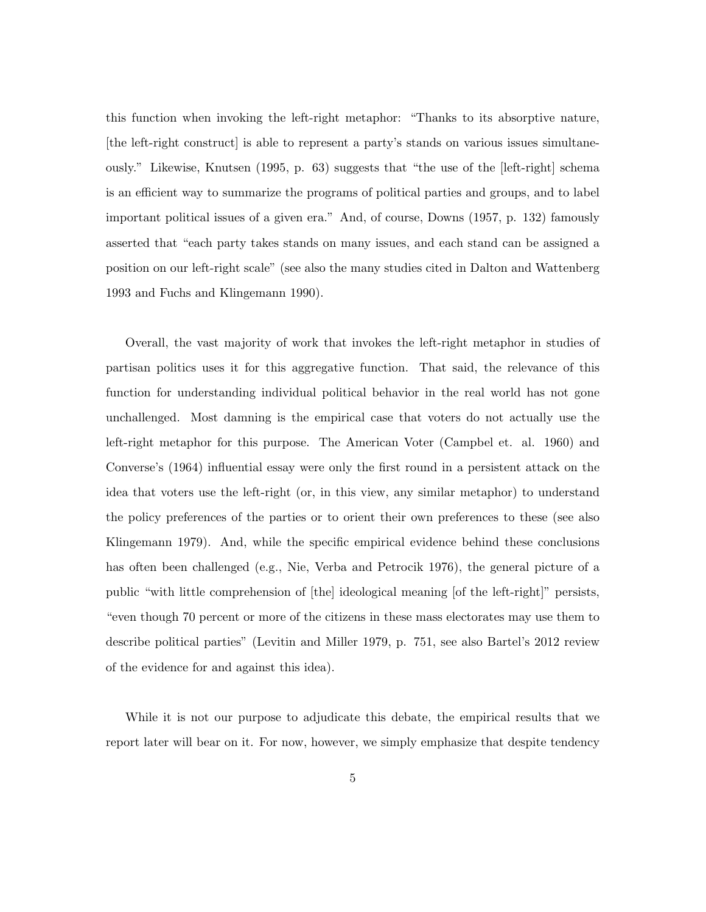this function when invoking the left-right metaphor: "Thanks to its absorptive nature, [the left-right construct] is able to represent a party's stands on various issues simultaneously." Likewise, Knutsen (1995, p. 63) suggests that "the use of the [left-right] schema is an efficient way to summarize the programs of political parties and groups, and to label important political issues of a given era." And, of course, Downs (1957, p. 132) famously asserted that "each party takes stands on many issues, and each stand can be assigned a position on our left-right scale" (see also the many studies cited in Dalton and Wattenberg 1993 and Fuchs and Klingemann 1990).

Overall, the vast majority of work that invokes the left-right metaphor in studies of partisan politics uses it for this aggregative function. That said, the relevance of this function for understanding individual political behavior in the real world has not gone unchallenged. Most damning is the empirical case that voters do not actually use the left-right metaphor for this purpose. The American Voter (Campbel et. al. 1960) and Converse's (1964) influential essay were only the first round in a persistent attack on the idea that voters use the left-right (or, in this view, any similar metaphor) to understand the policy preferences of the parties or to orient their own preferences to these (see also Klingemann 1979). And, while the specific empirical evidence behind these conclusions has often been challenged (e.g., Nie, Verba and Petrocik 1976), the general picture of a public "with little comprehension of [the] ideological meaning [of the left-right]" persists, "even though 70 percent or more of the citizens in these mass electorates may use them to describe political parties" (Levitin and Miller 1979, p. 751, see also Bartel's 2012 review of the evidence for and against this idea).

While it is not our purpose to adjudicate this debate, the empirical results that we report later will bear on it. For now, however, we simply emphasize that despite tendency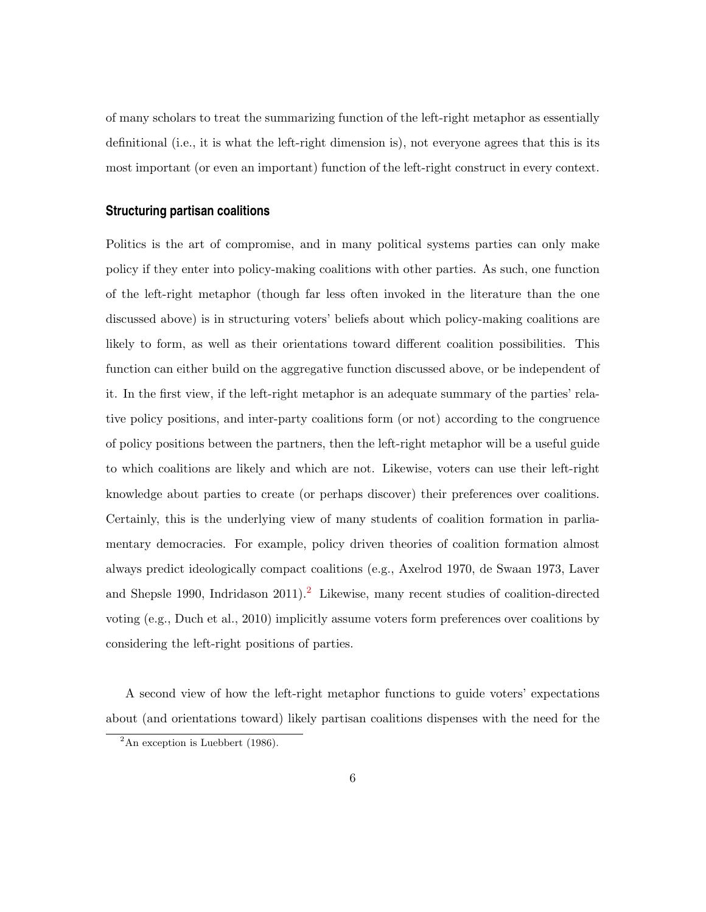of many scholars to treat the summarizing function of the left-right metaphor as essentially definitional (i.e., it is what the left-right dimension is), not everyone agrees that this is its most important (or even an important) function of the left-right construct in every context.

#### **Structuring partisan coalitions**

Politics is the art of compromise, and in many political systems parties can only make policy if they enter into policy-making coalitions with other parties. As such, one function of the left-right metaphor (though far less often invoked in the literature than the one discussed above) is in structuring voters' beliefs about which policy-making coalitions are likely to form, as well as their orientations toward different coalition possibilities. This function can either build on the aggregative function discussed above, or be independent of it. In the first view, if the left-right metaphor is an adequate summary of the parties' relative policy positions, and inter-party coalitions form (or not) according to the congruence of policy positions between the partners, then the left-right metaphor will be a useful guide to which coalitions are likely and which are not. Likewise, voters can use their left-right knowledge about parties to create (or perhaps discover) their preferences over coalitions. Certainly, this is the underlying view of many students of coalition formation in parliamentary democracies. For example, policy driven theories of coalition formation almost always predict ideologically compact coalitions (e.g., Axelrod 1970, de Swaan 1973, Laver and Shepsle 1990, Indridason [2](#page-5-0)011).<sup>2</sup> Likewise, many recent studies of coalition-directed voting (e.g., Duch et al., 2010) implicitly assume voters form preferences over coalitions by considering the left-right positions of parties.

A second view of how the left-right metaphor functions to guide voters' expectations about (and orientations toward) likely partisan coalitions dispenses with the need for the

<span id="page-5-0"></span> $2$ An exception is Luebbert (1986).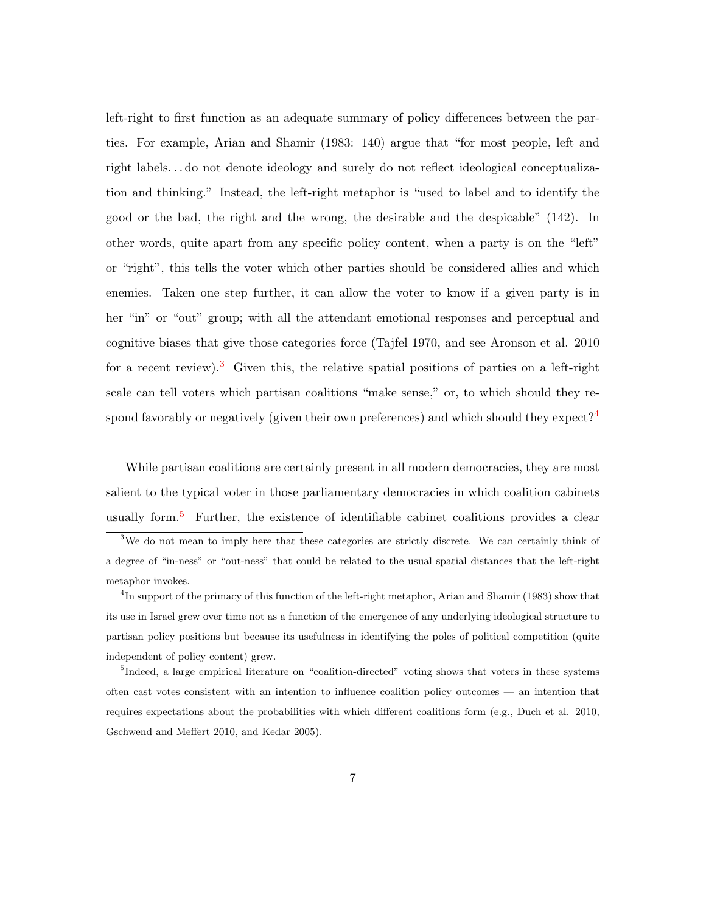left-right to first function as an adequate summary of policy differences between the parties. For example, Arian and Shamir (1983: 140) argue that "for most people, left and right labels. . . do not denote ideology and surely do not reflect ideological conceptualization and thinking." Instead, the left-right metaphor is "used to label and to identify the good or the bad, the right and the wrong, the desirable and the despicable" (142). In other words, quite apart from any specific policy content, when a party is on the "left" or "right", this tells the voter which other parties should be considered allies and which enemies. Taken one step further, it can allow the voter to know if a given party is in her "in" or "out" group; with all the attendant emotional responses and perceptual and cognitive biases that give those categories force (Tajfel 1970, and see Aronson et al. 2010 for a recent review).<sup>[3](#page-6-0)</sup> Given this, the relative spatial positions of parties on a left-right scale can tell voters which partisan coalitions "make sense," or, to which should they re-spond favorably or negatively (given their own preferences) and which should they expect?<sup>[4](#page-6-1)</sup>

While partisan coalitions are certainly present in all modern democracies, they are most salient to the typical voter in those parliamentary democracies in which coalition cabinets usually form.<sup>[5](#page-6-2)</sup> Further, the existence of identifiable cabinet coalitions provides a clear

<span id="page-6-0"></span><sup>&</sup>lt;sup>3</sup>We do not mean to imply here that these categories are strictly discrete. We can certainly think of a degree of "in-ness" or "out-ness" that could be related to the usual spatial distances that the left-right metaphor invokes.

<span id="page-6-1"></span><sup>&</sup>lt;sup>4</sup>In support of the primacy of this function of the left-right metaphor, Arian and Shamir (1983) show that its use in Israel grew over time not as a function of the emergence of any underlying ideological structure to partisan policy positions but because its usefulness in identifying the poles of political competition (quite independent of policy content) grew.

<span id="page-6-2"></span><sup>&</sup>lt;sup>5</sup>Indeed, a large empirical literature on "coalition-directed" voting shows that voters in these systems often cast votes consistent with an intention to influence coalition policy outcomes — an intention that requires expectations about the probabilities with which different coalitions form (e.g., Duch et al. 2010, Gschwend and Meffert 2010, and Kedar 2005).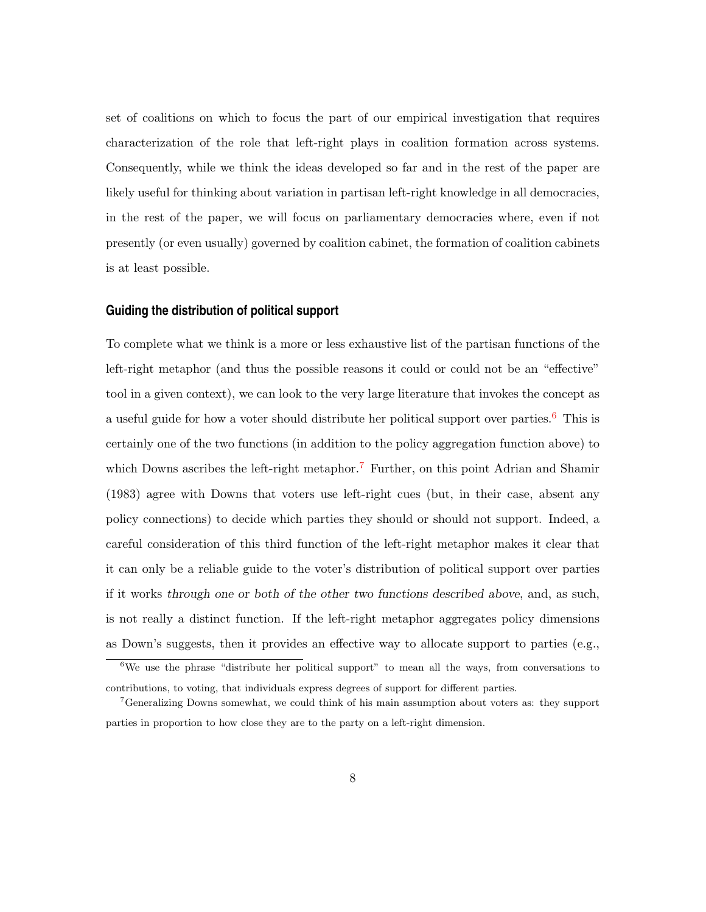set of coalitions on which to focus the part of our empirical investigation that requires characterization of the role that left-right plays in coalition formation across systems. Consequently, while we think the ideas developed so far and in the rest of the paper are likely useful for thinking about variation in partisan left-right knowledge in all democracies, in the rest of the paper, we will focus on parliamentary democracies where, even if not presently (or even usually) governed by coalition cabinet, the formation of coalition cabinets is at least possible.

#### **Guiding the distribution of political support**

To complete what we think is a more or less exhaustive list of the partisan functions of the left-right metaphor (and thus the possible reasons it could or could not be an "effective" tool in a given context), we can look to the very large literature that invokes the concept as a useful guide for how a voter should distribute her political support over parties.<sup>[6](#page-7-0)</sup> This is certainly one of the two functions (in addition to the policy aggregation function above) to which Downs ascribes the left-right metaphor.<sup>[7](#page-7-1)</sup> Further, on this point Adrian and Shamir (1983) agree with Downs that voters use left-right cues (but, in their case, absent any policy connections) to decide which parties they should or should not support. Indeed, a careful consideration of this third function of the left-right metaphor makes it clear that it can only be a reliable guide to the voter's distribution of political support over parties if it works through one or both of the other two functions described above, and, as such, is not really a distinct function. If the left-right metaphor aggregates policy dimensions as Down's suggests, then it provides an effective way to allocate support to parties (e.g.,

<span id="page-7-0"></span> $6$ We use the phrase "distribute her political support" to mean all the ways, from conversations to contributions, to voting, that individuals express degrees of support for different parties.

<span id="page-7-1"></span><sup>7</sup>Generalizing Downs somewhat, we could think of his main assumption about voters as: they support parties in proportion to how close they are to the party on a left-right dimension.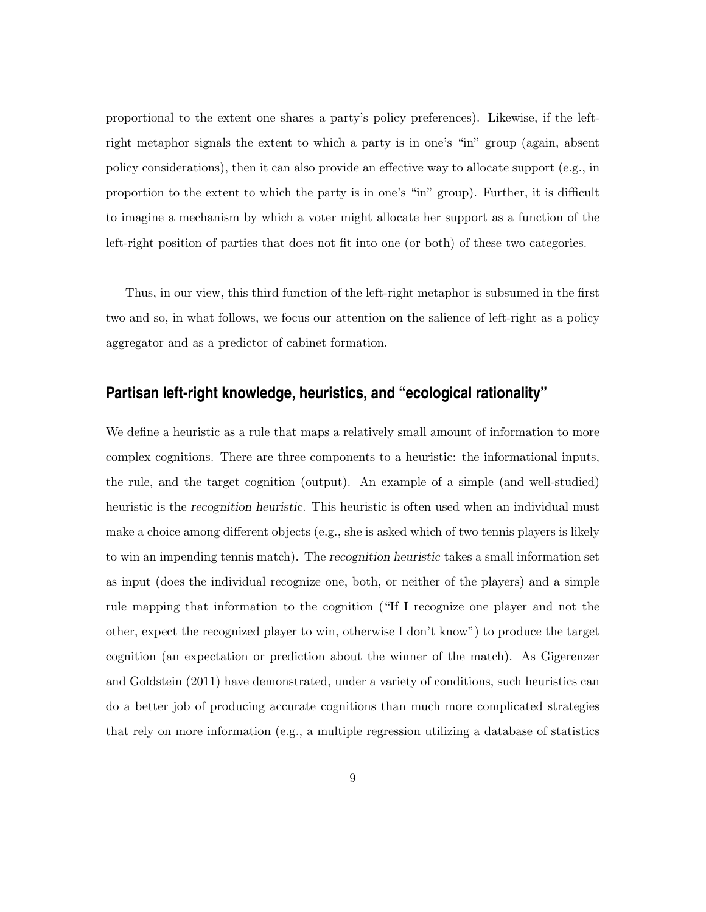proportional to the extent one shares a party's policy preferences). Likewise, if the leftright metaphor signals the extent to which a party is in one's "in" group (again, absent policy considerations), then it can also provide an effective way to allocate support (e.g., in proportion to the extent to which the party is in one's "in" group). Further, it is difficult to imagine a mechanism by which a voter might allocate her support as a function of the left-right position of parties that does not fit into one (or both) of these two categories.

Thus, in our view, this third function of the left-right metaphor is subsumed in the first two and so, in what follows, we focus our attention on the salience of left-right as a policy aggregator and as a predictor of cabinet formation.

# **Partisan left-right knowledge, heuristics, and "ecological rationality"**

We define a heuristic as a rule that maps a relatively small amount of information to more complex cognitions. There are three components to a heuristic: the informational inputs, the rule, and the target cognition (output). An example of a simple (and well-studied) heuristic is the recognition heuristic. This heuristic is often used when an individual must make a choice among different objects (e.g., she is asked which of two tennis players is likely to win an impending tennis match). The recognition heuristic takes a small information set as input (does the individual recognize one, both, or neither of the players) and a simple rule mapping that information to the cognition ("If I recognize one player and not the other, expect the recognized player to win, otherwise I don't know") to produce the target cognition (an expectation or prediction about the winner of the match). As Gigerenzer and Goldstein (2011) have demonstrated, under a variety of conditions, such heuristics can do a better job of producing accurate cognitions than much more complicated strategies that rely on more information (e.g., a multiple regression utilizing a database of statistics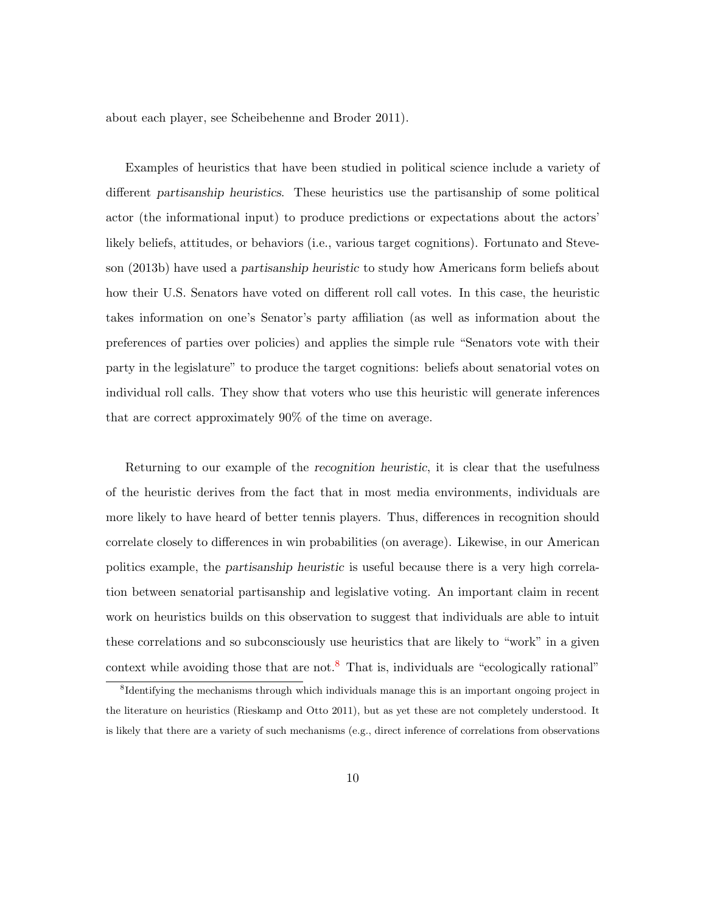about each player, see Scheibehenne and Broder 2011).

Examples of heuristics that have been studied in political science include a variety of different partisanship heuristics. These heuristics use the partisanship of some political actor (the informational input) to produce predictions or expectations about the actors' likely beliefs, attitudes, or behaviors (i.e., various target cognitions). Fortunato and Steveson (2013b) have used a partisanship heuristic to study how Americans form beliefs about how their U.S. Senators have voted on different roll call votes. In this case, the heuristic takes information on one's Senator's party affiliation (as well as information about the preferences of parties over policies) and applies the simple rule "Senators vote with their party in the legislature" to produce the target cognitions: beliefs about senatorial votes on individual roll calls. They show that voters who use this heuristic will generate inferences that are correct approximately 90% of the time on average.

Returning to our example of the recognition heuristic, it is clear that the usefulness of the heuristic derives from the fact that in most media environments, individuals are more likely to have heard of better tennis players. Thus, differences in recognition should correlate closely to differences in win probabilities (on average). Likewise, in our American politics example, the partisanship heuristic is useful because there is a very high correlation between senatorial partisanship and legislative voting. An important claim in recent work on heuristics builds on this observation to suggest that individuals are able to intuit these correlations and so subconsciously use heuristics that are likely to "work" in a given context while avoiding those that are not.<sup>[8](#page-9-0)</sup> That is, individuals are "ecologically rational"

<span id="page-9-0"></span><sup>&</sup>lt;sup>8</sup>Identifying the mechanisms through which individuals manage this is an important ongoing project in the literature on heuristics (Rieskamp and Otto 2011), but as yet these are not completely understood. It is likely that there are a variety of such mechanisms (e.g., direct inference of correlations from observations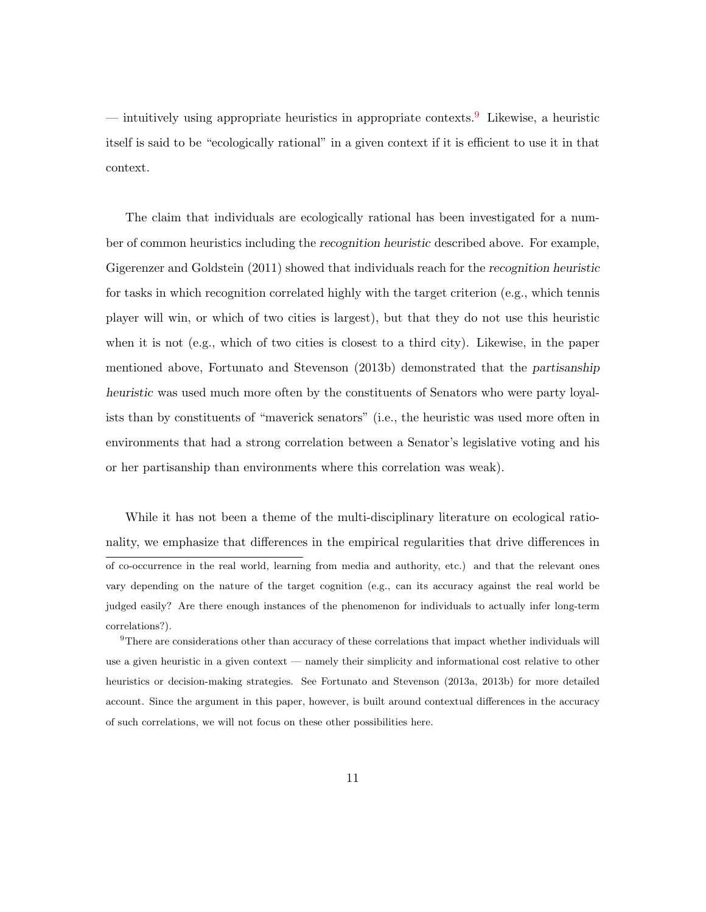— intuitively using appropriate heuristics in appropriate contexts.[9](#page-10-0) Likewise, a heuristic itself is said to be "ecologically rational" in a given context if it is efficient to use it in that context.

The claim that individuals are ecologically rational has been investigated for a number of common heuristics including the recognition heuristic described above. For example, Gigerenzer and Goldstein (2011) showed that individuals reach for the recognition heuristic for tasks in which recognition correlated highly with the target criterion (e.g., which tennis player will win, or which of two cities is largest), but that they do not use this heuristic when it is not (e.g., which of two cities is closest to a third city). Likewise, in the paper mentioned above, Fortunato and Stevenson (2013b) demonstrated that the partisanship heuristic was used much more often by the constituents of Senators who were party loyalists than by constituents of "maverick senators" (i.e., the heuristic was used more often in environments that had a strong correlation between a Senator's legislative voting and his or her partisanship than environments where this correlation was weak).

While it has not been a theme of the multi-disciplinary literature on ecological rationality, we emphasize that differences in the empirical regularities that drive differences in of co-occurrence in the real world, learning from media and authority, etc.) and that the relevant ones vary depending on the nature of the target cognition (e.g., can its accuracy against the real world be judged easily? Are there enough instances of the phenomenon for individuals to actually infer long-term correlations?).

<span id="page-10-0"></span> $9$ There are considerations other than accuracy of these correlations that impact whether individuals will use a given heuristic in a given context — namely their simplicity and informational cost relative to other heuristics or decision-making strategies. See Fortunato and Stevenson (2013a, 2013b) for more detailed account. Since the argument in this paper, however, is built around contextual differences in the accuracy of such correlations, we will not focus on these other possibilities here.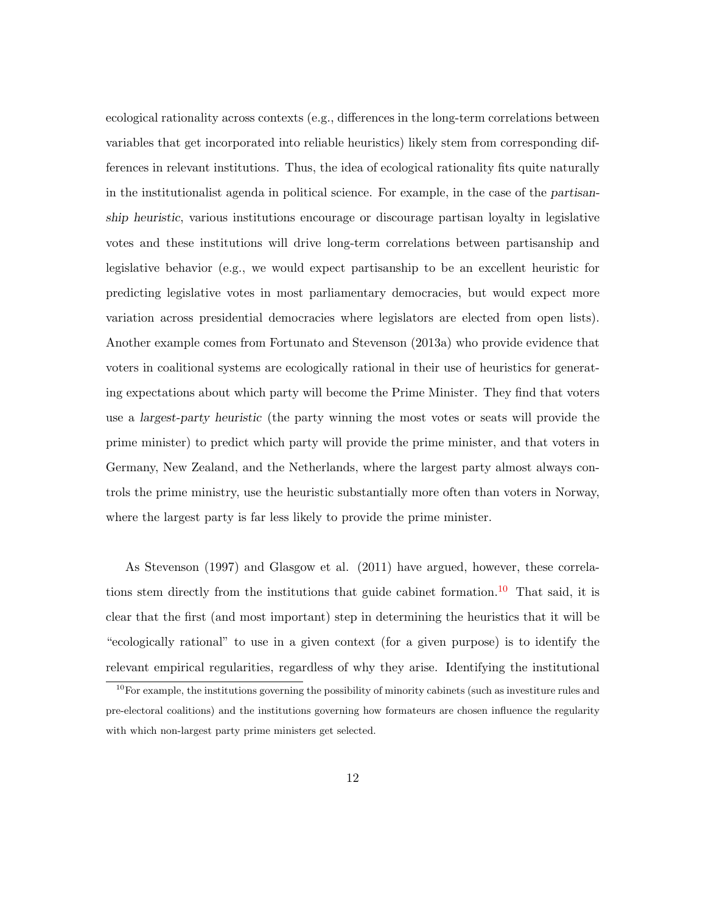ecological rationality across contexts (e.g., differences in the long-term correlations between variables that get incorporated into reliable heuristics) likely stem from corresponding differences in relevant institutions. Thus, the idea of ecological rationality fits quite naturally in the institutionalist agenda in political science. For example, in the case of the partisanship heuristic, various institutions encourage or discourage partisan loyalty in legislative votes and these institutions will drive long-term correlations between partisanship and legislative behavior (e.g., we would expect partisanship to be an excellent heuristic for predicting legislative votes in most parliamentary democracies, but would expect more variation across presidential democracies where legislators are elected from open lists). Another example comes from Fortunato and Stevenson (2013a) who provide evidence that voters in coalitional systems are ecologically rational in their use of heuristics for generating expectations about which party will become the Prime Minister. They find that voters use a largest-party heuristic (the party winning the most votes or seats will provide the prime minister) to predict which party will provide the prime minister, and that voters in Germany, New Zealand, and the Netherlands, where the largest party almost always controls the prime ministry, use the heuristic substantially more often than voters in Norway, where the largest party is far less likely to provide the prime minister.

As Stevenson (1997) and Glasgow et al. (2011) have argued, however, these correla-tions stem directly from the institutions that guide cabinet formation.<sup>[10](#page-11-0)</sup> That said, it is clear that the first (and most important) step in determining the heuristics that it will be "ecologically rational" to use in a given context (for a given purpose) is to identify the relevant empirical regularities, regardless of why they arise. Identifying the institutional

<span id="page-11-0"></span><sup>&</sup>lt;sup>10</sup>For example, the institutions governing the possibility of minority cabinets (such as investiture rules and pre-electoral coalitions) and the institutions governing how formateurs are chosen influence the regularity with which non-largest party prime ministers get selected.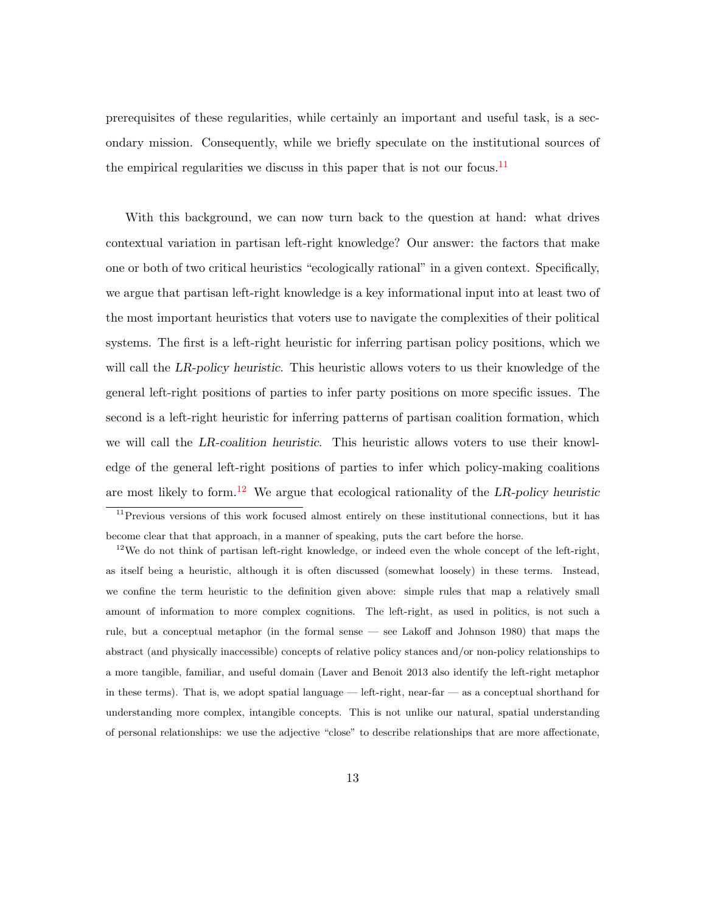prerequisites of these regularities, while certainly an important and useful task, is a secondary mission. Consequently, while we briefly speculate on the institutional sources of the empirical regularities we discuss in this paper that is not our focus.<sup>[11](#page-12-0)</sup>

With this background, we can now turn back to the question at hand: what drives contextual variation in partisan left-right knowledge? Our answer: the factors that make one or both of two critical heuristics "ecologically rational" in a given context. Specifically, we argue that partisan left-right knowledge is a key informational input into at least two of the most important heuristics that voters use to navigate the complexities of their political systems. The first is a left-right heuristic for inferring partisan policy positions, which we will call the LR-policy heuristic. This heuristic allows voters to us their knowledge of the general left-right positions of parties to infer party positions on more specific issues. The second is a left-right heuristic for inferring patterns of partisan coalition formation, which we will call the LR-coalition heuristic. This heuristic allows voters to use their knowledge of the general left-right positions of parties to infer which policy-making coalitions are most likely to form.<sup>[12](#page-12-1)</sup> We argue that ecological rationality of the LR-policy heuristic

<span id="page-12-0"></span><sup>&</sup>lt;sup>11</sup>Previous versions of this work focused almost entirely on these institutional connections, but it has become clear that that approach, in a manner of speaking, puts the cart before the horse.

<span id="page-12-1"></span><sup>&</sup>lt;sup>12</sup>We do not think of partisan left-right knowledge, or indeed even the whole concept of the left-right, as itself being a heuristic, although it is often discussed (somewhat loosely) in these terms. Instead, we confine the term heuristic to the definition given above: simple rules that map a relatively small amount of information to more complex cognitions. The left-right, as used in politics, is not such a rule, but a conceptual metaphor (in the formal sense — see Lakoff and Johnson 1980) that maps the abstract (and physically inaccessible) concepts of relative policy stances and/or non-policy relationships to a more tangible, familiar, and useful domain (Laver and Benoit 2013 also identify the left-right metaphor in these terms). That is, we adopt spatial language — left-right, near-far — as a conceptual shorthand for understanding more complex, intangible concepts. This is not unlike our natural, spatial understanding of personal relationships: we use the adjective "close" to describe relationships that are more affectionate,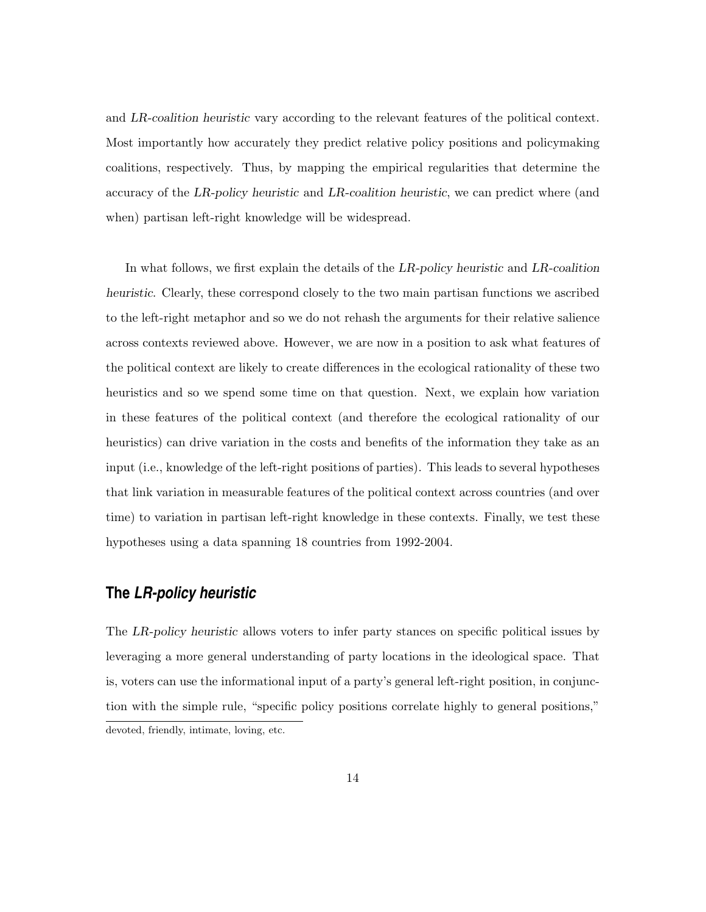and LR-coalition heuristic vary according to the relevant features of the political context. Most importantly how accurately they predict relative policy positions and policymaking coalitions, respectively. Thus, by mapping the empirical regularities that determine the accuracy of the LR-policy heuristic and LR-coalition heuristic, we can predict where (and when) partisan left-right knowledge will be widespread.

In what follows, we first explain the details of the LR-policy heuristic and LR-coalition heuristic. Clearly, these correspond closely to the two main partisan functions we ascribed to the left-right metaphor and so we do not rehash the arguments for their relative salience across contexts reviewed above. However, we are now in a position to ask what features of the political context are likely to create differences in the ecological rationality of these two heuristics and so we spend some time on that question. Next, we explain how variation in these features of the political context (and therefore the ecological rationality of our heuristics) can drive variation in the costs and benefits of the information they take as an input (i.e., knowledge of the left-right positions of parties). This leads to several hypotheses that link variation in measurable features of the political context across countries (and over time) to variation in partisan left-right knowledge in these contexts. Finally, we test these hypotheses using a data spanning 18 countries from 1992-2004.

# **The** *LR-policy heuristic*

The LR-policy heuristic allows voters to infer party stances on specific political issues by leveraging a more general understanding of party locations in the ideological space. That is, voters can use the informational input of a party's general left-right position, in conjunction with the simple rule, "specific policy positions correlate highly to general positions," devoted, friendly, intimate, loving, etc.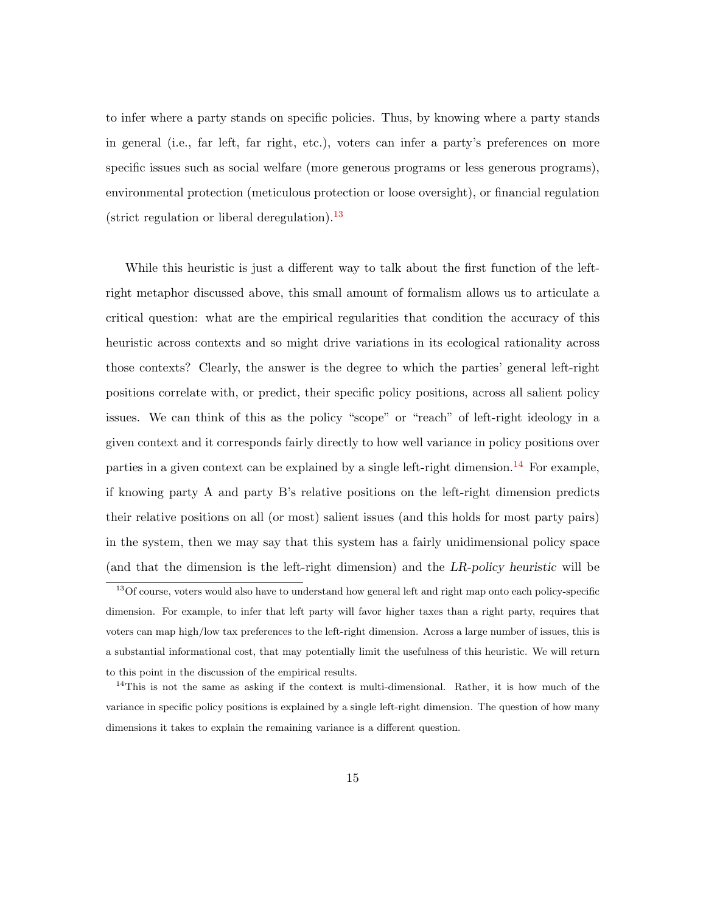to infer where a party stands on specific policies. Thus, by knowing where a party stands in general (i.e., far left, far right, etc.), voters can infer a party's preferences on more specific issues such as social welfare (more generous programs or less generous programs), environmental protection (meticulous protection or loose oversight), or financial regulation (strict regulation or liberal deregulation).<sup>[13](#page-14-0)</sup>

While this heuristic is just a different way to talk about the first function of the leftright metaphor discussed above, this small amount of formalism allows us to articulate a critical question: what are the empirical regularities that condition the accuracy of this heuristic across contexts and so might drive variations in its ecological rationality across those contexts? Clearly, the answer is the degree to which the parties' general left-right positions correlate with, or predict, their specific policy positions, across all salient policy issues. We can think of this as the policy "scope" or "reach" of left-right ideology in a given context and it corresponds fairly directly to how well variance in policy positions over parties in a given context can be explained by a single left-right dimension.<sup>[14](#page-14-1)</sup> For example, if knowing party A and party B's relative positions on the left-right dimension predicts their relative positions on all (or most) salient issues (and this holds for most party pairs) in the system, then we may say that this system has a fairly unidimensional policy space (and that the dimension is the left-right dimension) and the LR-policy heuristic will be

<span id="page-14-0"></span><sup>&</sup>lt;sup>13</sup>Of course, voters would also have to understand how general left and right map onto each policy-specific dimension. For example, to infer that left party will favor higher taxes than a right party, requires that voters can map high/low tax preferences to the left-right dimension. Across a large number of issues, this is a substantial informational cost, that may potentially limit the usefulness of this heuristic. We will return to this point in the discussion of the empirical results.

<span id="page-14-1"></span><sup>&</sup>lt;sup>14</sup>This is not the same as asking if the context is multi-dimensional. Rather, it is how much of the variance in specific policy positions is explained by a single left-right dimension. The question of how many dimensions it takes to explain the remaining variance is a different question.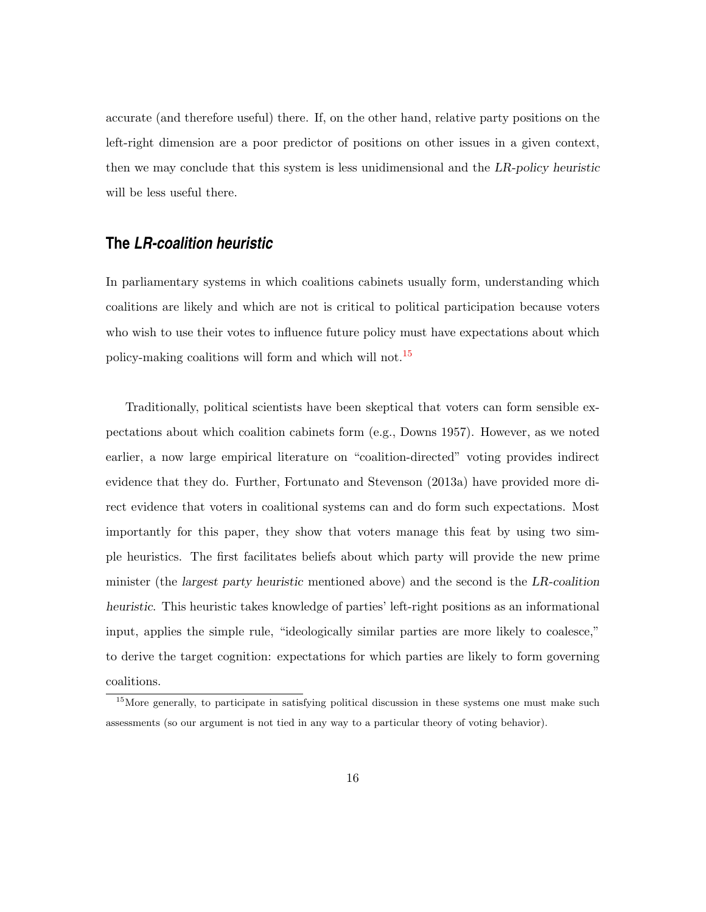accurate (and therefore useful) there. If, on the other hand, relative party positions on the left-right dimension are a poor predictor of positions on other issues in a given context, then we may conclude that this system is less unidimensional and the LR-policy heuristic will be less useful there.

# **The** *LR-coalition heuristic*

In parliamentary systems in which coalitions cabinets usually form, understanding which coalitions are likely and which are not is critical to political participation because voters who wish to use their votes to influence future policy must have expectations about which policy-making coalitions will form and which will not.[15](#page-15-0)

Traditionally, political scientists have been skeptical that voters can form sensible expectations about which coalition cabinets form (e.g., Downs 1957). However, as we noted earlier, a now large empirical literature on "coalition-directed" voting provides indirect evidence that they do. Further, Fortunato and Stevenson (2013a) have provided more direct evidence that voters in coalitional systems can and do form such expectations. Most importantly for this paper, they show that voters manage this feat by using two simple heuristics. The first facilitates beliefs about which party will provide the new prime minister (the largest party heuristic mentioned above) and the second is the LR-coalition heuristic. This heuristic takes knowledge of parties' left-right positions as an informational input, applies the simple rule, "ideologically similar parties are more likely to coalesce," to derive the target cognition: expectations for which parties are likely to form governing coalitions.

<span id="page-15-0"></span><sup>&</sup>lt;sup>15</sup>More generally, to participate in satisfying political discussion in these systems one must make such assessments (so our argument is not tied in any way to a particular theory of voting behavior).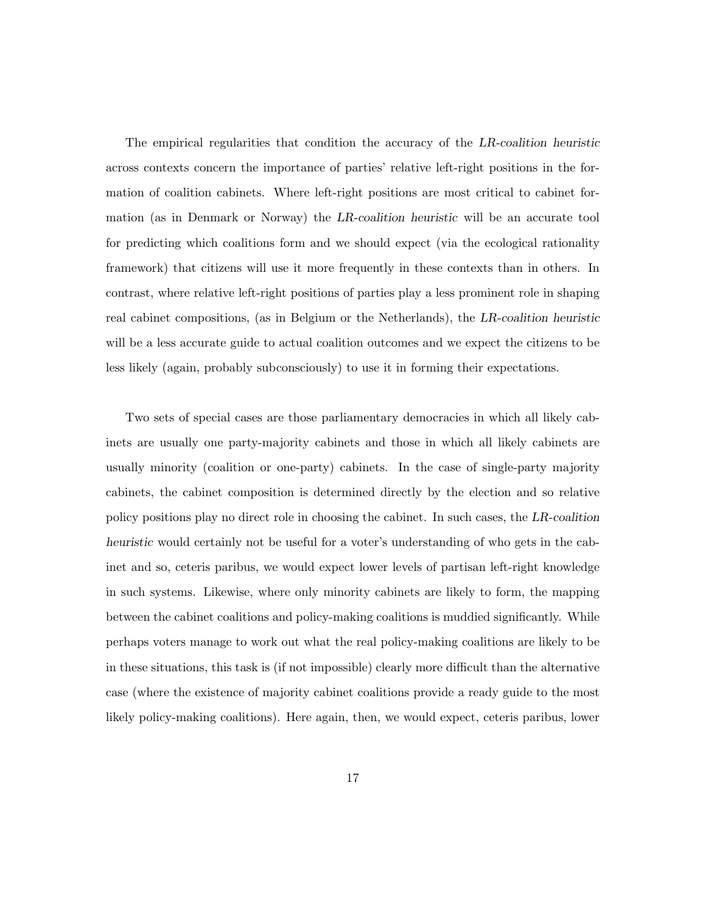The empirical regularities that condition the accuracy of the LR-coalition heuristic across contexts concern the importance of parties' relative left-right positions in the formation of coalition cabinets. Where left-right positions are most critical to cabinet formation (as in Denmark or Norway) the LR-coalition heuristic will be an accurate tool for predicting which coalitions form and we should expect (via the ecological rationality framework) that citizens will use it more frequently in these contexts than in others. In contrast, where relative left-right positions of parties play a less prominent role in shaping real cabinet compositions, (as in Belgium or the Netherlands), the LR-coalition heuristic will be a less accurate guide to actual coalition outcomes and we expect the citizens to be less likely (again, probably subconsciously) to use it in forming their expectations.

Two sets of special cases are those parliamentary democracies in which all likely cabinets are usually one party-majority cabinets and those in which all likely cabinets are usually minority (coalition or one-party) cabinets. In the case of single-party majority cabinets, the cabinet composition is determined directly by the election and so relative policy positions play no direct role in choosing the cabinet. In such cases, the LR-coalition heuristic would certainly not be useful for a voter's understanding of who gets in the cabinet and so, ceteris paribus, we would expect lower levels of partisan left-right knowledge in such systems. Likewise, where only minority cabinets are likely to form, the mapping between the cabinet coalitions and policy-making coalitions is muddied significantly. While perhaps voters manage to work out what the real policy-making coalitions are likely to be in these situations, this task is (if not impossible) clearly more difficult than the alternative case (where the existence of majority cabinet coalitions provide a ready guide to the most likely policy-making coalitions). Here again, then, we would expect, ceteris paribus, lower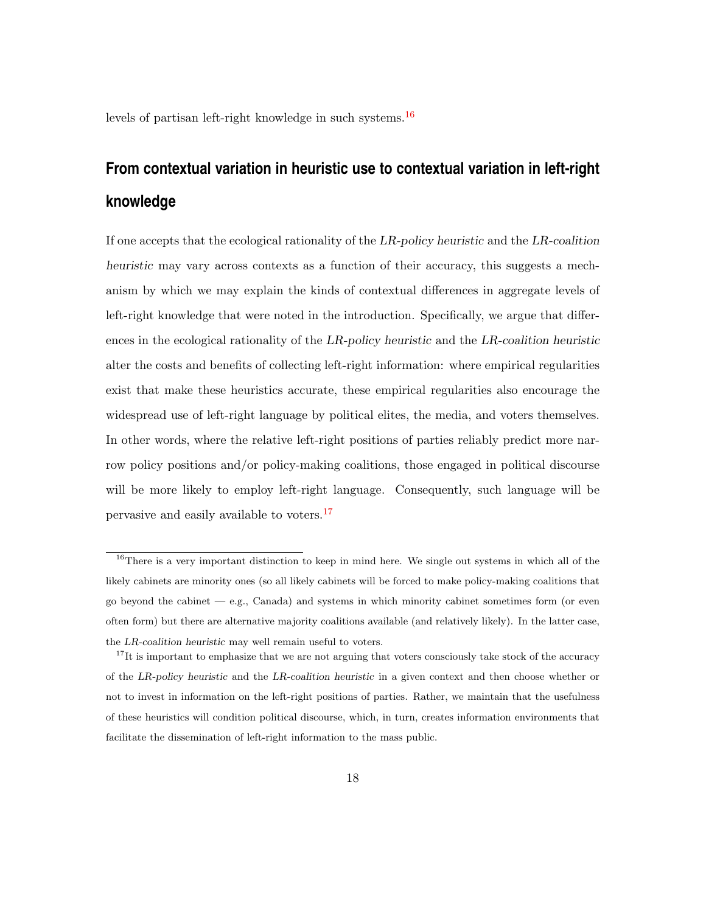levels of partisan left-right knowledge in such systems.<sup>[16](#page-17-0)</sup>

# **From contextual variation in heuristic use to contextual variation in left-right knowledge**

If one accepts that the ecological rationality of the LR-policy heuristic and the LR-coalition heuristic may vary across contexts as a function of their accuracy, this suggests a mechanism by which we may explain the kinds of contextual differences in aggregate levels of left-right knowledge that were noted in the introduction. Specifically, we argue that differences in the ecological rationality of the LR-policy heuristic and the LR-coalition heuristic alter the costs and benefits of collecting left-right information: where empirical regularities exist that make these heuristics accurate, these empirical regularities also encourage the widespread use of left-right language by political elites, the media, and voters themselves. In other words, where the relative left-right positions of parties reliably predict more narrow policy positions and/or policy-making coalitions, those engaged in political discourse will be more likely to employ left-right language. Consequently, such language will be pervasive and easily available to voters.[17](#page-17-1)

<span id="page-17-0"></span><sup>&</sup>lt;sup>16</sup>There is a very important distinction to keep in mind here. We single out systems in which all of the likely cabinets are minority ones (so all likely cabinets will be forced to make policy-making coalitions that go beyond the cabinet — e.g., Canada) and systems in which minority cabinet sometimes form (or even often form) but there are alternative majority coalitions available (and relatively likely). In the latter case, the LR-coalition heuristic may well remain useful to voters.

<span id="page-17-1"></span> $17$ It is important to emphasize that we are not arguing that voters consciously take stock of the accuracy of the LR-policy heuristic and the LR-coalition heuristic in a given context and then choose whether or not to invest in information on the left-right positions of parties. Rather, we maintain that the usefulness of these heuristics will condition political discourse, which, in turn, creates information environments that facilitate the dissemination of left-right information to the mass public.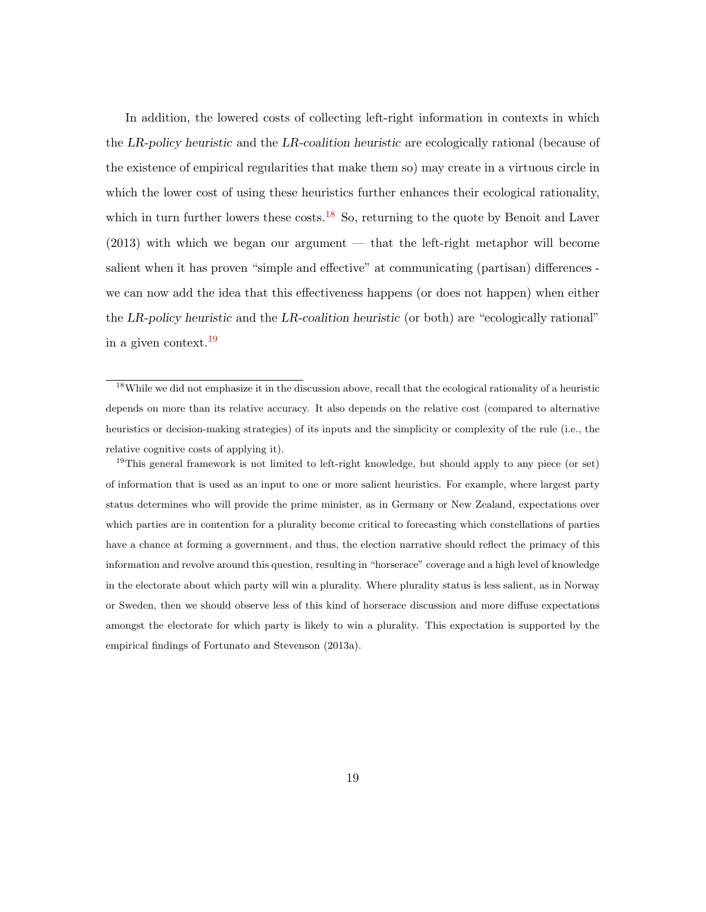In addition, the lowered costs of collecting left-right information in contexts in which the LR-policy heuristic and the LR-coalition heuristic are ecologically rational (because of the existence of empirical regularities that make them so) may create in a virtuous circle in which the lower cost of using these heuristics further enhances their ecological rationality, which in turn further lowers these costs.<sup>[18](#page-18-0)</sup> So, returning to the quote by Benoit and Laver (2013) with which we began our argument — that the left-right metaphor will become salient when it has proven "simple and effective" at communicating (partisan) differences we can now add the idea that this effectiveness happens (or does not happen) when either the LR-policy heuristic and the LR-coalition heuristic (or both) are "ecologically rational" in a given context.[19](#page-18-1)

<span id="page-18-1"></span><sup>19</sup>This general framework is not limited to left-right knowledge, but should apply to any piece (or set) of information that is used as an input to one or more salient heuristics. For example, where largest party status determines who will provide the prime minister, as in Germany or New Zealand, expectations over which parties are in contention for a plurality become critical to forecasting which constellations of parties have a chance at forming a government, and thus, the election narrative should reflect the primacy of this information and revolve around this question, resulting in "horserace" coverage and a high level of knowledge in the electorate about which party will win a plurality. Where plurality status is less salient, as in Norway or Sweden, then we should observe less of this kind of horserace discussion and more diffuse expectations amongst the electorate for which party is likely to win a plurality. This expectation is supported by the empirical findings of Fortunato and Stevenson (2013a).

<span id="page-18-0"></span><sup>18</sup>While we did not emphasize it in the discussion above, recall that the ecological rationality of a heuristic depends on more than its relative accuracy. It also depends on the relative cost (compared to alternative heuristics or decision-making strategies) of its inputs and the simplicity or complexity of the rule (i.e., the relative cognitive costs of applying it).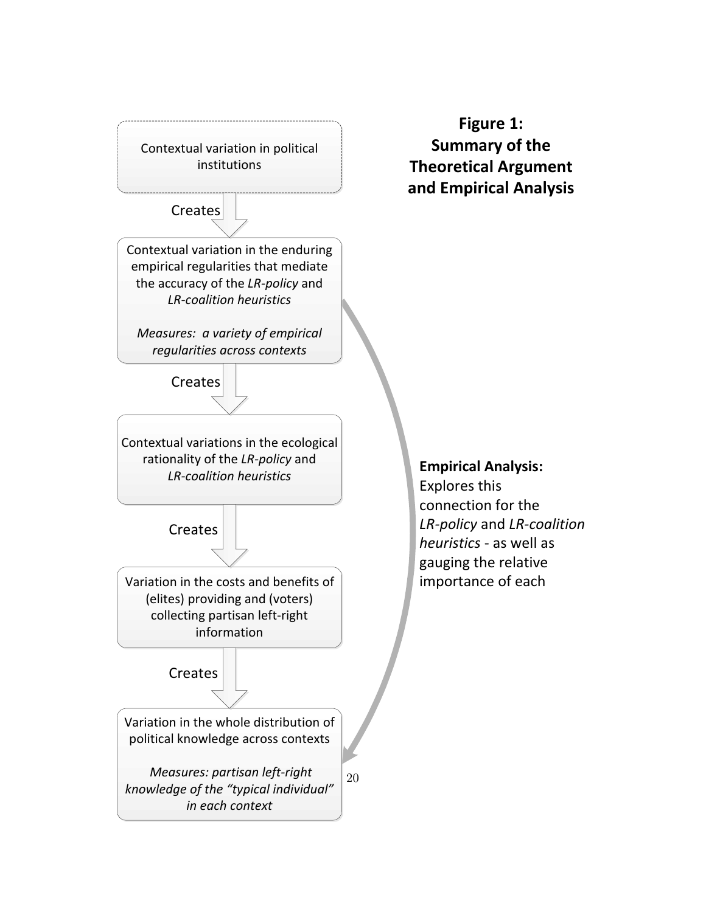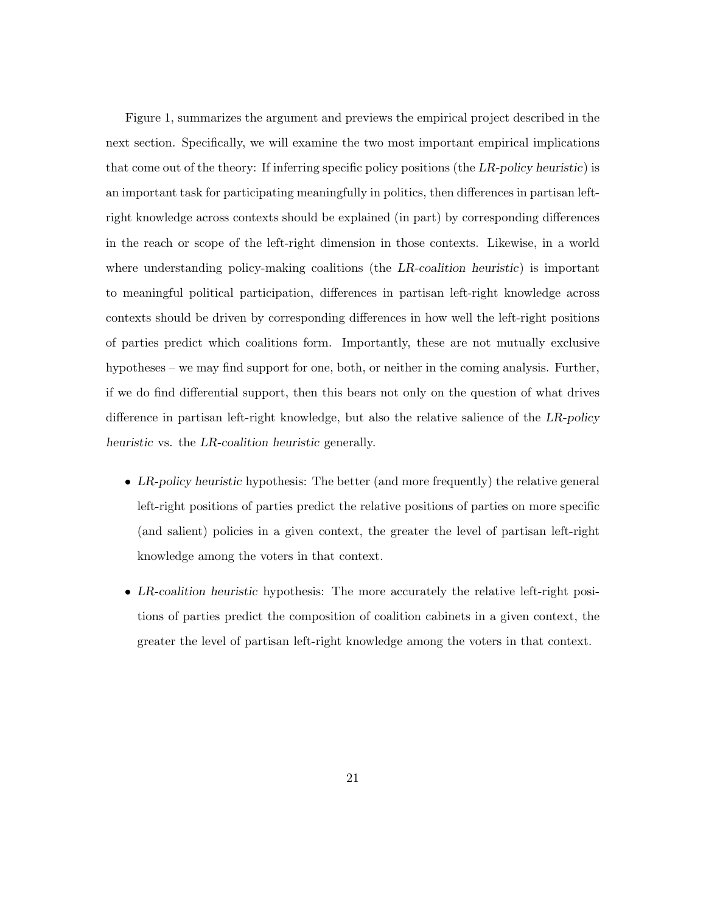Figure 1, summarizes the argument and previews the empirical project described in the next section. Specifically, we will examine the two most important empirical implications that come out of the theory: If inferring specific policy positions (the LR-policy heuristic) is an important task for participating meaningfully in politics, then differences in partisan leftright knowledge across contexts should be explained (in part) by corresponding differences in the reach or scope of the left-right dimension in those contexts. Likewise, in a world where understanding policy-making coalitions (the LR-coalition heuristic) is important to meaningful political participation, differences in partisan left-right knowledge across contexts should be driven by corresponding differences in how well the left-right positions of parties predict which coalitions form. Importantly, these are not mutually exclusive hypotheses – we may find support for one, both, or neither in the coming analysis. Further, if we do find differential support, then this bears not only on the question of what drives difference in partisan left-right knowledge, but also the relative salience of the LR-policy heuristic vs. the LR-coalition heuristic generally.

- LR-policy heuristic hypothesis: The better (and more frequently) the relative general left-right positions of parties predict the relative positions of parties on more specific (and salient) policies in a given context, the greater the level of partisan left-right knowledge among the voters in that context.
- LR-coalition heuristic hypothesis: The more accurately the relative left-right positions of parties predict the composition of coalition cabinets in a given context, the greater the level of partisan left-right knowledge among the voters in that context.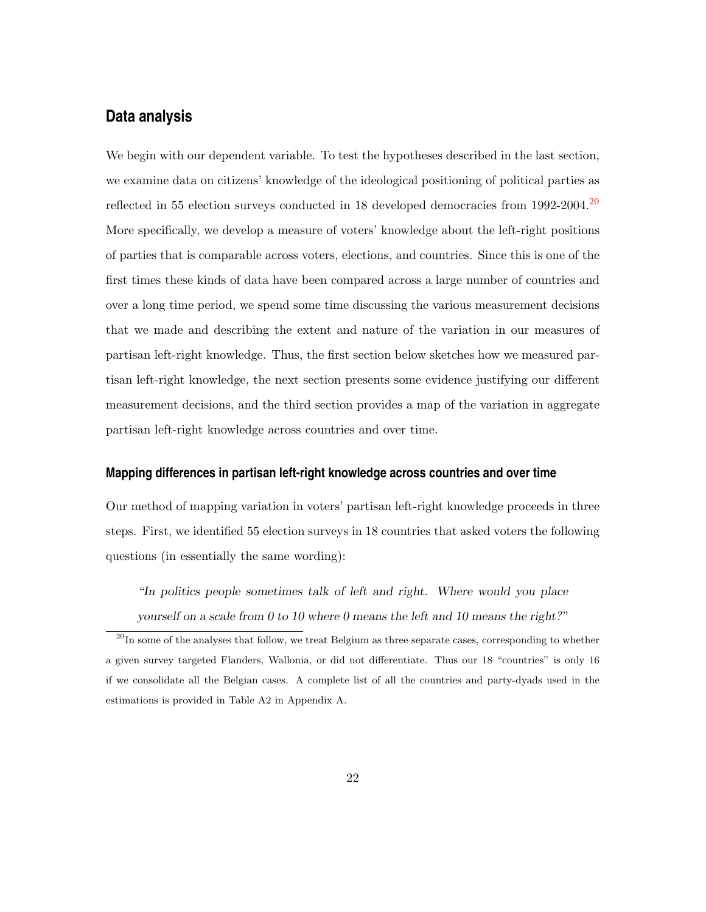# **Data analysis**

We begin with our dependent variable. To test the hypotheses described in the last section, we examine data on citizens' knowledge of the ideological positioning of political parties as reflected in 55 election surveys conducted in 18 developed democracies from 1992-[20](#page-21-0)04.<sup>20</sup> More specifically, we develop a measure of voters' knowledge about the left-right positions of parties that is comparable across voters, elections, and countries. Since this is one of the first times these kinds of data have been compared across a large number of countries and over a long time period, we spend some time discussing the various measurement decisions that we made and describing the extent and nature of the variation in our measures of partisan left-right knowledge. Thus, the first section below sketches how we measured partisan left-right knowledge, the next section presents some evidence justifying our different measurement decisions, and the third section provides a map of the variation in aggregate partisan left-right knowledge across countries and over time.

#### **Mapping differences in partisan left-right knowledge across countries and over time**

Our method of mapping variation in voters' partisan left-right knowledge proceeds in three steps. First, we identified 55 election surveys in 18 countries that asked voters the following questions (in essentially the same wording):

"In politics people sometimes talk of left and right. Where would you place yourself on a scale from 0 to 10 where 0 means the left and 10 means the right?"

<span id="page-21-0"></span> $20$ In some of the analyses that follow, we treat Belgium as three separate cases, corresponding to whether a given survey targeted Flanders, Wallonia, or did not differentiate. Thus our 18 "countries" is only 16 if we consolidate all the Belgian cases. A complete list of all the countries and party-dyads used in the estimations is provided in Table A2 in Appendix A.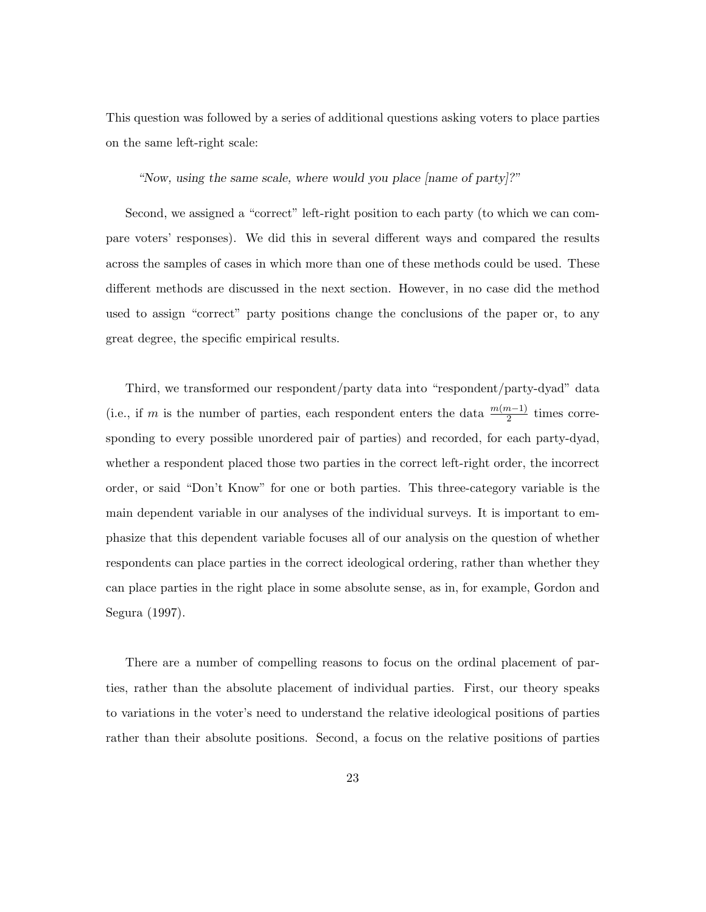This question was followed by a series of additional questions asking voters to place parties on the same left-right scale:

"Now, using the same scale, where would you place [name of party]?"

Second, we assigned a "correct" left-right position to each party (to which we can compare voters' responses). We did this in several different ways and compared the results across the samples of cases in which more than one of these methods could be used. These different methods are discussed in the next section. However, in no case did the method used to assign "correct" party positions change the conclusions of the paper or, to any great degree, the specific empirical results.

Third, we transformed our respondent/party data into "respondent/party-dyad" data (i.e., if m is the number of parties, each respondent enters the data  $\frac{m(m-1)}{2}$  times corresponding to every possible unordered pair of parties) and recorded, for each party-dyad, whether a respondent placed those two parties in the correct left-right order, the incorrect order, or said "Don't Know" for one or both parties. This three-category variable is the main dependent variable in our analyses of the individual surveys. It is important to emphasize that this dependent variable focuses all of our analysis on the question of whether respondents can place parties in the correct ideological ordering, rather than whether they can place parties in the right place in some absolute sense, as in, for example, Gordon and Segura (1997).

There are a number of compelling reasons to focus on the ordinal placement of parties, rather than the absolute placement of individual parties. First, our theory speaks to variations in the voter's need to understand the relative ideological positions of parties rather than their absolute positions. Second, a focus on the relative positions of parties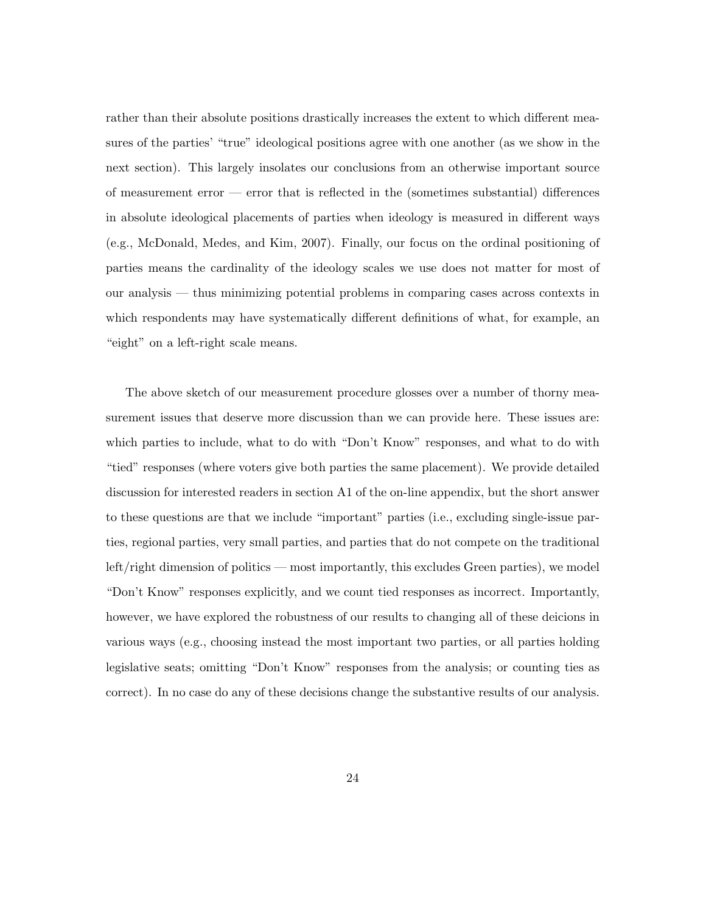rather than their absolute positions drastically increases the extent to which different measures of the parties' "true" ideological positions agree with one another (as we show in the next section). This largely insolates our conclusions from an otherwise important source of measurement error — error that is reflected in the (sometimes substantial) differences in absolute ideological placements of parties when ideology is measured in different ways (e.g., McDonald, Medes, and Kim, 2007). Finally, our focus on the ordinal positioning of parties means the cardinality of the ideology scales we use does not matter for most of our analysis — thus minimizing potential problems in comparing cases across contexts in which respondents may have systematically different definitions of what, for example, an "eight" on a left-right scale means.

The above sketch of our measurement procedure glosses over a number of thorny measurement issues that deserve more discussion than we can provide here. These issues are: which parties to include, what to do with "Don't Know" responses, and what to do with "tied" responses (where voters give both parties the same placement). We provide detailed discussion for interested readers in section A1 of the on-line appendix, but the short answer to these questions are that we include "important" parties (i.e., excluding single-issue parties, regional parties, very small parties, and parties that do not compete on the traditional left/right dimension of politics — most importantly, this excludes Green parties), we model "Don't Know" responses explicitly, and we count tied responses as incorrect. Importantly, however, we have explored the robustness of our results to changing all of these deicions in various ways (e.g., choosing instead the most important two parties, or all parties holding legislative seats; omitting "Don't Know" responses from the analysis; or counting ties as correct). In no case do any of these decisions change the substantive results of our analysis.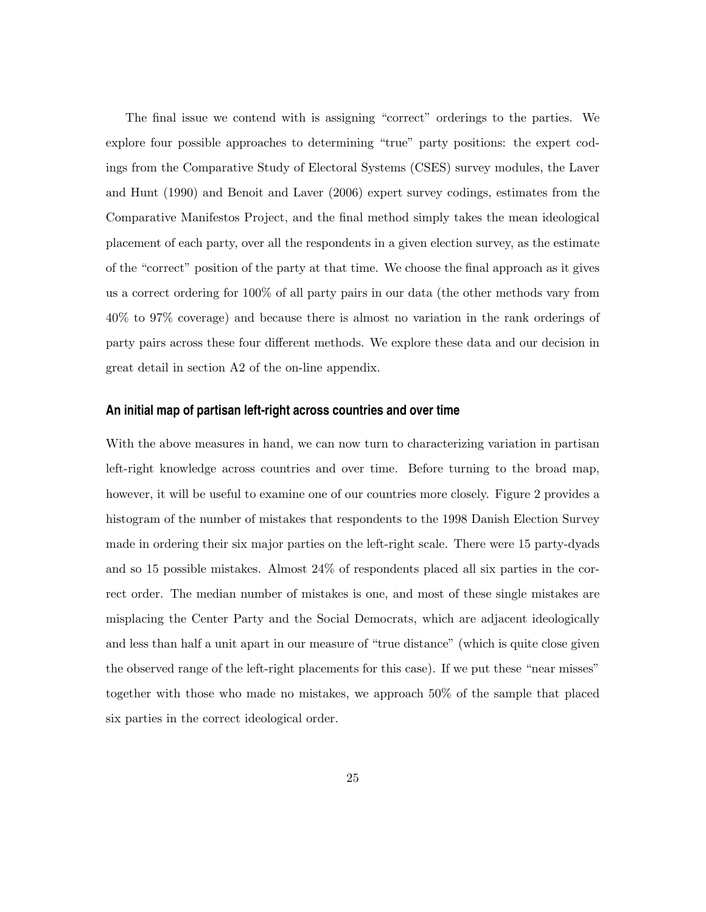The final issue we contend with is assigning "correct" orderings to the parties. We explore four possible approaches to determining "true" party positions: the expert codings from the Comparative Study of Electoral Systems (CSES) survey modules, the Laver and Hunt (1990) and Benoit and Laver (2006) expert survey codings, estimates from the Comparative Manifestos Project, and the final method simply takes the mean ideological placement of each party, over all the respondents in a given election survey, as the estimate of the "correct" position of the party at that time. We choose the final approach as it gives us a correct ordering for 100% of all party pairs in our data (the other methods vary from 40% to 97% coverage) and because there is almost no variation in the rank orderings of party pairs across these four different methods. We explore these data and our decision in great detail in section A2 of the on-line appendix.

#### **An initial map of partisan left-right across countries and over time**

With the above measures in hand, we can now turn to characterizing variation in partisan left-right knowledge across countries and over time. Before turning to the broad map, however, it will be useful to examine one of our countries more closely. Figure 2 provides a histogram of the number of mistakes that respondents to the 1998 Danish Election Survey made in ordering their six major parties on the left-right scale. There were 15 party-dyads and so 15 possible mistakes. Almost 24% of respondents placed all six parties in the correct order. The median number of mistakes is one, and most of these single mistakes are misplacing the Center Party and the Social Democrats, which are adjacent ideologically and less than half a unit apart in our measure of "true distance" (which is quite close given the observed range of the left-right placements for this case). If we put these "near misses" together with those who made no mistakes, we approach 50% of the sample that placed six parties in the correct ideological order.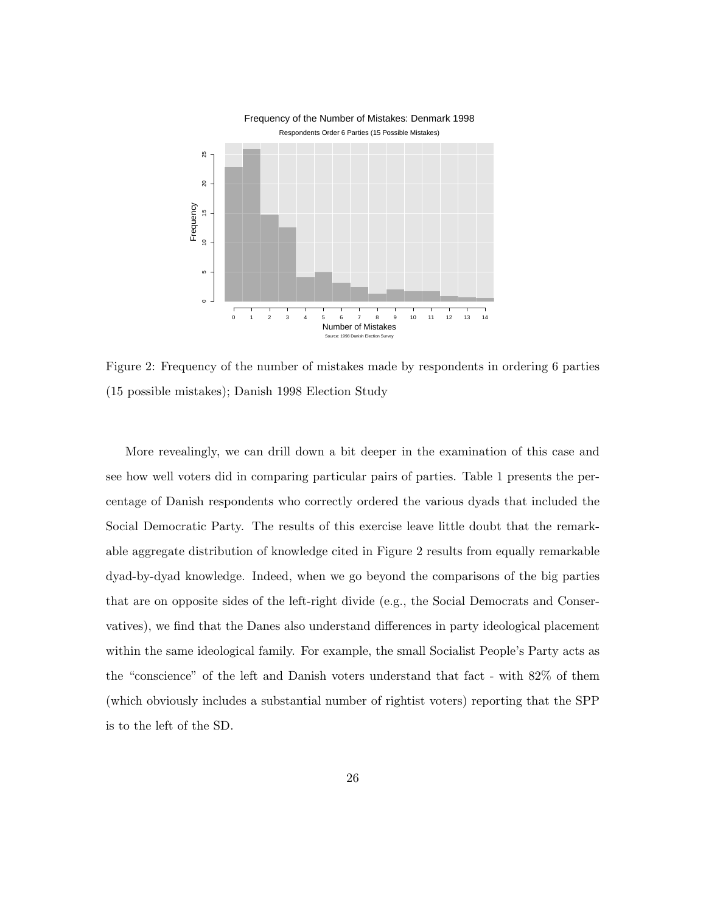

Figure 2: Frequency of the number of mistakes made by respondents in ordering 6 parties (15 possible mistakes); Danish 1998 Election Study

More revealingly, we can drill down a bit deeper in the examination of this case and see how well voters did in comparing particular pairs of parties. Table 1 presents the percentage of Danish respondents who correctly ordered the various dyads that included the Social Democratic Party. The results of this exercise leave little doubt that the remarkable aggregate distribution of knowledge cited in Figure 2 results from equally remarkable dyad-by-dyad knowledge. Indeed, when we go beyond the comparisons of the big parties that are on opposite sides of the left-right divide (e.g., the Social Democrats and Conservatives), we find that the Danes also understand differences in party ideological placement within the same ideological family. For example, the small Socialist People's Party acts as the "conscience" of the left and Danish voters understand that fact - with 82% of them (which obviously includes a substantial number of rightist voters) reporting that the SPP is to the left of the SD.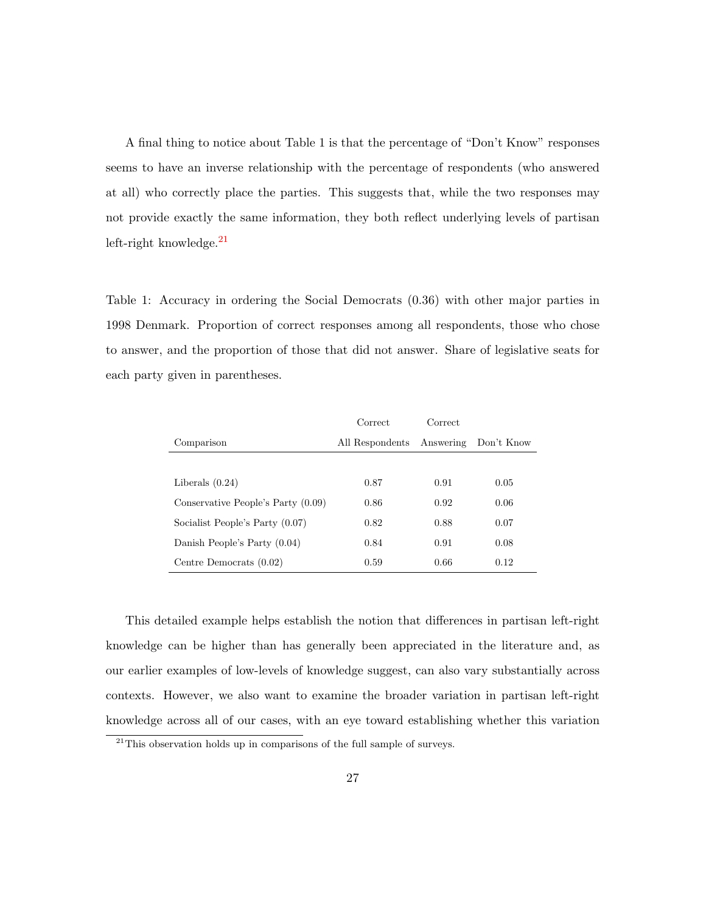A final thing to notice about Table 1 is that the percentage of "Don't Know" responses seems to have an inverse relationship with the percentage of respondents (who answered at all) who correctly place the parties. This suggests that, while the two responses may not provide exactly the same information, they both reflect underlying levels of partisan left-right knowledge. $^{21}$  $^{21}$  $^{21}$ 

Table 1: Accuracy in ordering the Social Democrats (0.36) with other major parties in 1998 Denmark. Proportion of correct responses among all respondents, those who chose to answer, and the proportion of those that did not answer. Share of legislative seats for each party given in parentheses.

|                                    | Correct         | Correct   |            |
|------------------------------------|-----------------|-----------|------------|
| Comparison                         | All Respondents | Answering | Don't Know |
|                                    |                 |           |            |
| Liberals $(0.24)$                  | 0.87            | 0.91      | 0.05       |
| Conservative People's Party (0.09) | 0.86            | 0.92      | 0.06       |
| Socialist People's Party (0.07)    | 0.82            | 0.88      | 0.07       |
| Danish People's Party $(0.04)$     | 0.84            | 0.91      | 0.08       |
| Centre Democrats (0.02)            | 0.59            | 0.66      | 0.12       |

This detailed example helps establish the notion that differences in partisan left-right knowledge can be higher than has generally been appreciated in the literature and, as our earlier examples of low-levels of knowledge suggest, can also vary substantially across contexts. However, we also want to examine the broader variation in partisan left-right knowledge across all of our cases, with an eye toward establishing whether this variation

<span id="page-26-0"></span><sup>&</sup>lt;sup>21</sup>This observation holds up in comparisons of the full sample of surveys.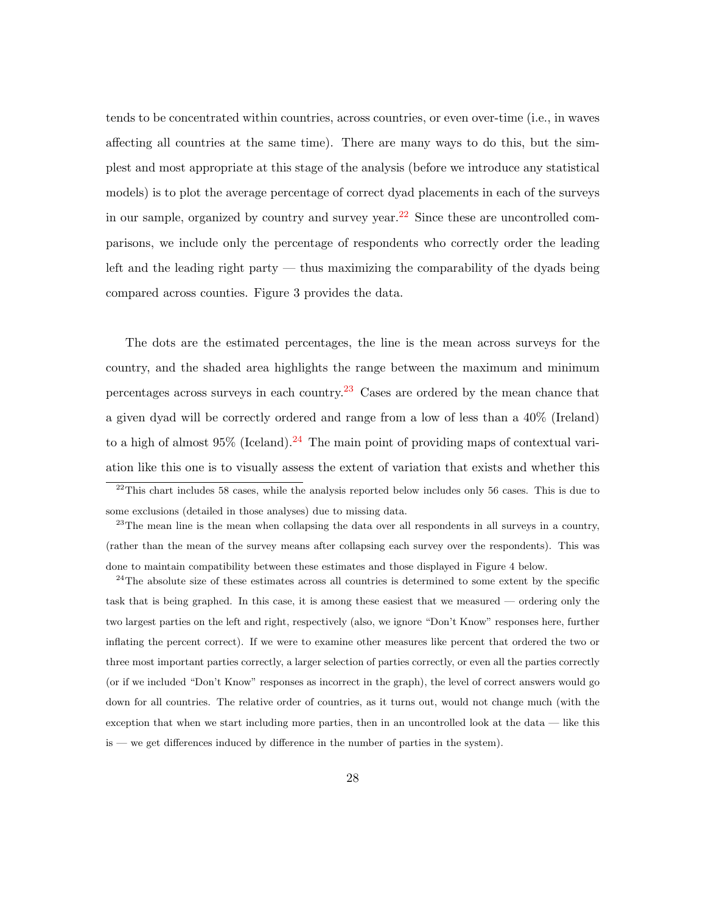tends to be concentrated within countries, across countries, or even over-time (i.e., in waves affecting all countries at the same time). There are many ways to do this, but the simplest and most appropriate at this stage of the analysis (before we introduce any statistical models) is to plot the average percentage of correct dyad placements in each of the surveys in our sample, organized by country and survey year.<sup>[22](#page-27-0)</sup> Since these are uncontrolled comparisons, we include only the percentage of respondents who correctly order the leading left and the leading right party — thus maximizing the comparability of the dyads being compared across counties. Figure 3 provides the data.

The dots are the estimated percentages, the line is the mean across surveys for the country, and the shaded area highlights the range between the maximum and minimum percentages across surveys in each country.<sup>[23](#page-27-1)</sup> Cases are ordered by the mean chance that a given dyad will be correctly ordered and range from a low of less than a 40% (Ireland) to a high of almost  $95\%$  (Iceland).<sup>[24](#page-27-2)</sup> The main point of providing maps of contextual variation like this one is to visually assess the extent of variation that exists and whether this

<span id="page-27-0"></span> $^{22}$ This chart includes 58 cases, while the analysis reported below includes only 56 cases. This is due to some exclusions (detailed in those analyses) due to missing data.

<span id="page-27-1"></span> $23$ The mean line is the mean when collapsing the data over all respondents in all surveys in a country, (rather than the mean of the survey means after collapsing each survey over the respondents). This was done to maintain compatibility between these estimates and those displayed in Figure 4 below.

<span id="page-27-2"></span> $24$ The absolute size of these estimates across all countries is determined to some extent by the specific task that is being graphed. In this case, it is among these easiest that we measured — ordering only the two largest parties on the left and right, respectively (also, we ignore "Don't Know" responses here, further inflating the percent correct). If we were to examine other measures like percent that ordered the two or three most important parties correctly, a larger selection of parties correctly, or even all the parties correctly (or if we included "Don't Know" responses as incorrect in the graph), the level of correct answers would go down for all countries. The relative order of countries, as it turns out, would not change much (with the exception that when we start including more parties, then in an uncontrolled look at the data — like this is — we get differences induced by difference in the number of parties in the system).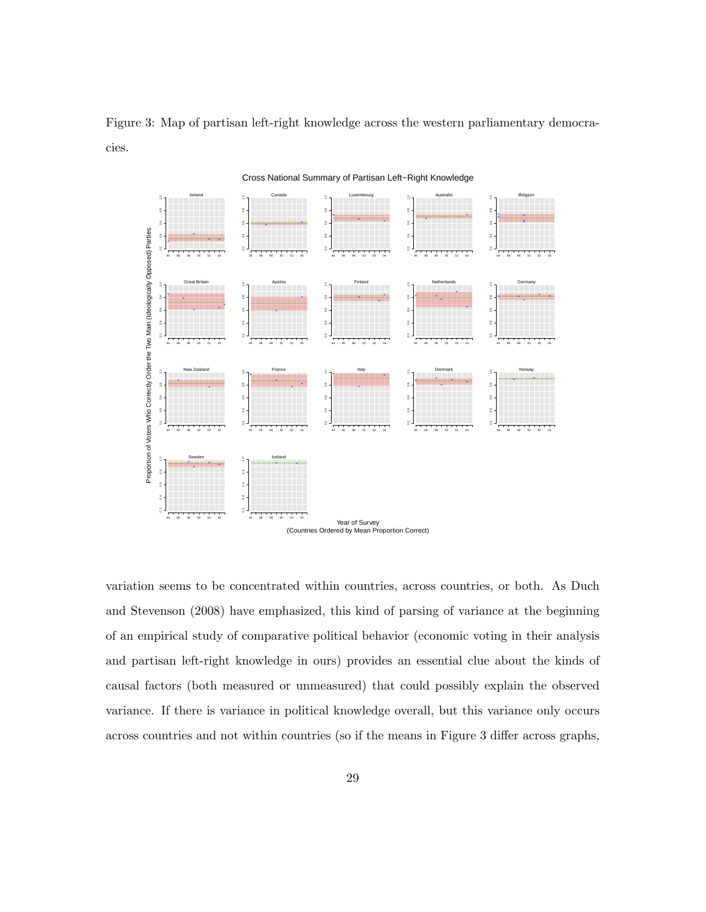Figure 3: Map of partisan left-right knowledge across the western parliamentary democracies.

Ireland Canada Luxembourg Australia Belgium 0.2 0.4 0.6 0.8 1.0 0.2 0.4 0.6 0.8 1.0 0.2 0.4 0.6 0.8 1.0 0.2 0.4 0.6 0.8 1.0 0.2 0.4 0.6 0.8 1.0 g Proportion of Voters Who Correctly Order the Two Main (Ideologically Opposed) Parties Proportion of Voters Who Correctly Order the Two Main (Ideologically Opposed) Parties ă  $\overline{\delta}$ 94 96 98 00 02 04 94 96 98 00 02 04 94 96 98 00 02 04 94 96 98 00 02 04 94 96 98 00 02 04 Great Britain Austria Finland Netherlands Germany 0.2 0.4 0.6 0.8 1.0 0.2 0.4 0.6 0.8 1.0 0.2 0.4 0.6 0.8 1.0 0.2 0.4 0.6 0.8 1.0 0.2 0.4 0.6 0.8 1.0  $\frac{8}{2}$  $_{\rm 0.6}^{\rm 6}$  $\frac{6}{3}$  $\frac{8}{3}$  $_{5}^{4}$  $\frac{4}{5}$  $\overline{5}$  $\overline{\delta}$ 94 96 98 00 02 04 94 96 98 00 02 04 94 96 98 00 02 04 94 96 98 00 02 04 94 96 98 00 02 04 New Zealand France Italy Denmark Norway  $\tilde{a}$ 0.2 0.4 0.6 0.8 1.0 0.2 0.4 0.6 0.8 1.0 0.2 0.4 0.6 0.8 1.0 0.2 0.4 0.6 0.8 1.0 0.2 0.4 0.6 0.8 1.0  $\frac{8}{3}$  $\frac{8}{2}$  $_{\rm 0}^{\rm 6}$  $\frac{8}{3}$ g.  $\frac{6}{6}$  $\frac{4}{5}$  $\frac{4}{9}$  $\frac{4}{5}$ 94 96 98 00 02 04 94 96 98 00 02 04 94 96 98 00 02 04 94 96 98 00 02 04 94 96 98 00 02 04 Sweden Iceland 0.2 0.4 0.6 0.8 1.0 0.2 0.4 0.6 0.8 1.0  $_{\rm 8}^{\rm o}$  $_{\rm 5}^{*}$  $\mathbf{r}$ 94 96 98 00 02 04 94 96 98 00 02 04 Year of Survey (Countries Ordered by Mean Proportion Correct)

Cross National Summary of Partisan Left−Right Knowledge

variation seems to be concentrated within countries, across countries, or both. As Duch and Stevenson (2008) have emphasized, this kind of parsing of variance at the beginning of an empirical study of comparative political behavior (economic voting in their analysis and partisan left-right knowledge in ours) provides an essential clue about the kinds of causal factors (both measured or unmeasured) that could possibly explain the observed variance. If there is variance in political knowledge overall, but this variance only occurs across countries and not within countries (so if the means in Figure 3 differ across graphs,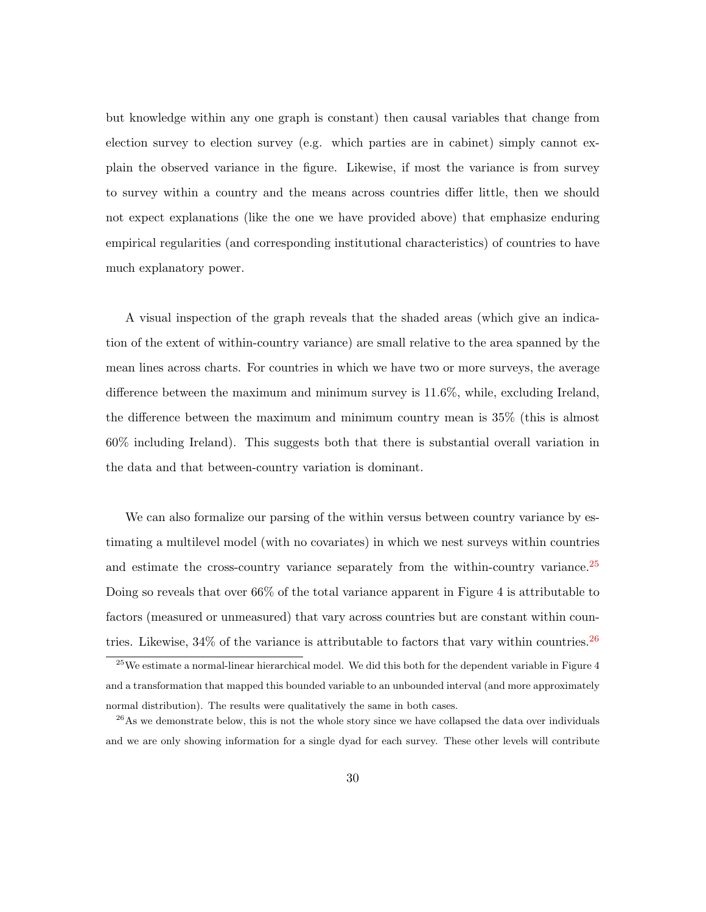but knowledge within any one graph is constant) then causal variables that change from election survey to election survey (e.g. which parties are in cabinet) simply cannot explain the observed variance in the figure. Likewise, if most the variance is from survey to survey within a country and the means across countries differ little, then we should not expect explanations (like the one we have provided above) that emphasize enduring empirical regularities (and corresponding institutional characteristics) of countries to have much explanatory power.

A visual inspection of the graph reveals that the shaded areas (which give an indication of the extent of within-country variance) are small relative to the area spanned by the mean lines across charts. For countries in which we have two or more surveys, the average difference between the maximum and minimum survey is 11.6%, while, excluding Ireland, the difference between the maximum and minimum country mean is 35% (this is almost 60% including Ireland). This suggests both that there is substantial overall variation in the data and that between-country variation is dominant.

We can also formalize our parsing of the within versus between country variance by estimating a multilevel model (with no covariates) in which we nest surveys within countries and estimate the cross-country variance separately from the within-country variance.<sup>[25](#page-29-0)</sup> Doing so reveals that over 66% of the total variance apparent in Figure 4 is attributable to factors (measured or unmeasured) that vary across countries but are constant within countries. Likewise,  $34\%$  of the variance is attributable to factors that vary within countries.<sup>[26](#page-29-1)</sup>

<span id="page-29-0"></span> $25$ We estimate a normal-linear hierarchical model. We did this both for the dependent variable in Figure 4 and a transformation that mapped this bounded variable to an unbounded interval (and more approximately normal distribution). The results were qualitatively the same in both cases.

<span id="page-29-1"></span><sup>&</sup>lt;sup>26</sup>As we demonstrate below, this is not the whole story since we have collapsed the data over individuals and we are only showing information for a single dyad for each survey. These other levels will contribute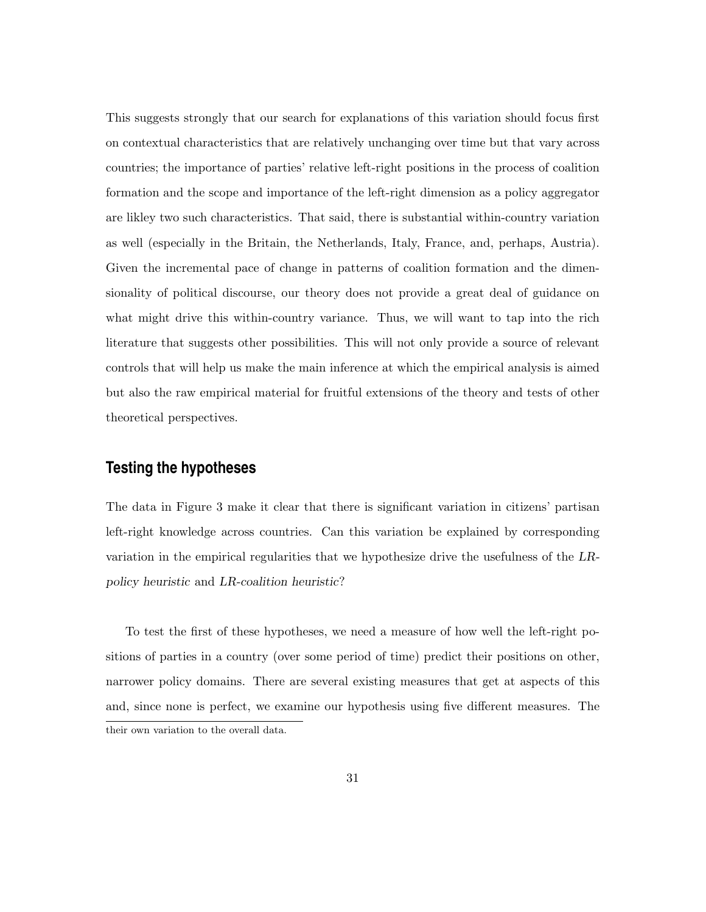This suggests strongly that our search for explanations of this variation should focus first on contextual characteristics that are relatively unchanging over time but that vary across countries; the importance of parties' relative left-right positions in the process of coalition formation and the scope and importance of the left-right dimension as a policy aggregator are likley two such characteristics. That said, there is substantial within-country variation as well (especially in the Britain, the Netherlands, Italy, France, and, perhaps, Austria). Given the incremental pace of change in patterns of coalition formation and the dimensionality of political discourse, our theory does not provide a great deal of guidance on what might drive this within-country variance. Thus, we will want to tap into the rich literature that suggests other possibilities. This will not only provide a source of relevant controls that will help us make the main inference at which the empirical analysis is aimed but also the raw empirical material for fruitful extensions of the theory and tests of other theoretical perspectives.

## **Testing the hypotheses**

The data in Figure 3 make it clear that there is significant variation in citizens' partisan left-right knowledge across countries. Can this variation be explained by corresponding variation in the empirical regularities that we hypothesize drive the usefulness of the LRpolicy heuristic and LR-coalition heuristic?

To test the first of these hypotheses, we need a measure of how well the left-right positions of parties in a country (over some period of time) predict their positions on other, narrower policy domains. There are several existing measures that get at aspects of this and, since none is perfect, we examine our hypothesis using five different measures. The their own variation to the overall data.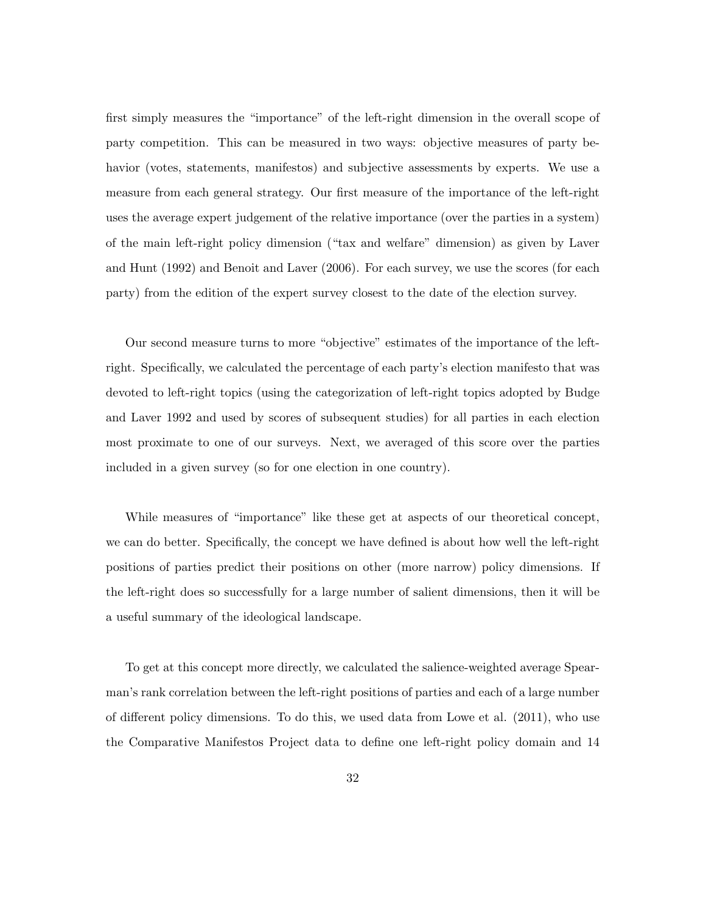first simply measures the "importance" of the left-right dimension in the overall scope of party competition. This can be measured in two ways: objective measures of party behavior (votes, statements, manifestos) and subjective assessments by experts. We use a measure from each general strategy. Our first measure of the importance of the left-right uses the average expert judgement of the relative importance (over the parties in a system) of the main left-right policy dimension ("tax and welfare" dimension) as given by Laver and Hunt (1992) and Benoit and Laver (2006). For each survey, we use the scores (for each party) from the edition of the expert survey closest to the date of the election survey.

Our second measure turns to more "objective" estimates of the importance of the leftright. Specifically, we calculated the percentage of each party's election manifesto that was devoted to left-right topics (using the categorization of left-right topics adopted by Budge and Laver 1992 and used by scores of subsequent studies) for all parties in each election most proximate to one of our surveys. Next, we averaged of this score over the parties included in a given survey (so for one election in one country).

While measures of "importance" like these get at aspects of our theoretical concept, we can do better. Specifically, the concept we have defined is about how well the left-right positions of parties predict their positions on other (more narrow) policy dimensions. If the left-right does so successfully for a large number of salient dimensions, then it will be a useful summary of the ideological landscape.

To get at this concept more directly, we calculated the salience-weighted average Spearman's rank correlation between the left-right positions of parties and each of a large number of different policy dimensions. To do this, we used data from Lowe et al. (2011), who use the Comparative Manifestos Project data to define one left-right policy domain and 14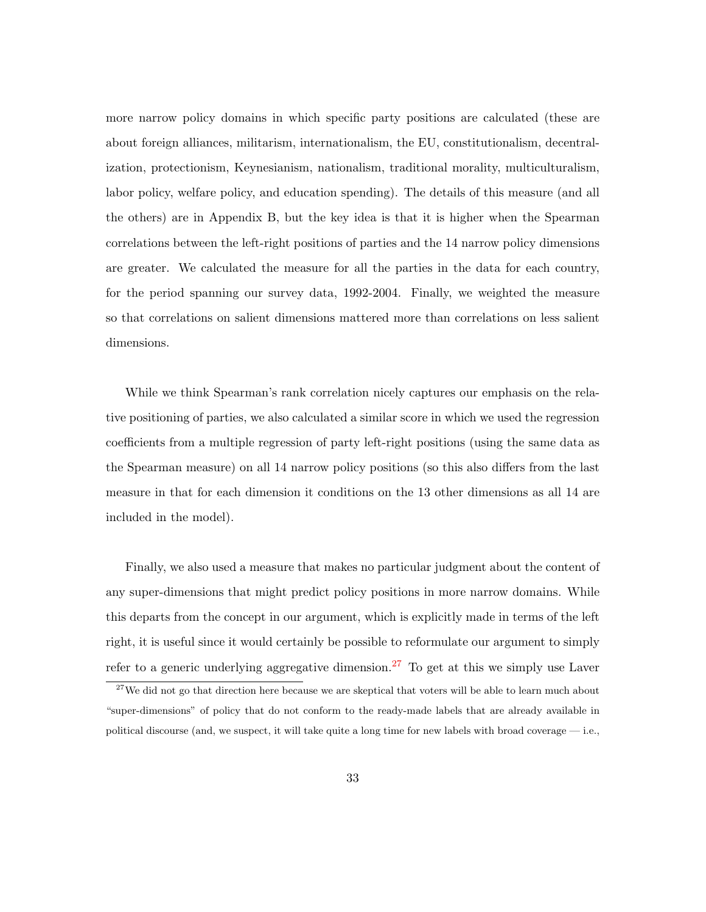more narrow policy domains in which specific party positions are calculated (these are about foreign alliances, militarism, internationalism, the EU, constitutionalism, decentralization, protectionism, Keynesianism, nationalism, traditional morality, multiculturalism, labor policy, welfare policy, and education spending). The details of this measure (and all the others) are in Appendix B, but the key idea is that it is higher when the Spearman correlations between the left-right positions of parties and the 14 narrow policy dimensions are greater. We calculated the measure for all the parties in the data for each country, for the period spanning our survey data, 1992-2004. Finally, we weighted the measure so that correlations on salient dimensions mattered more than correlations on less salient dimensions.

While we think Spearman's rank correlation nicely captures our emphasis on the relative positioning of parties, we also calculated a similar score in which we used the regression coefficients from a multiple regression of party left-right positions (using the same data as the Spearman measure) on all 14 narrow policy positions (so this also differs from the last measure in that for each dimension it conditions on the 13 other dimensions as all 14 are included in the model).

Finally, we also used a measure that makes no particular judgment about the content of any super-dimensions that might predict policy positions in more narrow domains. While this departs from the concept in our argument, which is explicitly made in terms of the left right, it is useful since it would certainly be possible to reformulate our argument to simply refer to a generic underlying aggregative dimension.<sup>[27](#page-32-0)</sup> To get at this we simply use Laver

<span id="page-32-0"></span><sup>&</sup>lt;sup>27</sup>We did not go that direction here because we are skeptical that voters will be able to learn much about "super-dimensions" of policy that do not conform to the ready-made labels that are already available in political discourse (and, we suspect, it will take quite a long time for new labels with broad coverage  $-$  i.e.,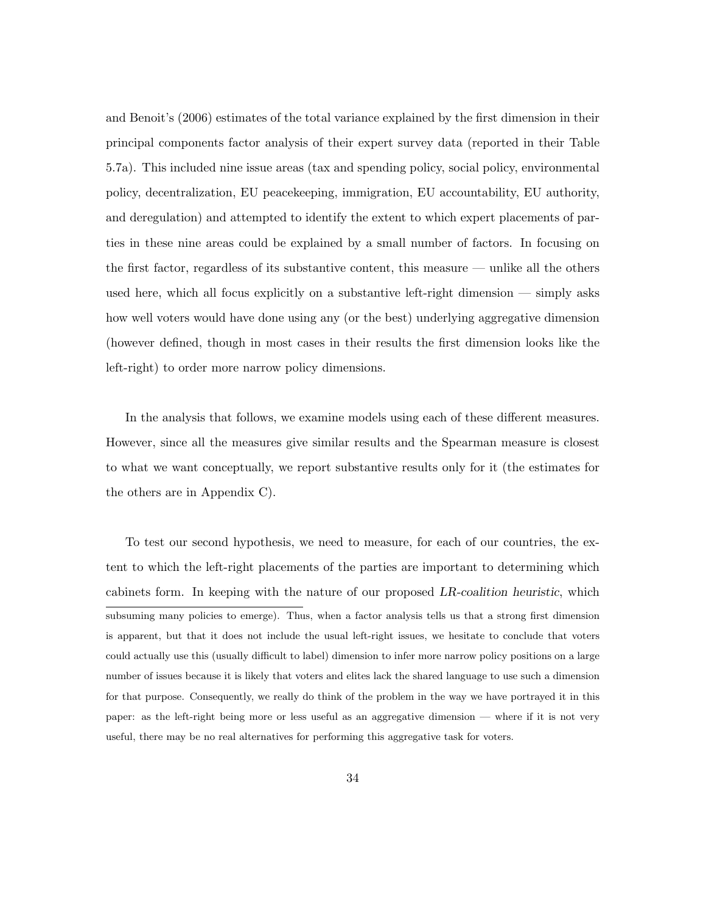and Benoit's (2006) estimates of the total variance explained by the first dimension in their principal components factor analysis of their expert survey data (reported in their Table 5.7a). This included nine issue areas (tax and spending policy, social policy, environmental policy, decentralization, EU peacekeeping, immigration, EU accountability, EU authority, and deregulation) and attempted to identify the extent to which expert placements of parties in these nine areas could be explained by a small number of factors. In focusing on the first factor, regardless of its substantive content, this measure — unlike all the others used here, which all focus explicitly on a substantive left-right dimension — simply asks how well voters would have done using any (or the best) underlying aggregative dimension (however defined, though in most cases in their results the first dimension looks like the left-right) to order more narrow policy dimensions.

In the analysis that follows, we examine models using each of these different measures. However, since all the measures give similar results and the Spearman measure is closest to what we want conceptually, we report substantive results only for it (the estimates for the others are in Appendix C).

To test our second hypothesis, we need to measure, for each of our countries, the extent to which the left-right placements of the parties are important to determining which cabinets form. In keeping with the nature of our proposed LR-coalition heuristic, which subsuming many policies to emerge). Thus, when a factor analysis tells us that a strong first dimension is apparent, but that it does not include the usual left-right issues, we hesitate to conclude that voters could actually use this (usually difficult to label) dimension to infer more narrow policy positions on a large number of issues because it is likely that voters and elites lack the shared language to use such a dimension for that purpose. Consequently, we really do think of the problem in the way we have portrayed it in this paper: as the left-right being more or less useful as an aggregative dimension — where if it is not very useful, there may be no real alternatives for performing this aggregative task for voters.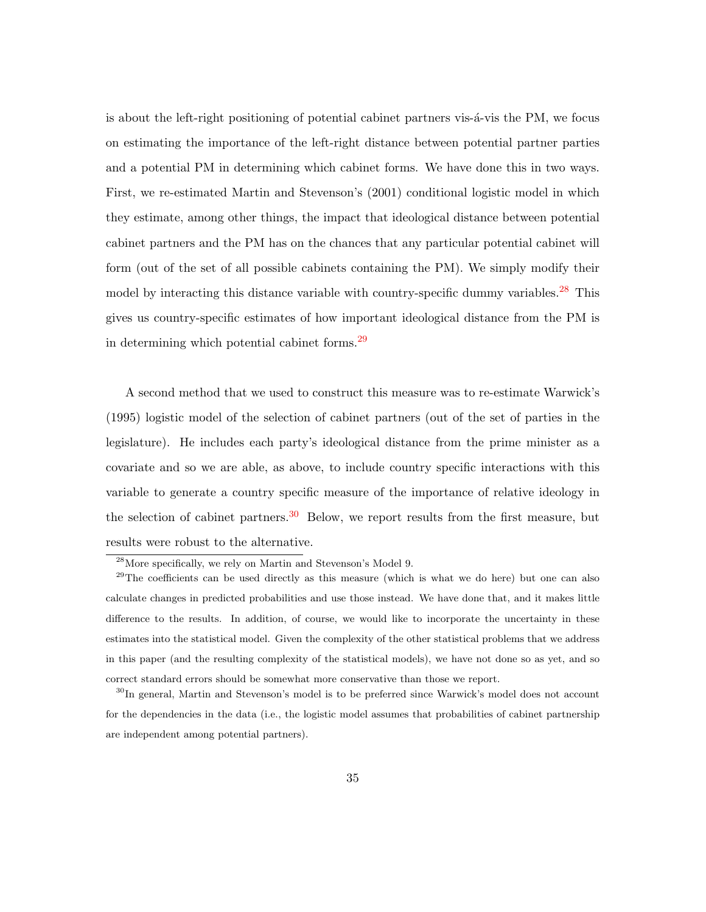is about the left-right positioning of potential cabinet partners vis- $\acute{a}$ -vis the PM, we focus on estimating the importance of the left-right distance between potential partner parties and a potential PM in determining which cabinet forms. We have done this in two ways. First, we re-estimated Martin and Stevenson's (2001) conditional logistic model in which they estimate, among other things, the impact that ideological distance between potential cabinet partners and the PM has on the chances that any particular potential cabinet will form (out of the set of all possible cabinets containing the PM). We simply modify their model by interacting this distance variable with country-specific dummy variables.<sup>[28](#page-34-0)</sup> This gives us country-specific estimates of how important ideological distance from the PM is in determining which potential cabinet forms.<sup>[29](#page-34-1)</sup>

A second method that we used to construct this measure was to re-estimate Warwick's (1995) logistic model of the selection of cabinet partners (out of the set of parties in the legislature). He includes each party's ideological distance from the prime minister as a covariate and so we are able, as above, to include country specific interactions with this variable to generate a country specific measure of the importance of relative ideology in the selection of cabinet partners.<sup>[30](#page-34-2)</sup> Below, we report results from the first measure, but results were robust to the alternative.

<span id="page-34-1"></span><span id="page-34-0"></span><sup>28</sup>More specifically, we rely on Martin and Stevenson's Model 9.

 $29$ The coefficients can be used directly as this measure (which is what we do here) but one can also calculate changes in predicted probabilities and use those instead. We have done that, and it makes little difference to the results. In addition, of course, we would like to incorporate the uncertainty in these estimates into the statistical model. Given the complexity of the other statistical problems that we address in this paper (and the resulting complexity of the statistical models), we have not done so as yet, and so correct standard errors should be somewhat more conservative than those we report.

<span id="page-34-2"></span><sup>&</sup>lt;sup>30</sup>In general, Martin and Stevenson's model is to be preferred since Warwick's model does not account for the dependencies in the data (i.e., the logistic model assumes that probabilities of cabinet partnership are independent among potential partners).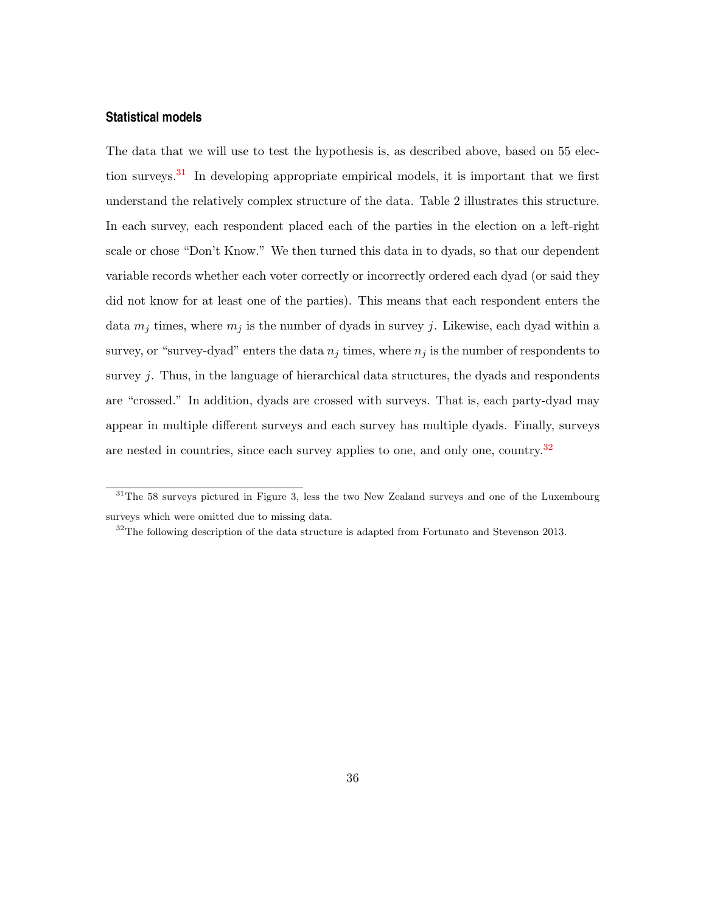#### **Statistical models**

The data that we will use to test the hypothesis is, as described above, based on 55 election surveys.[31](#page-35-0) In developing appropriate empirical models, it is important that we first understand the relatively complex structure of the data. Table 2 illustrates this structure. In each survey, each respondent placed each of the parties in the election on a left-right scale or chose "Don't Know." We then turned this data in to dyads, so that our dependent variable records whether each voter correctly or incorrectly ordered each dyad (or said they did not know for at least one of the parties). This means that each respondent enters the data  $m_j$  times, where  $m_j$  is the number of dyads in survey j. Likewise, each dyad within a survey, or "survey-dyad" enters the data  $n_j$  times, where  $n_j$  is the number of respondents to survey j. Thus, in the language of hierarchical data structures, the dyads and respondents are "crossed." In addition, dyads are crossed with surveys. That is, each party-dyad may appear in multiple different surveys and each survey has multiple dyads. Finally, surveys are nested in countries, since each survey applies to one, and only one, country.<sup>[32](#page-35-1)</sup>

<span id="page-35-0"></span><sup>&</sup>lt;sup>31</sup>The 58 surveys pictured in Figure 3, less the two New Zealand surveys and one of the Luxembourg surveys which were omitted due to missing data.

<span id="page-35-1"></span> $32$ The following description of the data structure is adapted from Fortunato and Stevenson 2013.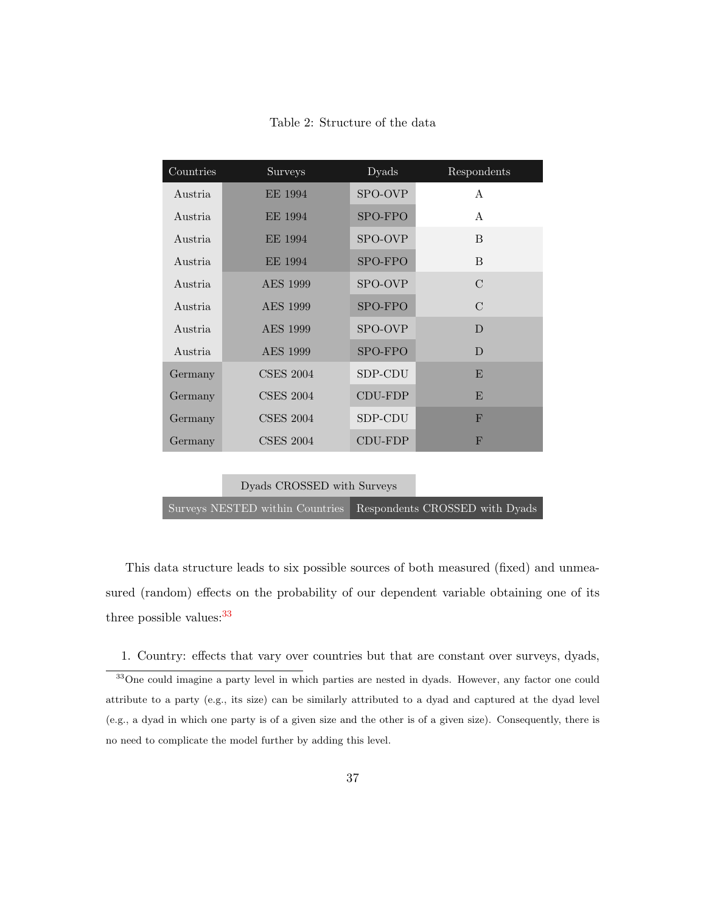Table 2: Structure of the data

Dyads CROSSED with Surveys

Surveys NESTED within Countries Respondents CROSSED with Dyads

This data structure leads to six possible sources of both measured (fixed) and unmeasured (random) effects on the probability of our dependent variable obtaining one of its three possible values:  $33$ 

<span id="page-36-0"></span>1. Country: effects that vary over countries but that are constant over surveys, dyads, <sup>33</sup>One could imagine a party level in which parties are nested in dyads. However, any factor one could

attribute to a party (e.g., its size) can be similarly attributed to a dyad and captured at the dyad level (e.g., a dyad in which one party is of a given size and the other is of a given size). Consequently, there is no need to complicate the model further by adding this level.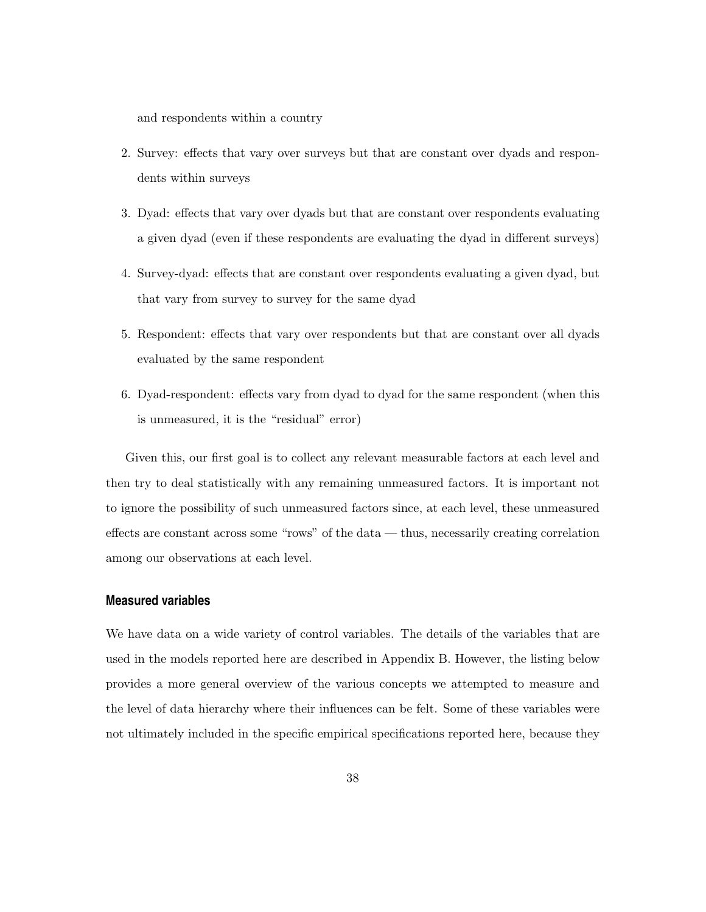and respondents within a country

- 2. Survey: effects that vary over surveys but that are constant over dyads and respondents within surveys
- 3. Dyad: effects that vary over dyads but that are constant over respondents evaluating a given dyad (even if these respondents are evaluating the dyad in different surveys)
- 4. Survey-dyad: effects that are constant over respondents evaluating a given dyad, but that vary from survey to survey for the same dyad
- 5. Respondent: effects that vary over respondents but that are constant over all dyads evaluated by the same respondent
- 6. Dyad-respondent: effects vary from dyad to dyad for the same respondent (when this is unmeasured, it is the "residual" error)

Given this, our first goal is to collect any relevant measurable factors at each level and then try to deal statistically with any remaining unmeasured factors. It is important not to ignore the possibility of such unmeasured factors since, at each level, these unmeasured effects are constant across some "rows" of the data — thus, necessarily creating correlation among our observations at each level.

#### **Measured variables**

We have data on a wide variety of control variables. The details of the variables that are used in the models reported here are described in Appendix B. However, the listing below provides a more general overview of the various concepts we attempted to measure and the level of data hierarchy where their influences can be felt. Some of these variables were not ultimately included in the specific empirical specifications reported here, because they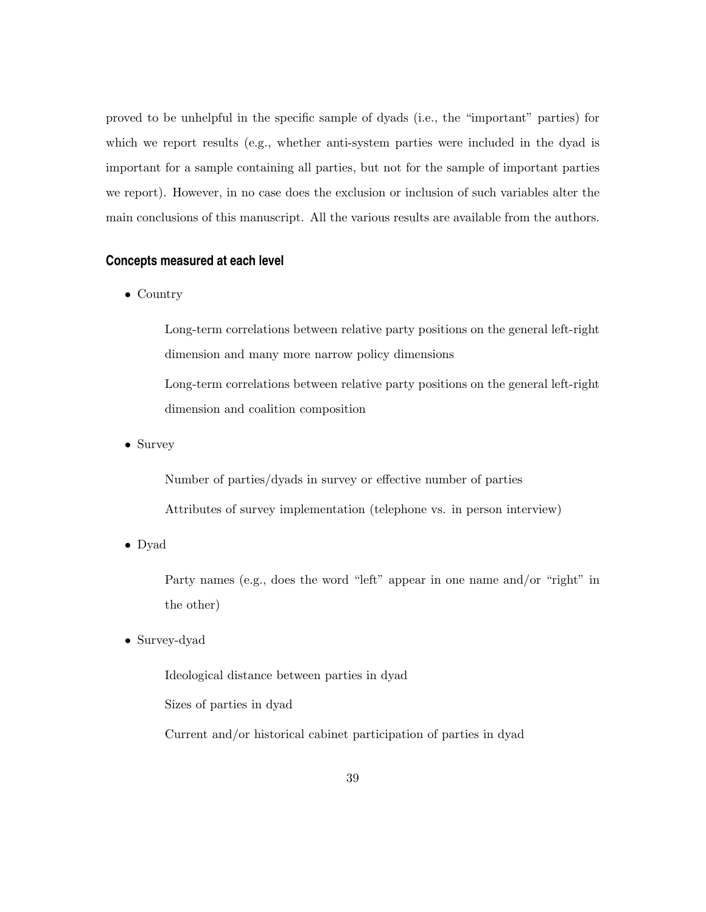proved to be unhelpful in the specific sample of dyads (i.e., the "important" parties) for which we report results (e.g., whether anti-system parties were included in the dyad is important for a sample containing all parties, but not for the sample of important parties we report). However, in no case does the exclusion or inclusion of such variables alter the main conclusions of this manuscript. All the various results are available from the authors.

## **Concepts measured at each level**

• Country

Long-term correlations between relative party positions on the general left-right dimension and many more narrow policy dimensions Long-term correlations between relative party positions on the general left-right dimension and coalition composition

• Survey

Number of parties/dyads in survey or effective number of parties Attributes of survey implementation (telephone vs. in person interview)

• Dyad

Party names (e.g., does the word "left" appear in one name and/or "right" in the other)

• Survey-dyad

Ideological distance between parties in dyad Sizes of parties in dyad Current and/or historical cabinet participation of parties in dyad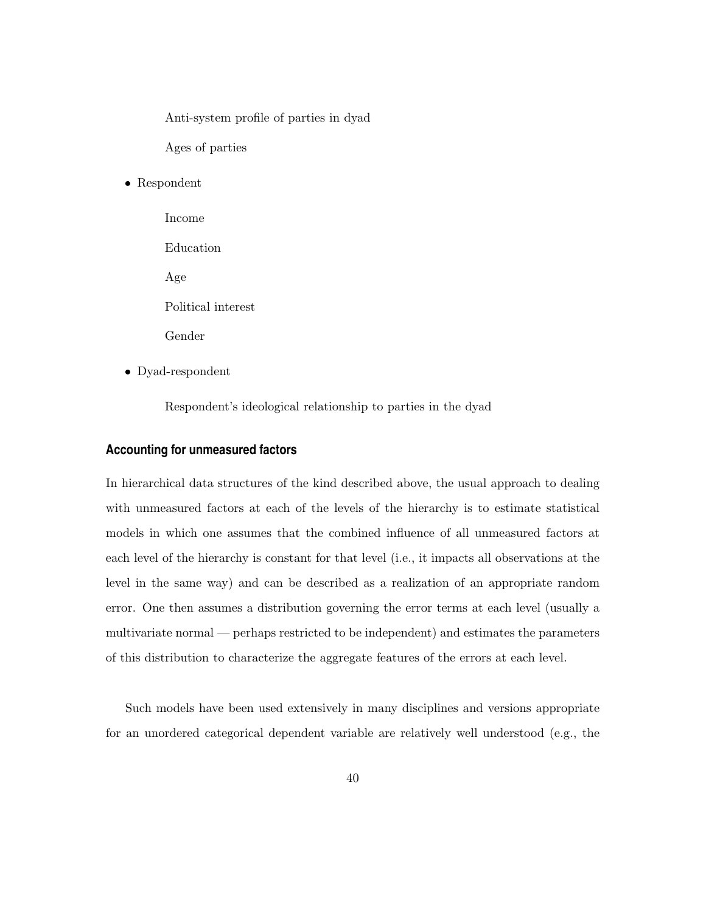Anti-system profile of parties in dyad

Ages of parties

• Respondent

Income Education Age Political interest Gender

• Dyad-respondent

Respondent's ideological relationship to parties in the dyad

#### **Accounting for unmeasured factors**

In hierarchical data structures of the kind described above, the usual approach to dealing with unmeasured factors at each of the levels of the hierarchy is to estimate statistical models in which one assumes that the combined influence of all unmeasured factors at each level of the hierarchy is constant for that level (i.e., it impacts all observations at the level in the same way) and can be described as a realization of an appropriate random error. One then assumes a distribution governing the error terms at each level (usually a multivariate normal — perhaps restricted to be independent) and estimates the parameters of this distribution to characterize the aggregate features of the errors at each level.

Such models have been used extensively in many disciplines and versions appropriate for an unordered categorical dependent variable are relatively well understood (e.g., the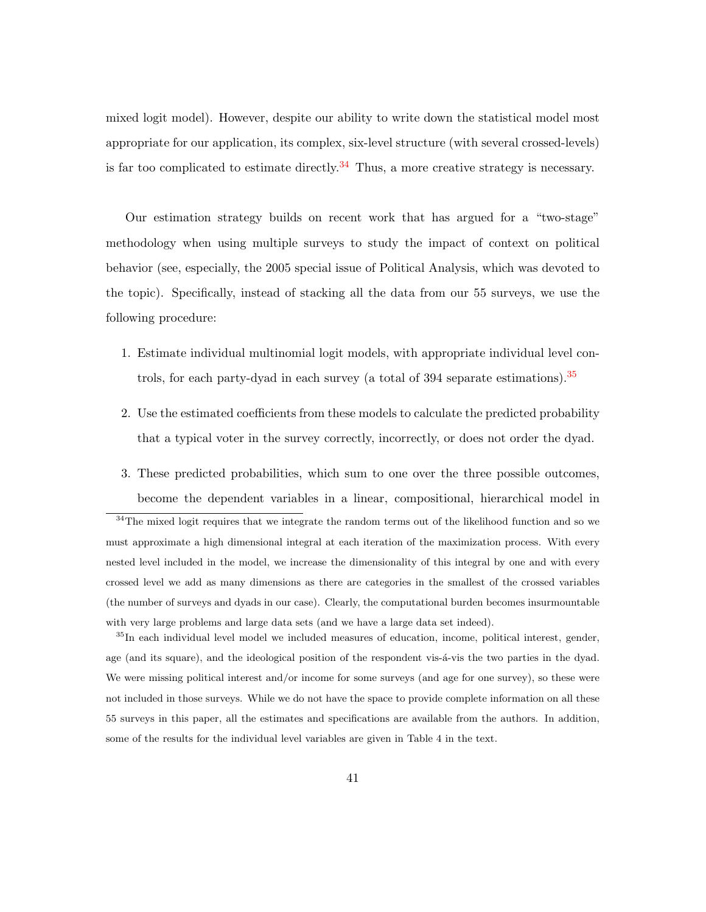mixed logit model). However, despite our ability to write down the statistical model most appropriate for our application, its complex, six-level structure (with several crossed-levels) is far too complicated to estimate directly.<sup>[34](#page-40-0)</sup> Thus, a more creative strategy is necessary.

Our estimation strategy builds on recent work that has argued for a "two-stage" methodology when using multiple surveys to study the impact of context on political behavior (see, especially, the 2005 special issue of Political Analysis, which was devoted to the topic). Specifically, instead of stacking all the data from our 55 surveys, we use the following procedure:

- 1. Estimate individual multinomial logit models, with appropriate individual level controls, for each party-dyad in each survey (a total of 394 separate estimations).[35](#page-40-1)
- 2. Use the estimated coefficients from these models to calculate the predicted probability that a typical voter in the survey correctly, incorrectly, or does not order the dyad.
- 3. These predicted probabilities, which sum to one over the three possible outcomes, become the dependent variables in a linear, compositional, hierarchical model in

<span id="page-40-0"></span> $34$ The mixed logit requires that we integrate the random terms out of the likelihood function and so we must approximate a high dimensional integral at each iteration of the maximization process. With every nested level included in the model, we increase the dimensionality of this integral by one and with every crossed level we add as many dimensions as there are categories in the smallest of the crossed variables (the number of surveys and dyads in our case). Clearly, the computational burden becomes insurmountable with very large problems and large data sets (and we have a large data set indeed).

<span id="page-40-1"></span><sup>35</sup>In each individual level model we included measures of education, income, political interest, gender, age (and its square), and the ideological position of the respondent vis- $\acute{a}$ -vis the two parties in the dyad. We were missing political interest and/or income for some surveys (and age for one survey), so these were not included in those surveys. While we do not have the space to provide complete information on all these 55 surveys in this paper, all the estimates and specifications are available from the authors. In addition, some of the results for the individual level variables are given in Table 4 in the text.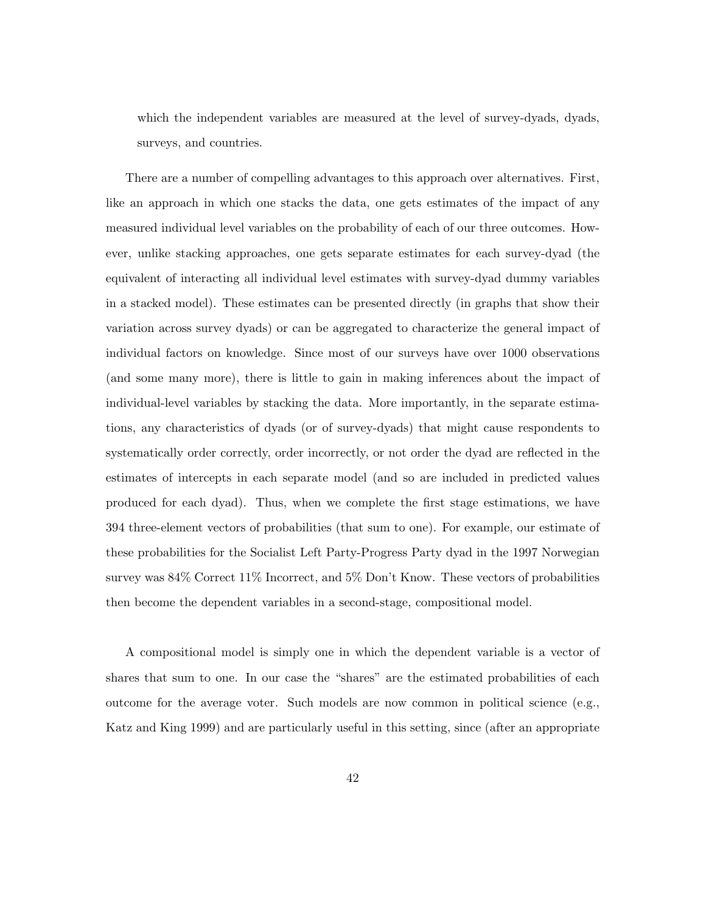which the independent variables are measured at the level of survey-dyads, dyads, surveys, and countries.

There are a number of compelling advantages to this approach over alternatives. First, like an approach in which one stacks the data, one gets estimates of the impact of any measured individual level variables on the probability of each of our three outcomes. However, unlike stacking approaches, one gets separate estimates for each survey-dyad (the equivalent of interacting all individual level estimates with survey-dyad dummy variables in a stacked model). These estimates can be presented directly (in graphs that show their variation across survey dyads) or can be aggregated to characterize the general impact of individual factors on knowledge. Since most of our surveys have over 1000 observations (and some many more), there is little to gain in making inferences about the impact of individual-level variables by stacking the data. More importantly, in the separate estimations, any characteristics of dyads (or of survey-dyads) that might cause respondents to systematically order correctly, order incorrectly, or not order the dyad are reflected in the estimates of intercepts in each separate model (and so are included in predicted values produced for each dyad). Thus, when we complete the first stage estimations, we have 394 three-element vectors of probabilities (that sum to one). For example, our estimate of these probabilities for the Socialist Left Party-Progress Party dyad in the 1997 Norwegian survey was 84% Correct 11% Incorrect, and 5% Don't Know. These vectors of probabilities then become the dependent variables in a second-stage, compositional model.

A compositional model is simply one in which the dependent variable is a vector of shares that sum to one. In our case the "shares" are the estimated probabilities of each outcome for the average voter. Such models are now common in political science (e.g., Katz and King 1999) and are particularly useful in this setting, since (after an appropriate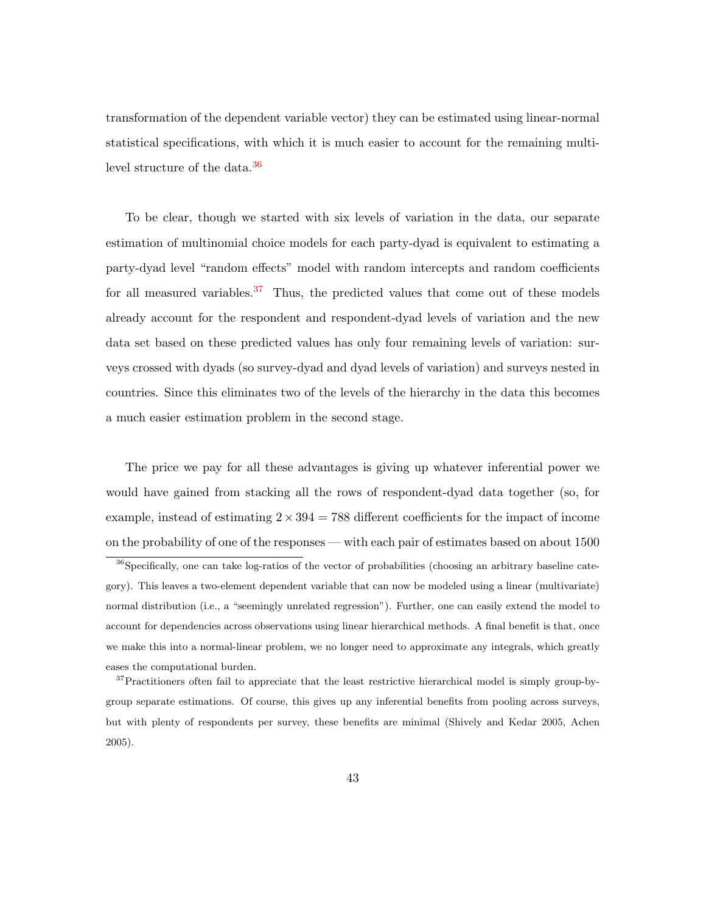transformation of the dependent variable vector) they can be estimated using linear-normal statistical specifications, with which it is much easier to account for the remaining multi-level structure of the data.<sup>[36](#page-42-0)</sup>

To be clear, though we started with six levels of variation in the data, our separate estimation of multinomial choice models for each party-dyad is equivalent to estimating a party-dyad level "random effects" model with random intercepts and random coefficients for all measured variables.<sup>[37](#page-42-1)</sup> Thus, the predicted values that come out of these models already account for the respondent and respondent-dyad levels of variation and the new data set based on these predicted values has only four remaining levels of variation: surveys crossed with dyads (so survey-dyad and dyad levels of variation) and surveys nested in countries. Since this eliminates two of the levels of the hierarchy in the data this becomes a much easier estimation problem in the second stage.

The price we pay for all these advantages is giving up whatever inferential power we would have gained from stacking all the rows of respondent-dyad data together (so, for example, instead of estimating  $2 \times 394 = 788$  different coefficients for the impact of income on the probability of one of the responses — with each pair of estimates based on about 1500

<span id="page-42-0"></span> $36$ Specifically, one can take log-ratios of the vector of probabilities (choosing an arbitrary baseline category). This leaves a two-element dependent variable that can now be modeled using a linear (multivariate) normal distribution (i.e., a "seemingly unrelated regression"). Further, one can easily extend the model to account for dependencies across observations using linear hierarchical methods. A final benefit is that, once we make this into a normal-linear problem, we no longer need to approximate any integrals, which greatly eases the computational burden.

<span id="page-42-1"></span><sup>&</sup>lt;sup>37</sup>Practitioners often fail to appreciate that the least restrictive hierarchical model is simply group-bygroup separate estimations. Of course, this gives up any inferential benefits from pooling across surveys, but with plenty of respondents per survey, these benefits are minimal (Shively and Kedar 2005, Achen 2005).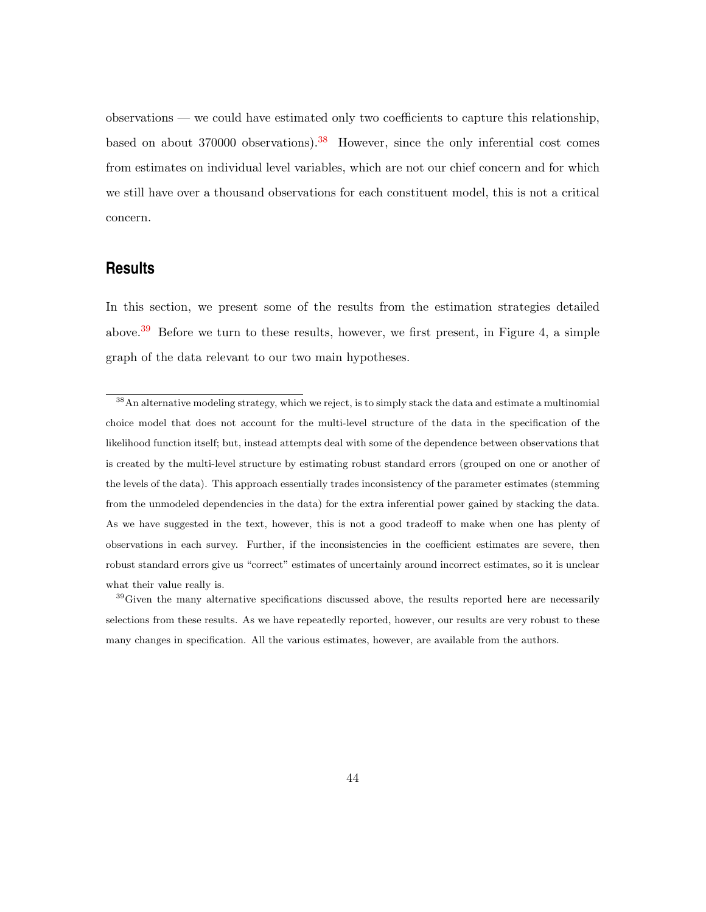observations — we could have estimated only two coefficients to capture this relationship, based on about  $370000$  observations).<sup>[38](#page-43-0)</sup> However, since the only inferential cost comes from estimates on individual level variables, which are not our chief concern and for which we still have over a thousand observations for each constituent model, this is not a critical concern.

## **Results**

In this section, we present some of the results from the estimation strategies detailed above.<sup>[39](#page-43-1)</sup> Before we turn to these results, however, we first present, in Figure 4, a simple graph of the data relevant to our two main hypotheses.

<span id="page-43-0"></span><sup>&</sup>lt;sup>38</sup>An alternative modeling strategy, which we reject, is to simply stack the data and estimate a multinomial choice model that does not account for the multi-level structure of the data in the specification of the likelihood function itself; but, instead attempts deal with some of the dependence between observations that is created by the multi-level structure by estimating robust standard errors (grouped on one or another of the levels of the data). This approach essentially trades inconsistency of the parameter estimates (stemming from the unmodeled dependencies in the data) for the extra inferential power gained by stacking the data. As we have suggested in the text, however, this is not a good tradeoff to make when one has plenty of observations in each survey. Further, if the inconsistencies in the coefficient estimates are severe, then robust standard errors give us "correct" estimates of uncertainly around incorrect estimates, so it is unclear what their value really is.

<span id="page-43-1"></span> $39\,\text{Given}$  the many alternative specifications discussed above, the results reported here are necessarily selections from these results. As we have repeatedly reported, however, our results are very robust to these many changes in specification. All the various estimates, however, are available from the authors.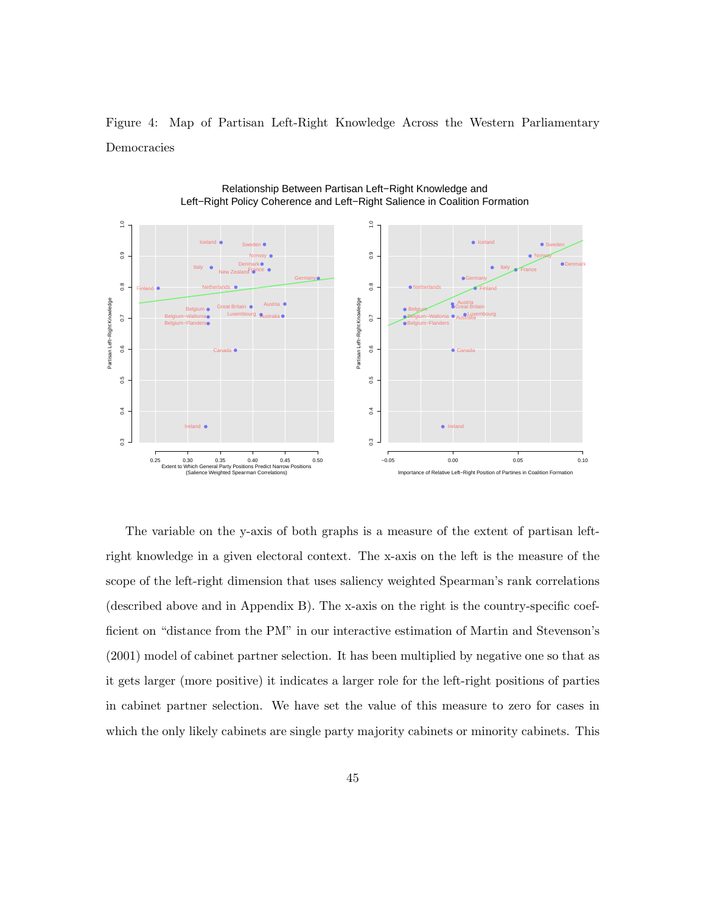Figure 4: Map of Partisan Left-Right Knowledge Across the Western Parliamentary Democracies





The variable on the y-axis of both graphs is a measure of the extent of partisan leftright knowledge in a given electoral context. The x-axis on the left is the measure of the scope of the left-right dimension that uses saliency weighted Spearman's rank correlations (described above and in Appendix B). The x-axis on the right is the country-specific coefficient on "distance from the PM" in our interactive estimation of Martin and Stevenson's (2001) model of cabinet partner selection. It has been multiplied by negative one so that as it gets larger (more positive) it indicates a larger role for the left-right positions of parties in cabinet partner selection. We have set the value of this measure to zero for cases in which the only likely cabinets are single party majority cabinets or minority cabinets. This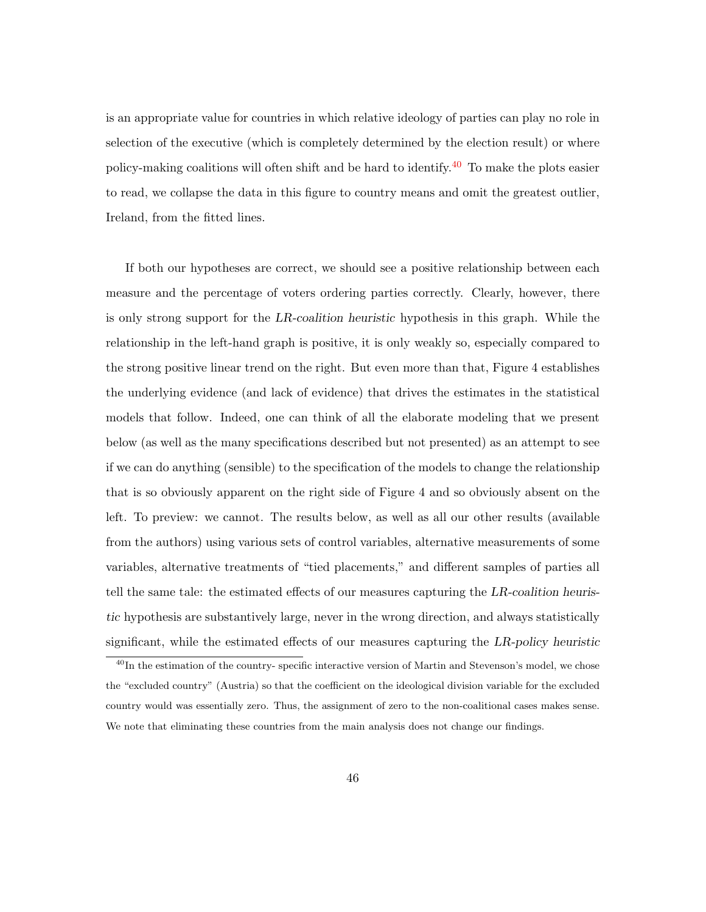is an appropriate value for countries in which relative ideology of parties can play no role in selection of the executive (which is completely determined by the election result) or where policy-making coalitions will often shift and be hard to identify.[40](#page-45-0) To make the plots easier to read, we collapse the data in this figure to country means and omit the greatest outlier, Ireland, from the fitted lines.

If both our hypotheses are correct, we should see a positive relationship between each measure and the percentage of voters ordering parties correctly. Clearly, however, there is only strong support for the LR-coalition heuristic hypothesis in this graph. While the relationship in the left-hand graph is positive, it is only weakly so, especially compared to the strong positive linear trend on the right. But even more than that, Figure 4 establishes the underlying evidence (and lack of evidence) that drives the estimates in the statistical models that follow. Indeed, one can think of all the elaborate modeling that we present below (as well as the many specifications described but not presented) as an attempt to see if we can do anything (sensible) to the specification of the models to change the relationship that is so obviously apparent on the right side of Figure 4 and so obviously absent on the left. To preview: we cannot. The results below, as well as all our other results (available from the authors) using various sets of control variables, alternative measurements of some variables, alternative treatments of "tied placements," and different samples of parties all tell the same tale: the estimated effects of our measures capturing the LR-coalition heuristic hypothesis are substantively large, never in the wrong direction, and always statistically significant, while the estimated effects of our measures capturing the LR-policy heuristic

<span id="page-45-0"></span><sup>&</sup>lt;sup>40</sup>In the estimation of the country- specific interactive version of Martin and Stevenson's model, we chose the "excluded country" (Austria) so that the coefficient on the ideological division variable for the excluded country would was essentially zero. Thus, the assignment of zero to the non-coalitional cases makes sense. We note that eliminating these countries from the main analysis does not change our findings.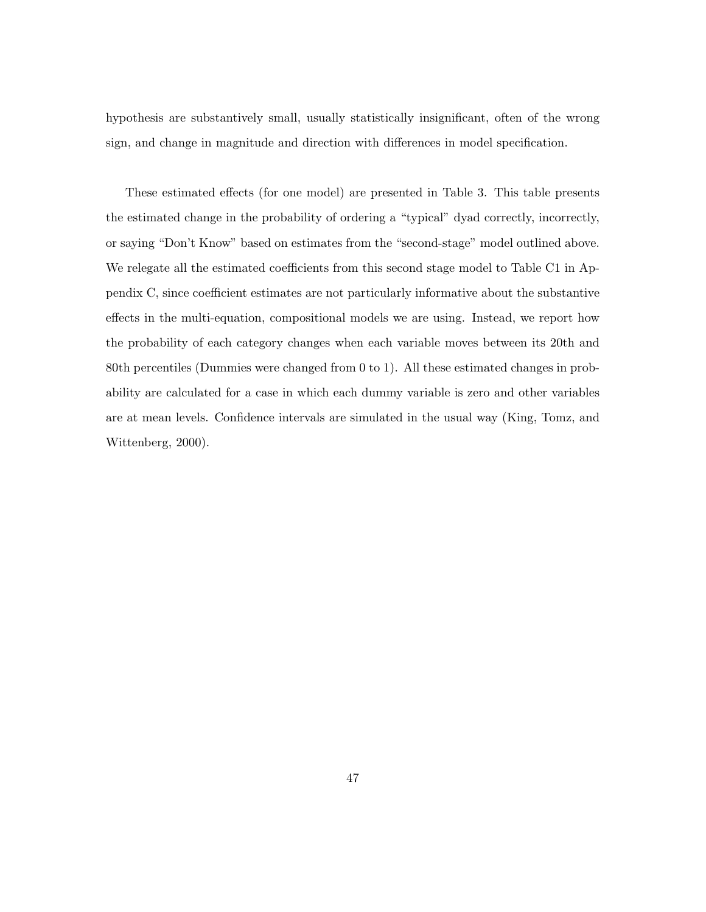hypothesis are substantively small, usually statistically insignificant, often of the wrong sign, and change in magnitude and direction with differences in model specification.

These estimated effects (for one model) are presented in Table 3. This table presents the estimated change in the probability of ordering a "typical" dyad correctly, incorrectly, or saying "Don't Know" based on estimates from the "second-stage" model outlined above. We relegate all the estimated coefficients from this second stage model to Table C1 in Appendix C, since coefficient estimates are not particularly informative about the substantive effects in the multi-equation, compositional models we are using. Instead, we report how the probability of each category changes when each variable moves between its 20th and 80th percentiles (Dummies were changed from 0 to 1). All these estimated changes in probability are calculated for a case in which each dummy variable is zero and other variables are at mean levels. Confidence intervals are simulated in the usual way (King, Tomz, and Wittenberg, 2000).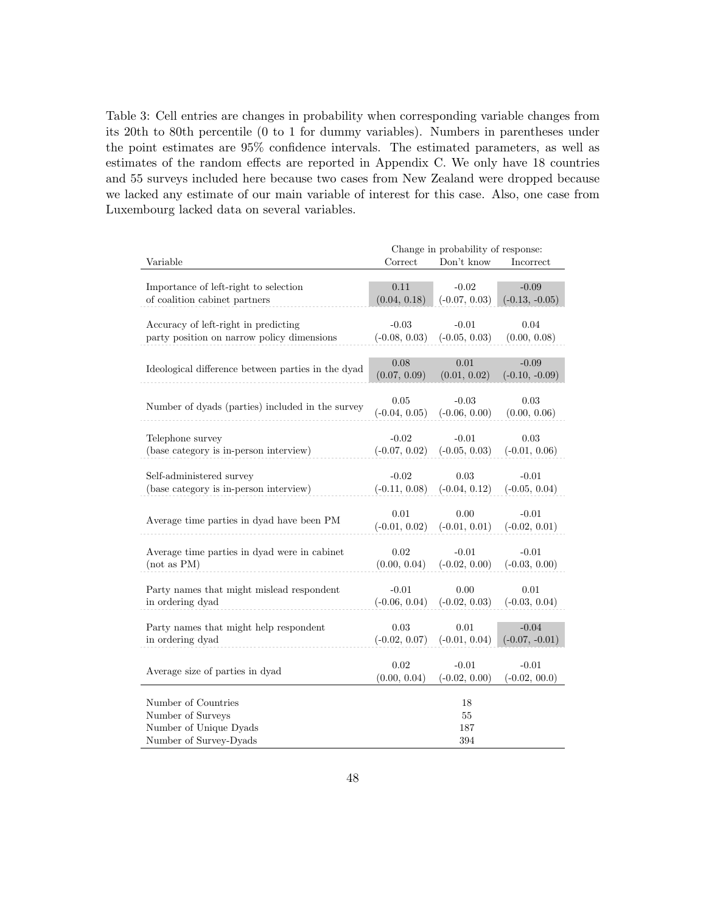Table 3: Cell entries are changes in probability when corresponding variable changes from its 20th to 80th percentile (0 to 1 for dummy variables). Numbers in parentheses under the point estimates are 95% confidence intervals. The estimated parameters, as well as estimates of the random effects are reported in Appendix C. We only have 18 countries and 55 surveys included here because two cases from New Zealand were dropped because we lacked any estimate of our main variable of interest for this case. Also, one case from Luxembourg lacked data on several variables.

|                                                    |                 | Change in probability of response: |                  |
|----------------------------------------------------|-----------------|------------------------------------|------------------|
| Variable                                           | Correct         | Don't know                         | Incorrect        |
|                                                    |                 |                                    |                  |
| Importance of left-right to selection              | 0.11            | $-0.02$                            | $-0.09$          |
| of coalition cabinet partners                      | (0.04, 0.18)    | $(-0.07, 0.03)$                    | $(-0.13, -0.05)$ |
|                                                    |                 |                                    |                  |
| Accuracy of left-right in predicting               | $-0.03$         | $-0.01$                            | 0.04             |
| party position on narrow policy dimensions         | $(-0.08, 0.03)$ | $(-0.05, 0.03)$                    | (0.00, 0.08)     |
|                                                    |                 |                                    |                  |
|                                                    | 0.08            | 0.01                               | $-0.09$          |
| Ideological difference between parties in the dyad | (0.07, 0.09)    | (0.01, 0.02)                       | $(-0.10, -0.09)$ |
|                                                    |                 |                                    |                  |
|                                                    | 0.05            | $-0.03$                            | 0.03             |
| Number of dyads (parties) included in the survey   | $(-0.04, 0.05)$ | $(-0.06, 0.00)$                    | (0.00, 0.06)     |
|                                                    |                 |                                    |                  |
| Telephone survey                                   | $-0.02$         | $-0.01$                            | $0.03\,$         |
| (base category is in-person interview)             | $(-0.07, 0.02)$ | $(-0.05, 0.03)$                    | $(-0.01, 0.06)$  |
|                                                    |                 |                                    |                  |
| Self-administered survey                           | $-0.02$         | 0.03                               | $-0.01$          |
| (base category is in-person interview)             | $(-0.11, 0.08)$ | $(-0.04, 0.12)$                    | $(-0.05, 0.04)$  |
|                                                    |                 |                                    |                  |
|                                                    | 0.01            | 0.00                               | $-0.01$          |
| Average time parties in dyad have been PM          | $(-0.01, 0.02)$ | $(-0.01, 0.01)$                    | $(-0.02, 0.01)$  |
|                                                    |                 |                                    |                  |
| Average time parties in dyad were in cabinet       | 0.02            | $-0.01$                            | $-0.01$          |
| (not as PM)                                        | (0.00, 0.04)    | $(-0.02, 0.00)$                    | $(-0.03, 0.00)$  |
|                                                    |                 |                                    |                  |
| Party names that might mislead respondent          | $-0.01$         | 0.00                               | 0.01             |
| in ordering dyad                                   | $(-0.06, 0.04)$ | $(-0.02, 0.03)$                    | $(-0.03, 0.04)$  |
|                                                    |                 |                                    |                  |
|                                                    | 0.03            | 0.01                               | $-0.04$          |
| Party names that might help respondent             |                 |                                    |                  |
| in ordering dyad                                   | $(-0.02, 0.07)$ | $(-0.01, 0.04)$                    | $(-0.07, -0.01)$ |
|                                                    | 0.02            | $-0.01$                            | $-0.01$          |
| Average size of parties in dyad                    |                 |                                    |                  |
|                                                    | (0.00, 0.04)    | $(-0.02, 0.00)$                    | $(-0.02, 00.0)$  |
| Number of Countries                                |                 |                                    |                  |
|                                                    |                 | 18                                 |                  |
| Number of Surveys                                  |                 | 55                                 |                  |
| Number of Unique Dyads                             |                 | 187                                |                  |
| Number of Survey-Dyads                             |                 | 394                                |                  |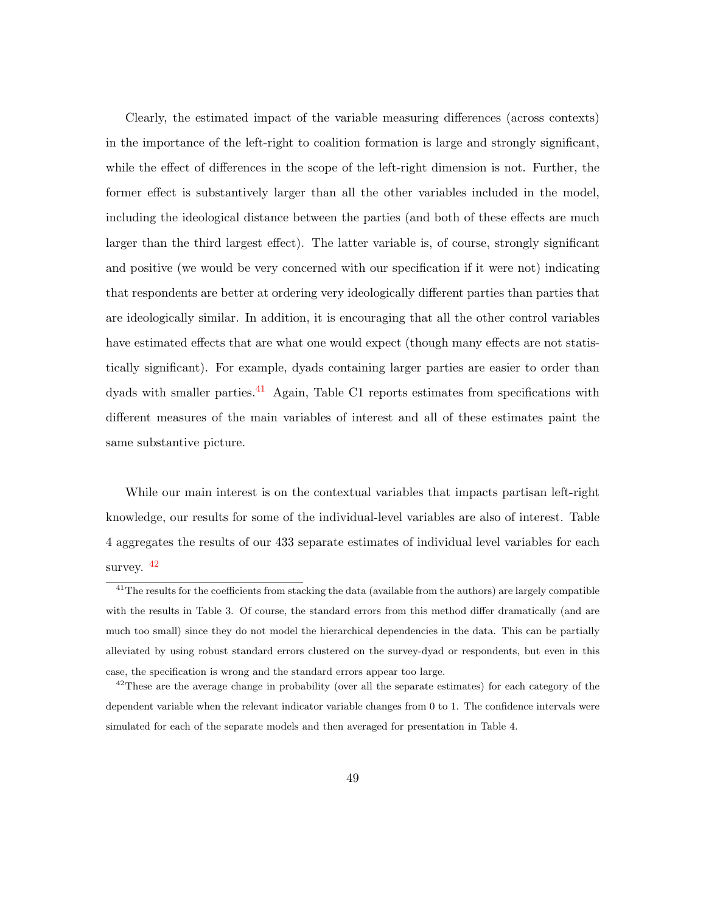Clearly, the estimated impact of the variable measuring differences (across contexts) in the importance of the left-right to coalition formation is large and strongly significant, while the effect of differences in the scope of the left-right dimension is not. Further, the former effect is substantively larger than all the other variables included in the model, including the ideological distance between the parties (and both of these effects are much larger than the third largest effect). The latter variable is, of course, strongly significant and positive (we would be very concerned with our specification if it were not) indicating that respondents are better at ordering very ideologically different parties than parties that are ideologically similar. In addition, it is encouraging that all the other control variables have estimated effects that are what one would expect (though many effects are not statistically significant). For example, dyads containing larger parties are easier to order than dyads with smaller parties.<sup>[41](#page-48-0)</sup> Again, Table C1 reports estimates from specifications with different measures of the main variables of interest and all of these estimates paint the same substantive picture.

While our main interest is on the contextual variables that impacts partisan left-right knowledge, our results for some of the individual-level variables are also of interest. Table 4 aggregates the results of our 433 separate estimates of individual level variables for each survey.  $42$ 

<span id="page-48-0"></span> $41$ The results for the coefficients from stacking the data (available from the authors) are largely compatible with the results in Table 3. Of course, the standard errors from this method differ dramatically (and are much too small) since they do not model the hierarchical dependencies in the data. This can be partially alleviated by using robust standard errors clustered on the survey-dyad or respondents, but even in this case, the specification is wrong and the standard errors appear too large.

<span id="page-48-1"></span><sup>&</sup>lt;sup>42</sup>These are the average change in probability (over all the separate estimates) for each category of the dependent variable when the relevant indicator variable changes from 0 to 1. The confidence intervals were simulated for each of the separate models and then averaged for presentation in Table 4.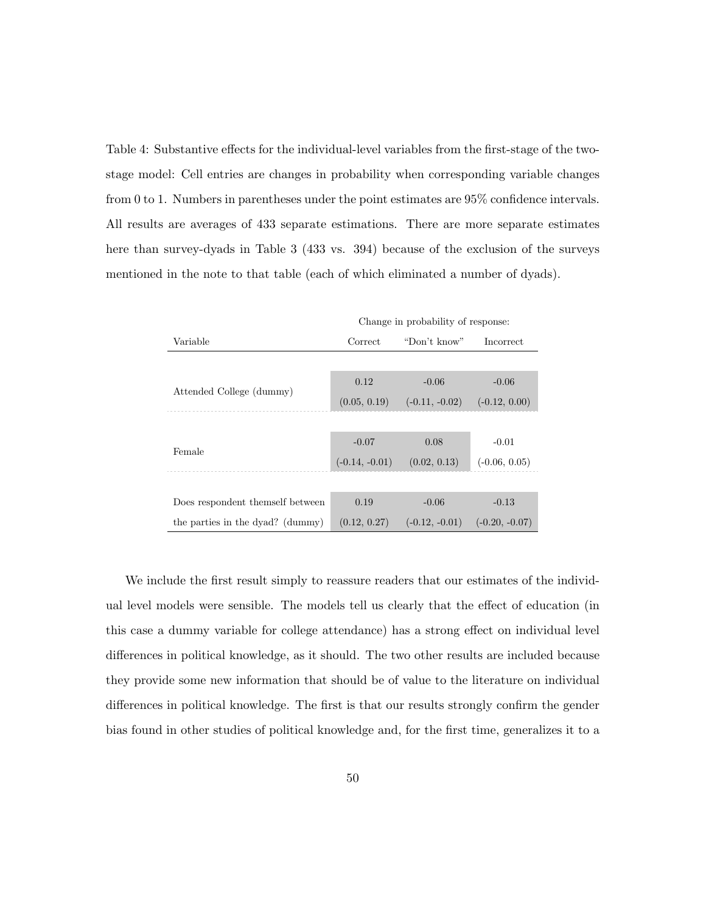Table 4: Substantive effects for the individual-level variables from the first-stage of the twostage model: Cell entries are changes in probability when corresponding variable changes from 0 to 1. Numbers in parentheses under the point estimates are 95% confidence intervals. All results are averages of 433 separate estimations. There are more separate estimates here than survey-dyads in Table 3 (433 vs. 394) because of the exclusion of the surveys mentioned in the note to that table (each of which eliminated a number of dyads).

|                                  |                  | Change in probability of response: |                  |
|----------------------------------|------------------|------------------------------------|------------------|
| Variable                         | Correct          | "Don't know"                       | <i>Incorrect</i> |
|                                  |                  |                                    |                  |
|                                  | 0.12             | $-0.06$                            | $-0.06$          |
| Attended College (dummy)         | (0.05, 0.19)     | $(-0.11, -0.02)$                   | $(-0.12, 0.00)$  |
|                                  |                  |                                    |                  |
|                                  | $-0.07$          | 0.08                               | $-0.01$          |
| Female                           | $(-0.14, -0.01)$ | (0.02, 0.13)                       | $(-0.06, 0.05)$  |
|                                  |                  |                                    |                  |
| Does respondent themself between | 0.19             | $-0.06$                            | $-0.13$          |
| the parties in the dyad? (dummy) | (0.12, 0.27)     | $(-0.12, -0.01)$                   | $(-0.20, -0.07)$ |

We include the first result simply to reassure readers that our estimates of the individual level models were sensible. The models tell us clearly that the effect of education (in this case a dummy variable for college attendance) has a strong effect on individual level differences in political knowledge, as it should. The two other results are included because they provide some new information that should be of value to the literature on individual differences in political knowledge. The first is that our results strongly confirm the gender bias found in other studies of political knowledge and, for the first time, generalizes it to a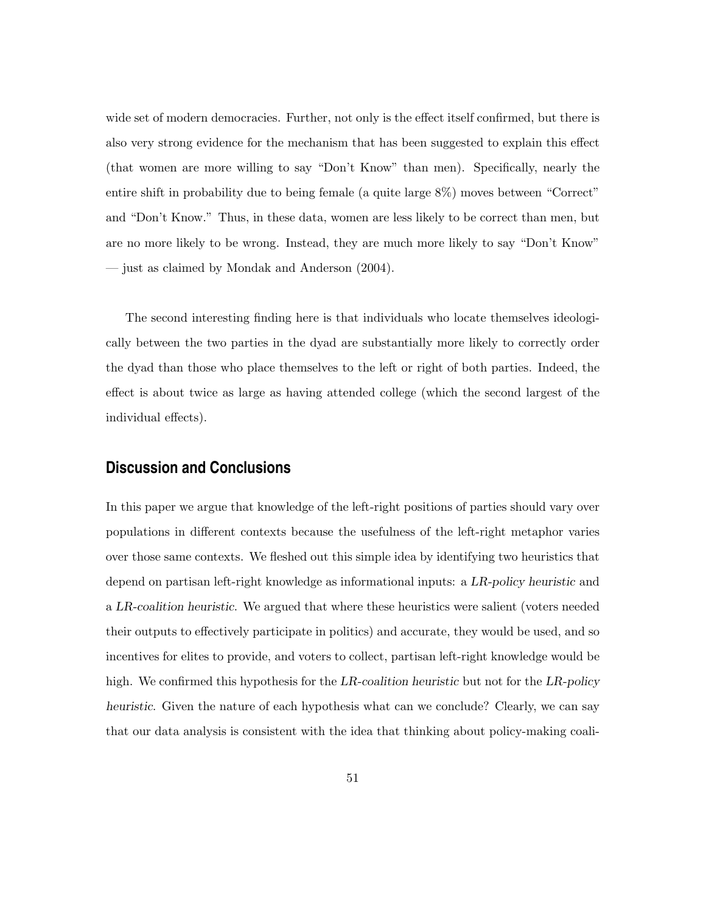wide set of modern democracies. Further, not only is the effect itself confirmed, but there is also very strong evidence for the mechanism that has been suggested to explain this effect (that women are more willing to say "Don't Know" than men). Specifically, nearly the entire shift in probability due to being female (a quite large 8%) moves between "Correct" and "Don't Know." Thus, in these data, women are less likely to be correct than men, but are no more likely to be wrong. Instead, they are much more likely to say "Don't Know" — just as claimed by Mondak and Anderson (2004).

The second interesting finding here is that individuals who locate themselves ideologically between the two parties in the dyad are substantially more likely to correctly order the dyad than those who place themselves to the left or right of both parties. Indeed, the effect is about twice as large as having attended college (which the second largest of the individual effects).

## **Discussion and Conclusions**

In this paper we argue that knowledge of the left-right positions of parties should vary over populations in different contexts because the usefulness of the left-right metaphor varies over those same contexts. We fleshed out this simple idea by identifying two heuristics that depend on partisan left-right knowledge as informational inputs: a LR-policy heuristic and a LR-coalition heuristic. We argued that where these heuristics were salient (voters needed their outputs to effectively participate in politics) and accurate, they would be used, and so incentives for elites to provide, and voters to collect, partisan left-right knowledge would be high. We confirmed this hypothesis for the LR-coalition heuristic but not for the LR-policy heuristic. Given the nature of each hypothesis what can we conclude? Clearly, we can say that our data analysis is consistent with the idea that thinking about policy-making coali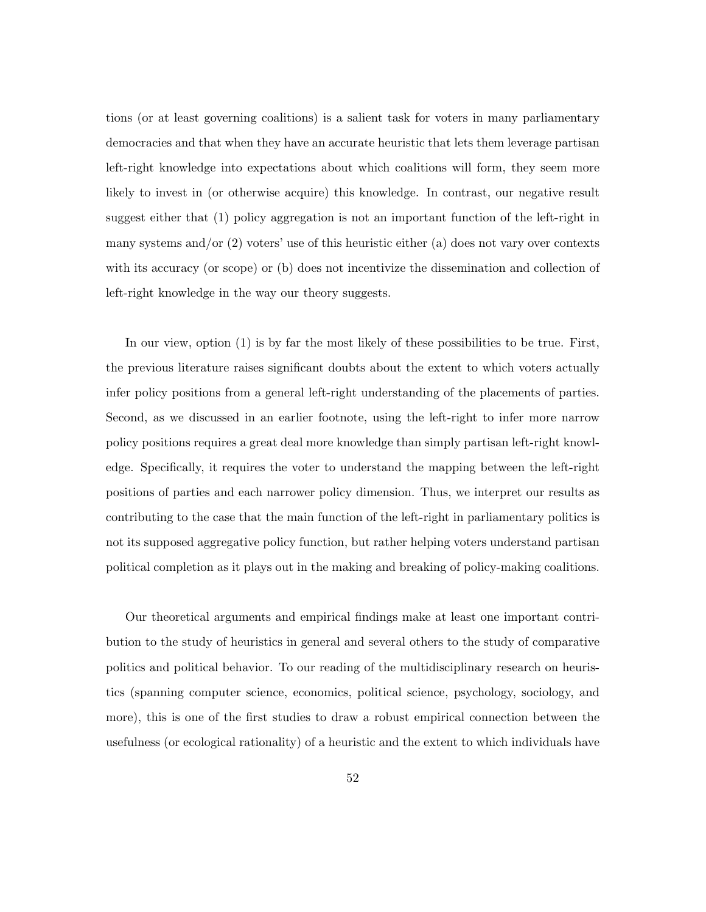tions (or at least governing coalitions) is a salient task for voters in many parliamentary democracies and that when they have an accurate heuristic that lets them leverage partisan left-right knowledge into expectations about which coalitions will form, they seem more likely to invest in (or otherwise acquire) this knowledge. In contrast, our negative result suggest either that (1) policy aggregation is not an important function of the left-right in many systems and/or  $(2)$  voters' use of this heuristic either  $(a)$  does not vary over contexts with its accuracy (or scope) or (b) does not incentivize the dissemination and collection of left-right knowledge in the way our theory suggests.

In our view, option (1) is by far the most likely of these possibilities to be true. First, the previous literature raises significant doubts about the extent to which voters actually infer policy positions from a general left-right understanding of the placements of parties. Second, as we discussed in an earlier footnote, using the left-right to infer more narrow policy positions requires a great deal more knowledge than simply partisan left-right knowledge. Specifically, it requires the voter to understand the mapping between the left-right positions of parties and each narrower policy dimension. Thus, we interpret our results as contributing to the case that the main function of the left-right in parliamentary politics is not its supposed aggregative policy function, but rather helping voters understand partisan political completion as it plays out in the making and breaking of policy-making coalitions.

Our theoretical arguments and empirical findings make at least one important contribution to the study of heuristics in general and several others to the study of comparative politics and political behavior. To our reading of the multidisciplinary research on heuristics (spanning computer science, economics, political science, psychology, sociology, and more), this is one of the first studies to draw a robust empirical connection between the usefulness (or ecological rationality) of a heuristic and the extent to which individuals have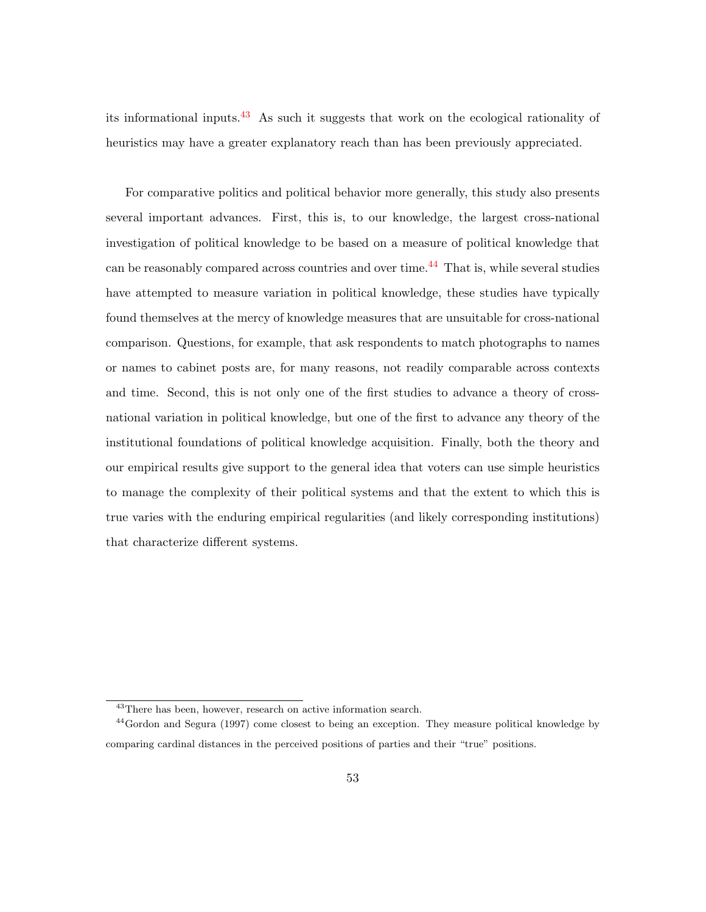its informational inputs.[43](#page-52-0) As such it suggests that work on the ecological rationality of heuristics may have a greater explanatory reach than has been previously appreciated.

For comparative politics and political behavior more generally, this study also presents several important advances. First, this is, to our knowledge, the largest cross-national investigation of political knowledge to be based on a measure of political knowledge that can be reasonably compared across countries and over time.<sup> $44$ </sup> That is, while several studies have attempted to measure variation in political knowledge, these studies have typically found themselves at the mercy of knowledge measures that are unsuitable for cross-national comparison. Questions, for example, that ask respondents to match photographs to names or names to cabinet posts are, for many reasons, not readily comparable across contexts and time. Second, this is not only one of the first studies to advance a theory of crossnational variation in political knowledge, but one of the first to advance any theory of the institutional foundations of political knowledge acquisition. Finally, both the theory and our empirical results give support to the general idea that voters can use simple heuristics to manage the complexity of their political systems and that the extent to which this is true varies with the enduring empirical regularities (and likely corresponding institutions) that characterize different systems.

<span id="page-52-1"></span><span id="page-52-0"></span><sup>&</sup>lt;sup>43</sup>There has been, however, research on active information search.

<sup>44</sup>Gordon and Segura (1997) come closest to being an exception. They measure political knowledge by comparing cardinal distances in the perceived positions of parties and their "true" positions.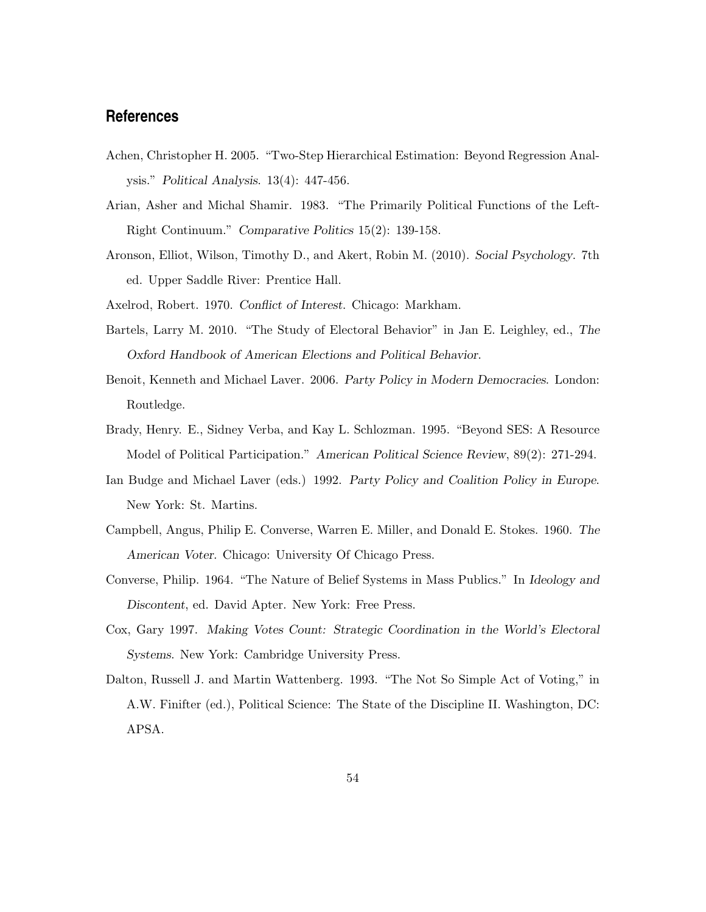## **References**

- Achen, Christopher H. 2005. "Two-Step Hierarchical Estimation: Beyond Regression Analysis." Political Analysis. 13(4): 447-456.
- Arian, Asher and Michal Shamir. 1983. "The Primarily Political Functions of the Left-Right Continuum." Comparative Politics 15(2): 139-158.
- Aronson, Elliot, Wilson, Timothy D., and Akert, Robin M. (2010). Social Psychology. 7th ed. Upper Saddle River: Prentice Hall.
- Axelrod, Robert. 1970. Conflict of Interest. Chicago: Markham.
- Bartels, Larry M. 2010. "The Study of Electoral Behavior" in Jan E. Leighley, ed., The Oxford Handbook of American Elections and Political Behavior.
- Benoit, Kenneth and Michael Laver. 2006. Party Policy in Modern Democracies. London: Routledge.
- Brady, Henry. E., Sidney Verba, and Kay L. Schlozman. 1995. "Beyond SES: A Resource Model of Political Participation." American Political Science Review, 89(2): 271-294.
- Ian Budge and Michael Laver (eds.) 1992. Party Policy and Coalition Policy in Europe. New York: St. Martins.
- Campbell, Angus, Philip E. Converse, Warren E. Miller, and Donald E. Stokes. 1960. The American Voter. Chicago: University Of Chicago Press.
- Converse, Philip. 1964. "The Nature of Belief Systems in Mass Publics." In Ideology and Discontent, ed. David Apter. New York: Free Press.
- Cox, Gary 1997. Making Votes Count: Strategic Coordination in the World's Electoral Systems. New York: Cambridge University Press.
- Dalton, Russell J. and Martin Wattenberg. 1993. "The Not So Simple Act of Voting," in A.W. Finifter (ed.), Political Science: The State of the Discipline II. Washington, DC: APSA.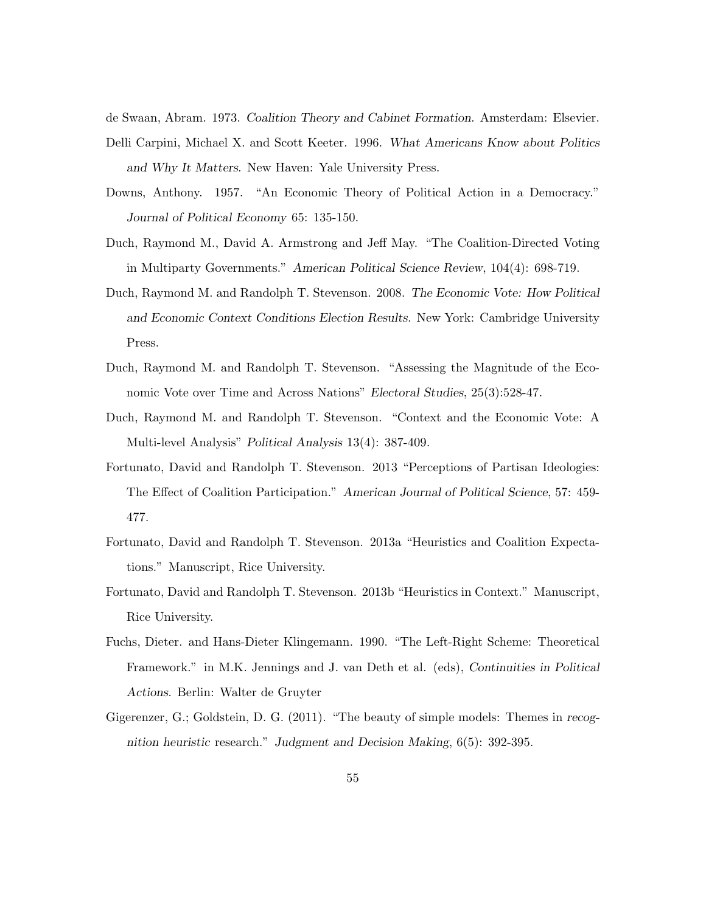de Swaan, Abram. 1973. Coalition Theory and Cabinet Formation. Amsterdam: Elsevier. Delli Carpini, Michael X. and Scott Keeter. 1996. What Americans Know about Politics and Why It Matters. New Haven: Yale University Press.

- Downs, Anthony. 1957. "An Economic Theory of Political Action in a Democracy." Journal of Political Economy 65: 135-150.
- Duch, Raymond M., David A. Armstrong and Jeff May. "The Coalition-Directed Voting in Multiparty Governments." American Political Science Review, 104(4): 698-719.
- Duch, Raymond M. and Randolph T. Stevenson. 2008. The Economic Vote: How Political and Economic Context Conditions Election Results. New York: Cambridge University Press.
- Duch, Raymond M. and Randolph T. Stevenson. "Assessing the Magnitude of the Economic Vote over Time and Across Nations" Electoral Studies, 25(3):528-47.
- Duch, Raymond M. and Randolph T. Stevenson. "Context and the Economic Vote: A Multi-level Analysis" Political Analysis 13(4): 387-409.
- Fortunato, David and Randolph T. Stevenson. 2013 "Perceptions of Partisan Ideologies: The Effect of Coalition Participation." American Journal of Political Science, 57: 459- 477.
- Fortunato, David and Randolph T. Stevenson. 2013a "Heuristics and Coalition Expectations." Manuscript, Rice University.
- Fortunato, David and Randolph T. Stevenson. 2013b "Heuristics in Context." Manuscript, Rice University.
- Fuchs, Dieter. and Hans-Dieter Klingemann. 1990. "The Left-Right Scheme: Theoretical Framework." in M.K. Jennings and J. van Deth et al. (eds), Continuities in Political Actions. Berlin: Walter de Gruyter
- Gigerenzer, G.; Goldstein, D. G. (2011). "The beauty of simple models: Themes in recognition heuristic research." Judgment and Decision Making, 6(5): 392-395.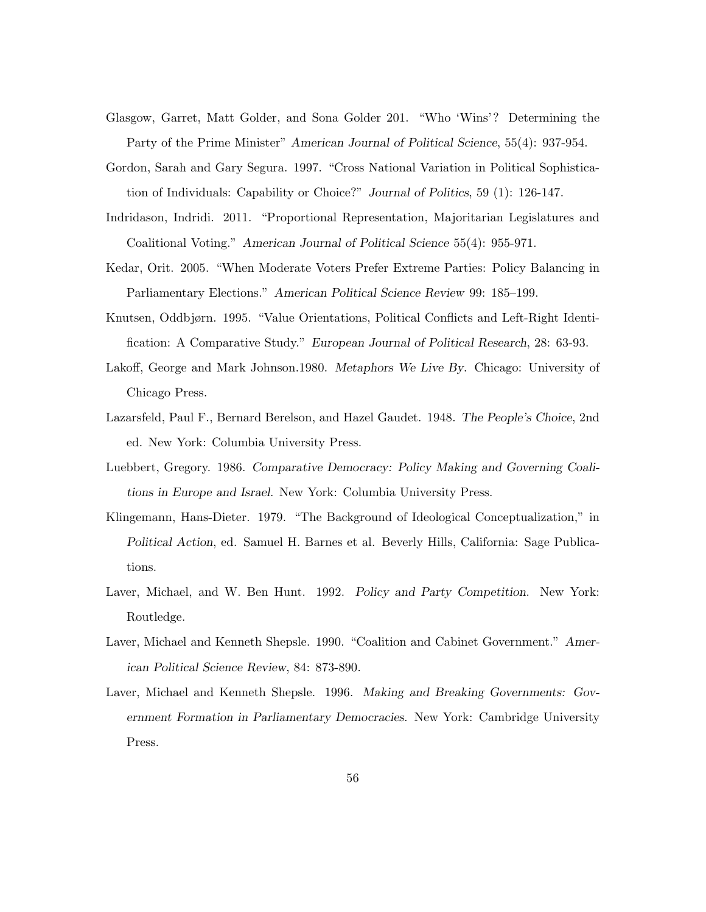- Glasgow, Garret, Matt Golder, and Sona Golder 201. "Who 'Wins'? Determining the Party of the Prime Minister" American Journal of Political Science, 55(4): 937-954.
- Gordon, Sarah and Gary Segura. 1997. "Cross National Variation in Political Sophistication of Individuals: Capability or Choice?" Journal of Politics, 59 (1): 126-147.
- Indridason, Indridi. 2011. "Proportional Representation, Majoritarian Legislatures and Coalitional Voting." American Journal of Political Science 55(4): 955-971.
- Kedar, Orit. 2005. "When Moderate Voters Prefer Extreme Parties: Policy Balancing in Parliamentary Elections." American Political Science Review 99: 185–199.
- Knutsen, Oddbjørn. 1995. "Value Orientations, Political Conflicts and Left-Right Identification: A Comparative Study." European Journal of Political Research, 28: 63-93.
- Lakoff, George and Mark Johnson.1980. Metaphors We Live By. Chicago: University of Chicago Press.
- Lazarsfeld, Paul F., Bernard Berelson, and Hazel Gaudet. 1948. The People's Choice, 2nd ed. New York: Columbia University Press.
- Luebbert, Gregory. 1986. Comparative Democracy: Policy Making and Governing Coalitions in Europe and Israel. New York: Columbia University Press.
- Klingemann, Hans-Dieter. 1979. "The Background of Ideological Conceptualization," in Political Action, ed. Samuel H. Barnes et al. Beverly Hills, California: Sage Publications.
- Laver, Michael, and W. Ben Hunt. 1992. Policy and Party Competition. New York: Routledge.
- Laver, Michael and Kenneth Shepsle. 1990. "Coalition and Cabinet Government." American Political Science Review, 84: 873-890.
- Laver, Michael and Kenneth Shepsle. 1996. Making and Breaking Governments: Government Formation in Parliamentary Democracies. New York: Cambridge University Press.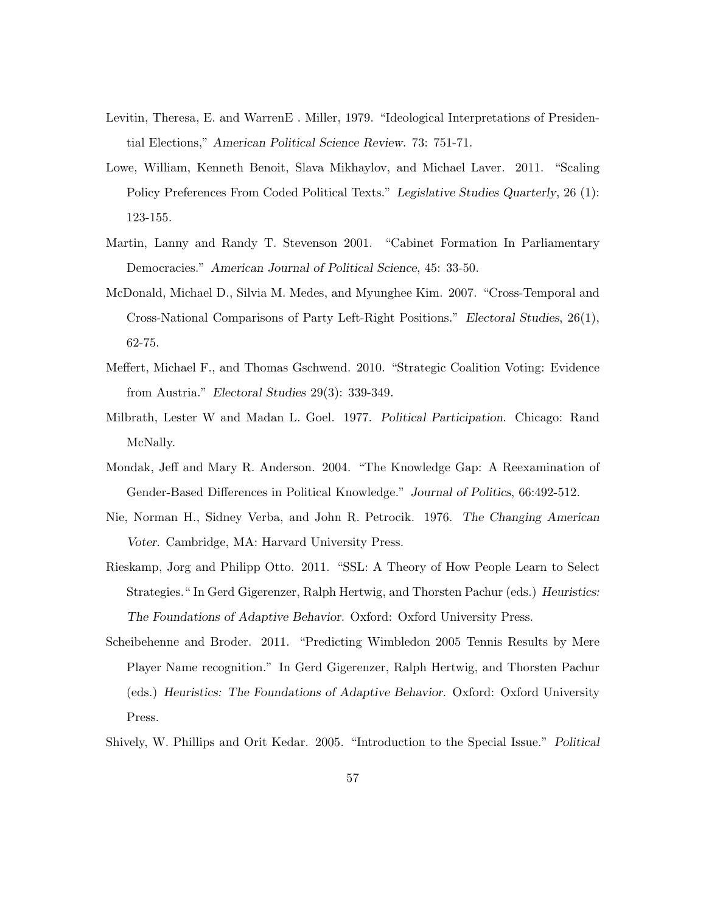- Levitin, Theresa, E. and WarrenE . Miller, 1979. "Ideological Interpretations of Presidential Elections," American Political Science Review. 73: 751-71.
- Lowe, William, Kenneth Benoit, Slava Mikhaylov, and Michael Laver. 2011. "Scaling Policy Preferences From Coded Political Texts." Legislative Studies Quarterly, 26 (1): 123-155.
- Martin, Lanny and Randy T. Stevenson 2001. "Cabinet Formation In Parliamentary Democracies." American Journal of Political Science, 45: 33-50.
- McDonald, Michael D., Silvia M. Medes, and Myunghee Kim. 2007. "Cross-Temporal and Cross-National Comparisons of Party Left-Right Positions." Electoral Studies, 26(1), 62-75.
- Meffert, Michael F., and Thomas Gschwend. 2010. "Strategic Coalition Voting: Evidence from Austria." Electoral Studies 29(3): 339-349.
- Milbrath, Lester W and Madan L. Goel. 1977. Political Participation. Chicago: Rand McNally.
- Mondak, Jeff and Mary R. Anderson. 2004. "The Knowledge Gap: A Reexamination of Gender-Based Differences in Political Knowledge." Journal of Politics, 66:492-512.
- Nie, Norman H., Sidney Verba, and John R. Petrocik. 1976. The Changing American Voter. Cambridge, MA: Harvard University Press.
- Rieskamp, Jorg and Philipp Otto. 2011. "SSL: A Theory of How People Learn to Select Strategies." In Gerd Gigerenzer, Ralph Hertwig, and Thorsten Pachur (eds.) Heuristics: The Foundations of Adaptive Behavior. Oxford: Oxford University Press.
- Scheibehenne and Broder. 2011. "Predicting Wimbledon 2005 Tennis Results by Mere Player Name recognition." In Gerd Gigerenzer, Ralph Hertwig, and Thorsten Pachur (eds.) Heuristics: The Foundations of Adaptive Behavior. Oxford: Oxford University Press.
- Shively, W. Phillips and Orit Kedar. 2005. "Introduction to the Special Issue." Political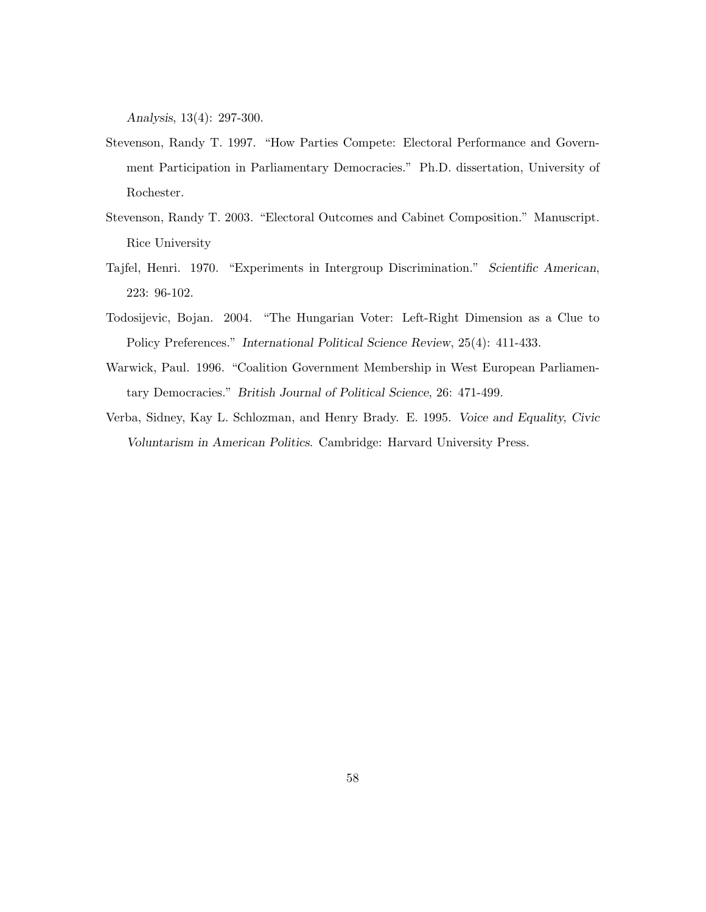Analysis, 13(4): 297-300.

- Stevenson, Randy T. 1997. "How Parties Compete: Electoral Performance and Government Participation in Parliamentary Democracies." Ph.D. dissertation, University of Rochester.
- Stevenson, Randy T. 2003. "Electoral Outcomes and Cabinet Composition." Manuscript. Rice University
- Tajfel, Henri. 1970. "Experiments in Intergroup Discrimination." Scientific American, 223: 96-102.
- Todosijevic, Bojan. 2004. "The Hungarian Voter: Left-Right Dimension as a Clue to Policy Preferences." International Political Science Review, 25(4): 411-433.
- Warwick, Paul. 1996. "Coalition Government Membership in West European Parliamentary Democracies." British Journal of Political Science, 26: 471-499.
- Verba, Sidney, Kay L. Schlozman, and Henry Brady. E. 1995. Voice and Equality, Civic Voluntarism in American Politics. Cambridge: Harvard University Press.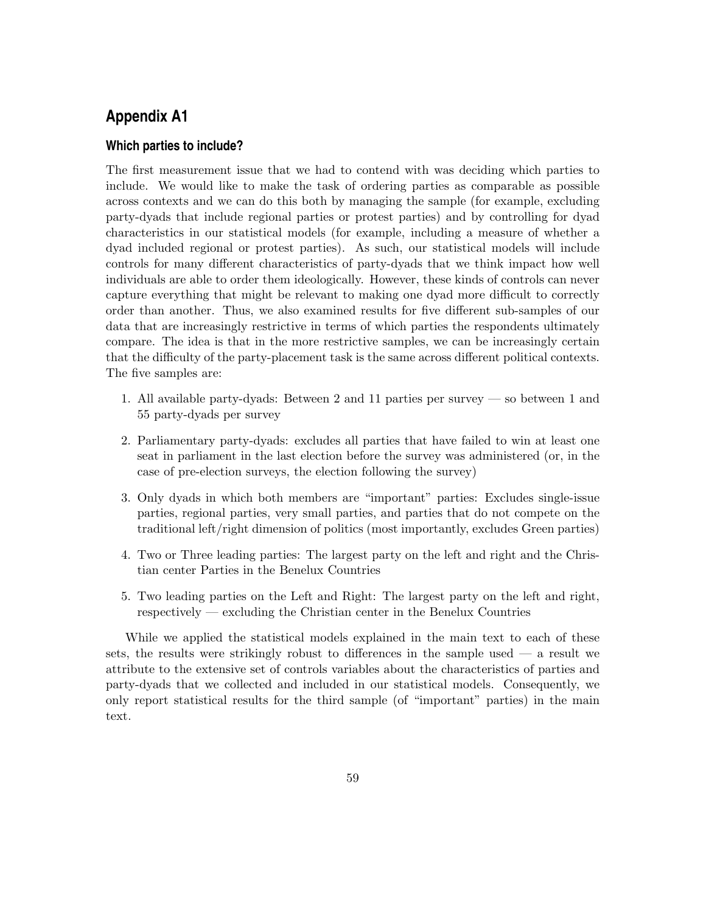# **Appendix A1**

### **Which parties to include?**

The first measurement issue that we had to contend with was deciding which parties to include. We would like to make the task of ordering parties as comparable as possible across contexts and we can do this both by managing the sample (for example, excluding party-dyads that include regional parties or protest parties) and by controlling for dyad characteristics in our statistical models (for example, including a measure of whether a dyad included regional or protest parties). As such, our statistical models will include controls for many different characteristics of party-dyads that we think impact how well individuals are able to order them ideologically. However, these kinds of controls can never capture everything that might be relevant to making one dyad more difficult to correctly order than another. Thus, we also examined results for five different sub-samples of our data that are increasingly restrictive in terms of which parties the respondents ultimately compare. The idea is that in the more restrictive samples, we can be increasingly certain that the difficulty of the party-placement task is the same across different political contexts. The five samples are:

- 1. All available party-dyads: Between 2 and 11 parties per survey so between 1 and 55 party-dyads per survey
- 2. Parliamentary party-dyads: excludes all parties that have failed to win at least one seat in parliament in the last election before the survey was administered (or, in the case of pre-election surveys, the election following the survey)
- 3. Only dyads in which both members are "important" parties: Excludes single-issue parties, regional parties, very small parties, and parties that do not compete on the traditional left/right dimension of politics (most importantly, excludes Green parties)
- 4. Two or Three leading parties: The largest party on the left and right and the Christian center Parties in the Benelux Countries
- 5. Two leading parties on the Left and Right: The largest party on the left and right, respectively — excluding the Christian center in the Benelux Countries

While we applied the statistical models explained in the main text to each of these sets, the results were strikingly robust to differences in the sample used  $-$  a result we attribute to the extensive set of controls variables about the characteristics of parties and party-dyads that we collected and included in our statistical models. Consequently, we only report statistical results for the third sample (of "important" parties) in the main text.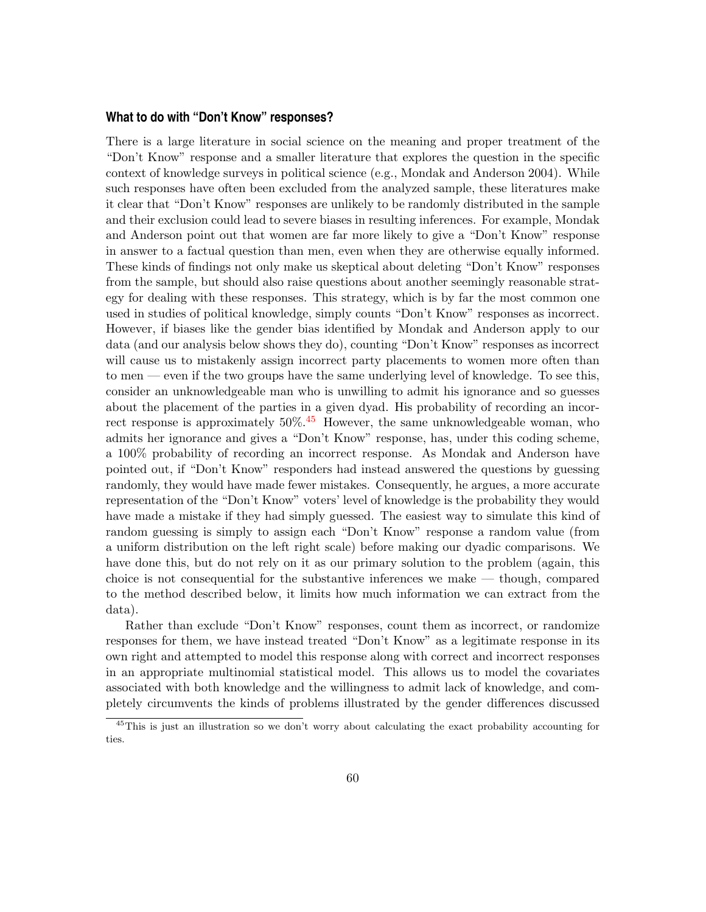#### **What to do with "Don't Know" responses?**

There is a large literature in social science on the meaning and proper treatment of the "Don't Know" response and a smaller literature that explores the question in the specific context of knowledge surveys in political science (e.g., Mondak and Anderson 2004). While such responses have often been excluded from the analyzed sample, these literatures make it clear that "Don't Know" responses are unlikely to be randomly distributed in the sample and their exclusion could lead to severe biases in resulting inferences. For example, Mondak and Anderson point out that women are far more likely to give a "Don't Know" response in answer to a factual question than men, even when they are otherwise equally informed. These kinds of findings not only make us skeptical about deleting "Don't Know" responses from the sample, but should also raise questions about another seemingly reasonable strategy for dealing with these responses. This strategy, which is by far the most common one used in studies of political knowledge, simply counts "Don't Know" responses as incorrect. However, if biases like the gender bias identified by Mondak and Anderson apply to our data (and our analysis below shows they do), counting "Don't Know" responses as incorrect will cause us to mistakenly assign incorrect party placements to women more often than to men — even if the two groups have the same underlying level of knowledge. To see this, consider an unknowledgeable man who is unwilling to admit his ignorance and so guesses about the placement of the parties in a given dyad. His probability of recording an incorrect response is approximately  $50\%$ .<sup>[45](#page-59-0)</sup> However, the same unknowledgeable woman, who admits her ignorance and gives a "Don't Know" response, has, under this coding scheme, a 100% probability of recording an incorrect response. As Mondak and Anderson have pointed out, if "Don't Know" responders had instead answered the questions by guessing randomly, they would have made fewer mistakes. Consequently, he argues, a more accurate representation of the "Don't Know" voters' level of knowledge is the probability they would have made a mistake if they had simply guessed. The easiest way to simulate this kind of random guessing is simply to assign each "Don't Know" response a random value (from a uniform distribution on the left right scale) before making our dyadic comparisons. We have done this, but do not rely on it as our primary solution to the problem (again, this choice is not consequential for the substantive inferences we make — though, compared to the method described below, it limits how much information we can extract from the data).

Rather than exclude "Don't Know" responses, count them as incorrect, or randomize responses for them, we have instead treated "Don't Know" as a legitimate response in its own right and attempted to model this response along with correct and incorrect responses in an appropriate multinomial statistical model. This allows us to model the covariates associated with both knowledge and the willingness to admit lack of knowledge, and completely circumvents the kinds of problems illustrated by the gender differences discussed

<span id="page-59-0"></span><sup>45</sup>This is just an illustration so we don't worry about calculating the exact probability accounting for ties.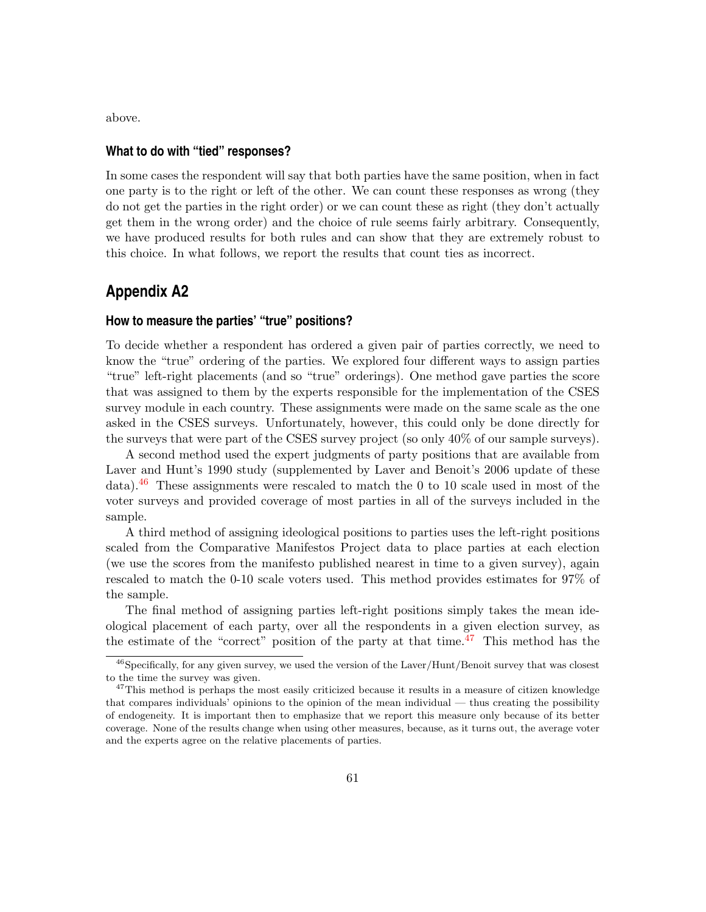above.

#### **What to do with "tied" responses?**

In some cases the respondent will say that both parties have the same position, when in fact one party is to the right or left of the other. We can count these responses as wrong (they do not get the parties in the right order) or we can count these as right (they don't actually get them in the wrong order) and the choice of rule seems fairly arbitrary. Consequently, we have produced results for both rules and can show that they are extremely robust to this choice. In what follows, we report the results that count ties as incorrect.

## **Appendix A2**

#### **How to measure the parties' "true" positions?**

To decide whether a respondent has ordered a given pair of parties correctly, we need to know the "true" ordering of the parties. We explored four different ways to assign parties "true" left-right placements (and so "true" orderings). One method gave parties the score that was assigned to them by the experts responsible for the implementation of the CSES survey module in each country. These assignments were made on the same scale as the one asked in the CSES surveys. Unfortunately, however, this could only be done directly for the surveys that were part of the CSES survey project (so only 40% of our sample surveys).

A second method used the expert judgments of party positions that are available from Laver and Hunt's 1990 study (supplemented by Laver and Benoit's 2006 update of these data).<sup>[46](#page-60-0)</sup> These assignments were rescaled to match the 0 to 10 scale used in most of the voter surveys and provided coverage of most parties in all of the surveys included in the sample.

A third method of assigning ideological positions to parties uses the left-right positions scaled from the Comparative Manifestos Project data to place parties at each election (we use the scores from the manifesto published nearest in time to a given survey), again rescaled to match the 0-10 scale voters used. This method provides estimates for 97% of the sample.

The final method of assigning parties left-right positions simply takes the mean ideological placement of each party, over all the respondents in a given election survey, as the estimate of the "correct" position of the party at that time.<sup>[47](#page-60-1)</sup> This method has the

<span id="page-60-0"></span> $^{46}$ Specifically, for any given survey, we used the version of the Laver/Hunt/Benoit survey that was closest to the time the survey was given.

<span id="page-60-1"></span><sup>&</sup>lt;sup>47</sup>This method is perhaps the most easily criticized because it results in a measure of citizen knowledge that compares individuals' opinions to the opinion of the mean individual — thus creating the possibility of endogeneity. It is important then to emphasize that we report this measure only because of its better coverage. None of the results change when using other measures, because, as it turns out, the average voter and the experts agree on the relative placements of parties.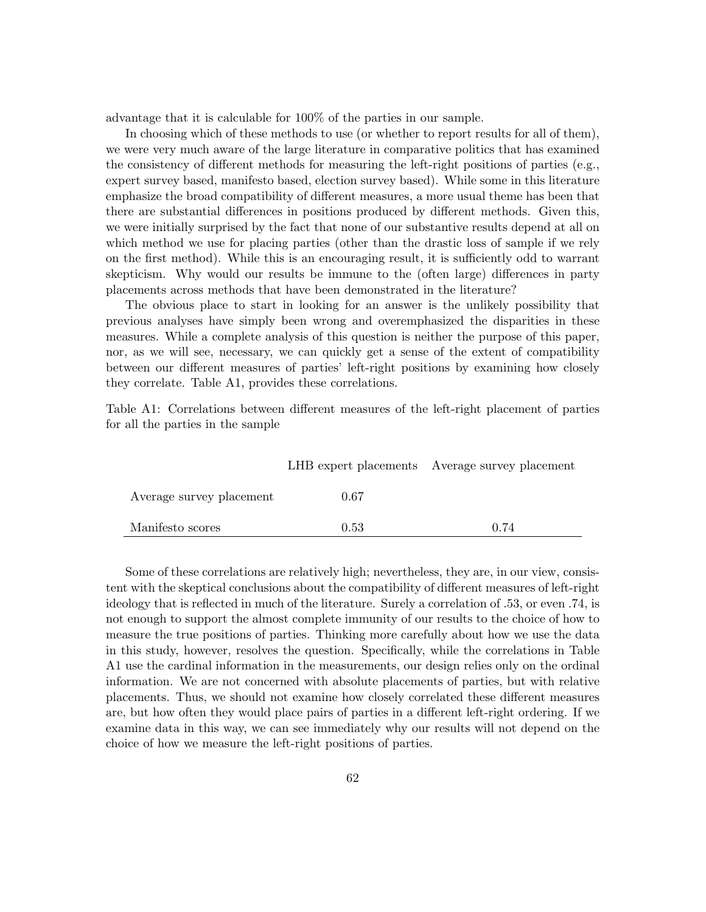advantage that it is calculable for 100% of the parties in our sample.

In choosing which of these methods to use (or whether to report results for all of them), we were very much aware of the large literature in comparative politics that has examined the consistency of different methods for measuring the left-right positions of parties (e.g., expert survey based, manifesto based, election survey based). While some in this literature emphasize the broad compatibility of different measures, a more usual theme has been that there are substantial differences in positions produced by different methods. Given this, we were initially surprised by the fact that none of our substantive results depend at all on which method we use for placing parties (other than the drastic loss of sample if we rely on the first method). While this is an encouraging result, it is sufficiently odd to warrant skepticism. Why would our results be immune to the (often large) differences in party placements across methods that have been demonstrated in the literature?

The obvious place to start in looking for an answer is the unlikely possibility that previous analyses have simply been wrong and overemphasized the disparities in these measures. While a complete analysis of this question is neither the purpose of this paper, nor, as we will see, necessary, we can quickly get a sense of the extent of compatibility between our different measures of parties' left-right positions by examining how closely they correlate. Table A1, provides these correlations.

Table A1: Correlations between different measures of the left-right placement of parties for all the parties in the sample

|                          |      | LHB expert placements Average survey placement |
|--------------------------|------|------------------------------------------------|
| Average survey placement | 0.67 |                                                |
| Manifesto scores         | 0.53 | O 74                                           |

Some of these correlations are relatively high; nevertheless, they are, in our view, consistent with the skeptical conclusions about the compatibility of different measures of left-right ideology that is reflected in much of the literature. Surely a correlation of .53, or even .74, is not enough to support the almost complete immunity of our results to the choice of how to measure the true positions of parties. Thinking more carefully about how we use the data in this study, however, resolves the question. Specifically, while the correlations in Table A1 use the cardinal information in the measurements, our design relies only on the ordinal information. We are not concerned with absolute placements of parties, but with relative placements. Thus, we should not examine how closely correlated these different measures are, but how often they would place pairs of parties in a different left-right ordering. If we examine data in this way, we can see immediately why our results will not depend on the choice of how we measure the left-right positions of parties.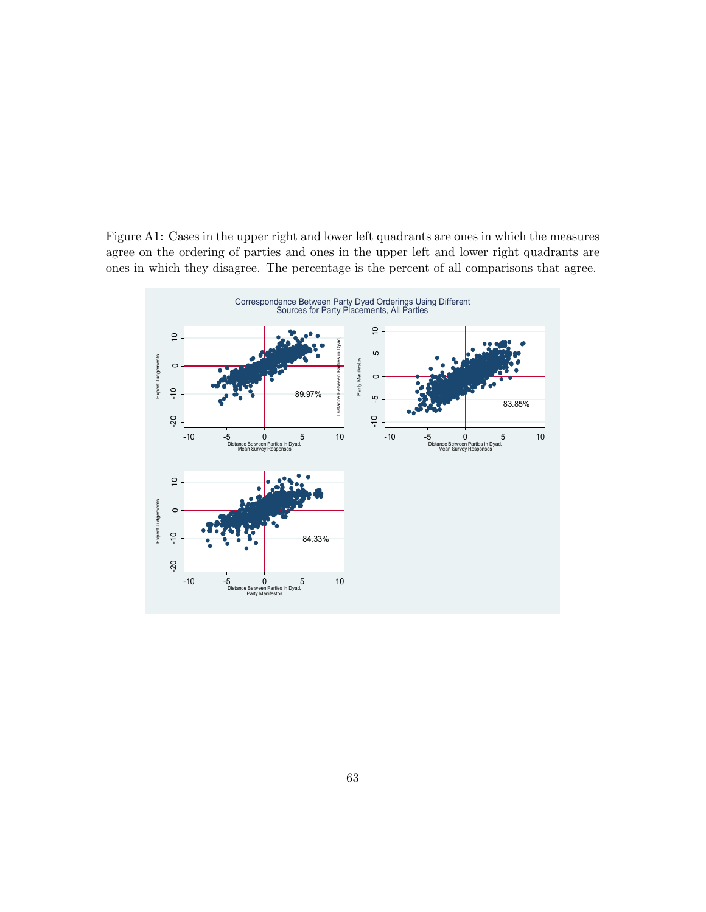Figure A1: Cases in the upper right and lower left quadrants are ones in which the measures agree on the ordering of parties and ones in the upper left and lower right quadrants are ones in which they disagree. The percentage is the percent of all comparisons that agree.

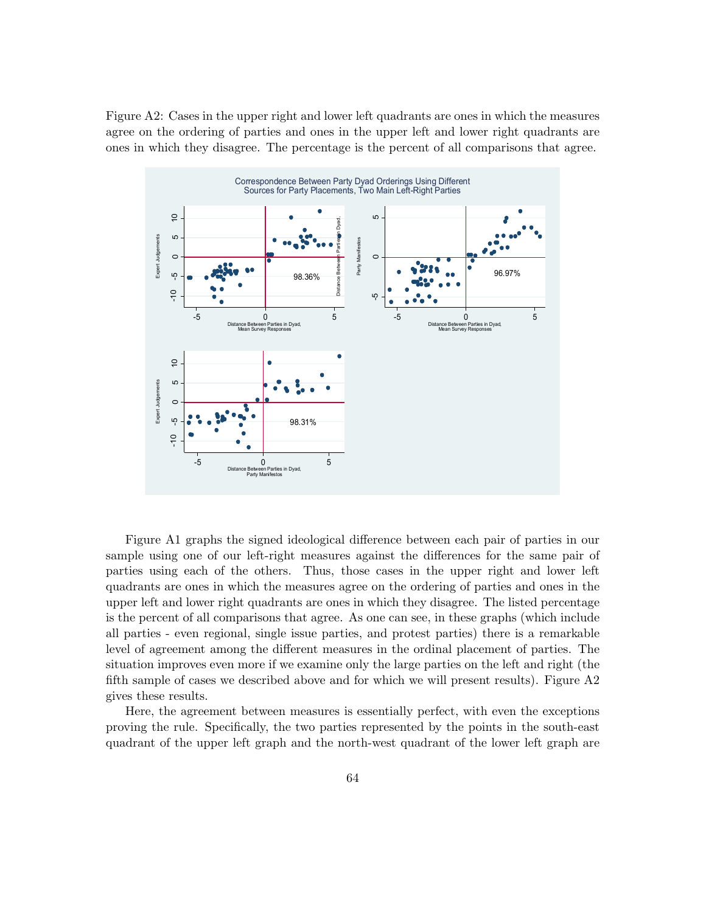Figure A2: Cases in the upper right and lower left quadrants are ones in which the measures agree on the ordering of parties and ones in the upper left and lower right quadrants are ones in which they disagree. The percentage is the percent of all comparisons that agree.



Figure A1 graphs the signed ideological difference between each pair of parties in our sample using one of our left-right measures against the differences for the same pair of parties using each of the others. Thus, those cases in the upper right and lower left quadrants are ones in which the measures agree on the ordering of parties and ones in the upper left and lower right quadrants are ones in which they disagree. The listed percentage is the percent of all comparisons that agree. As one can see, in these graphs (which include all parties - even regional, single issue parties, and protest parties) there is a remarkable level of agreement among the different measures in the ordinal placement of parties. The situation improves even more if we examine only the large parties on the left and right (the fifth sample of cases we described above and for which we will present results). Figure A2 gives these results.

Here, the agreement between measures is essentially perfect, with even the exceptions proving the rule. Specifically, the two parties represented by the points in the south-east quadrant of the upper left graph and the north-west quadrant of the lower left graph are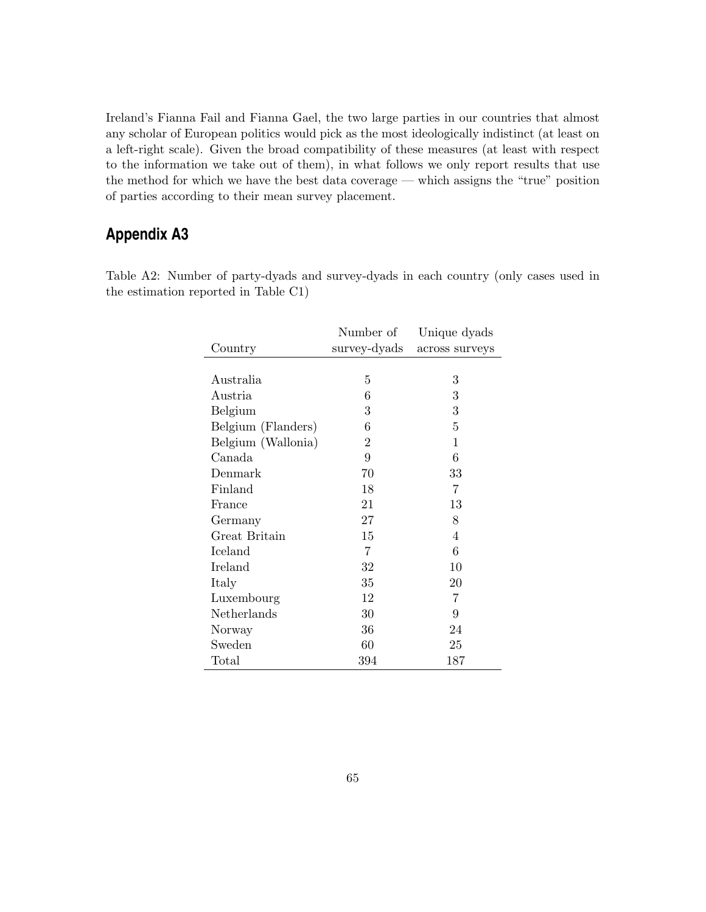Ireland's Fianna Fail and Fianna Gael, the two large parties in our countries that almost any scholar of European politics would pick as the most ideologically indistinct (at least on a left-right scale). Given the broad compatibility of these measures (at least with respect to the information we take out of them), in what follows we only report results that use the method for which we have the best data coverage — which assigns the "true" position of parties according to their mean survey placement.

# **Appendix A3**

Table A2: Number of party-dyads and survey-dyads in each country (only cases used in the estimation reported in Table C1)

|                    | Number of      | Unique dyads   |
|--------------------|----------------|----------------|
| Country            | survey-dyads   | across surveys |
|                    |                |                |
| Australia          | 5              | 3              |
| Austria            | 6              | 3              |
| Belgium            | 3              | 3              |
| Belgium (Flanders) | 6              | 5              |
| Belgium (Wallonia) | $\overline{2}$ | 1              |
| Canada             | 9              | 6              |
| Denmark            | 70             | 33             |
| Finland            | 18             | 7              |
| France             | 21             | 13             |
| Germany            | 27             | 8              |
| Great Britain      | 15             | $\overline{4}$ |
| Iceland            | $\overline{7}$ | 6              |
| Ireland            | 32             | 10             |
| Italy              | 35             | 20             |
| Luxembourg         | 12             | $\overline{7}$ |
| Netherlands        | 30             | 9              |
| Norway             | 36             | 24             |
| Sweden             | 60             | 25             |
| Total              | 394            | 187            |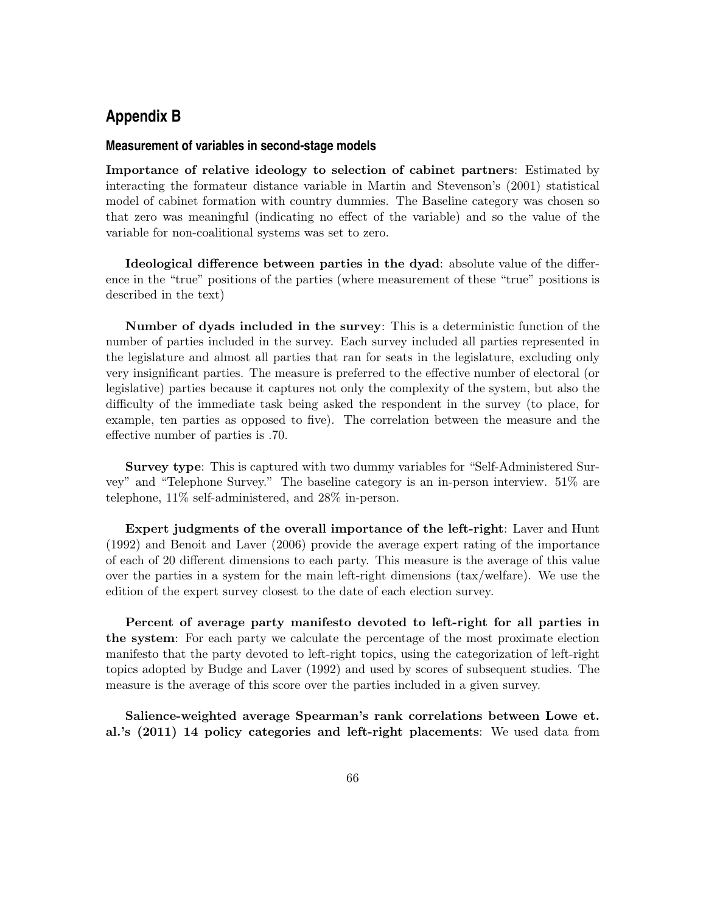# **Appendix B**

#### **Measurement of variables in second-stage models**

Importance of relative ideology to selection of cabinet partners: Estimated by interacting the formateur distance variable in Martin and Stevenson's (2001) statistical model of cabinet formation with country dummies. The Baseline category was chosen so that zero was meaningful (indicating no effect of the variable) and so the value of the variable for non-coalitional systems was set to zero.

Ideological difference between parties in the dyad: absolute value of the difference in the "true" positions of the parties (where measurement of these "true" positions is described in the text)

Number of dyads included in the survey: This is a deterministic function of the number of parties included in the survey. Each survey included all parties represented in the legislature and almost all parties that ran for seats in the legislature, excluding only very insignificant parties. The measure is preferred to the effective number of electoral (or legislative) parties because it captures not only the complexity of the system, but also the difficulty of the immediate task being asked the respondent in the survey (to place, for example, ten parties as opposed to five). The correlation between the measure and the effective number of parties is .70.

Survey type: This is captured with two dummy variables for "Self-Administered Survey" and "Telephone Survey." The baseline category is an in-person interview. 51% are telephone, 11% self-administered, and 28% in-person.

Expert judgments of the overall importance of the left-right: Laver and Hunt (1992) and Benoit and Laver (2006) provide the average expert rating of the importance of each of 20 different dimensions to each party. This measure is the average of this value over the parties in a system for the main left-right dimensions (tax/welfare). We use the edition of the expert survey closest to the date of each election survey.

Percent of average party manifesto devoted to left-right for all parties in the system: For each party we calculate the percentage of the most proximate election manifesto that the party devoted to left-right topics, using the categorization of left-right topics adopted by Budge and Laver (1992) and used by scores of subsequent studies. The measure is the average of this score over the parties included in a given survey.

Salience-weighted average Spearman's rank correlations between Lowe et. al.'s (2011) 14 policy categories and left-right placements: We used data from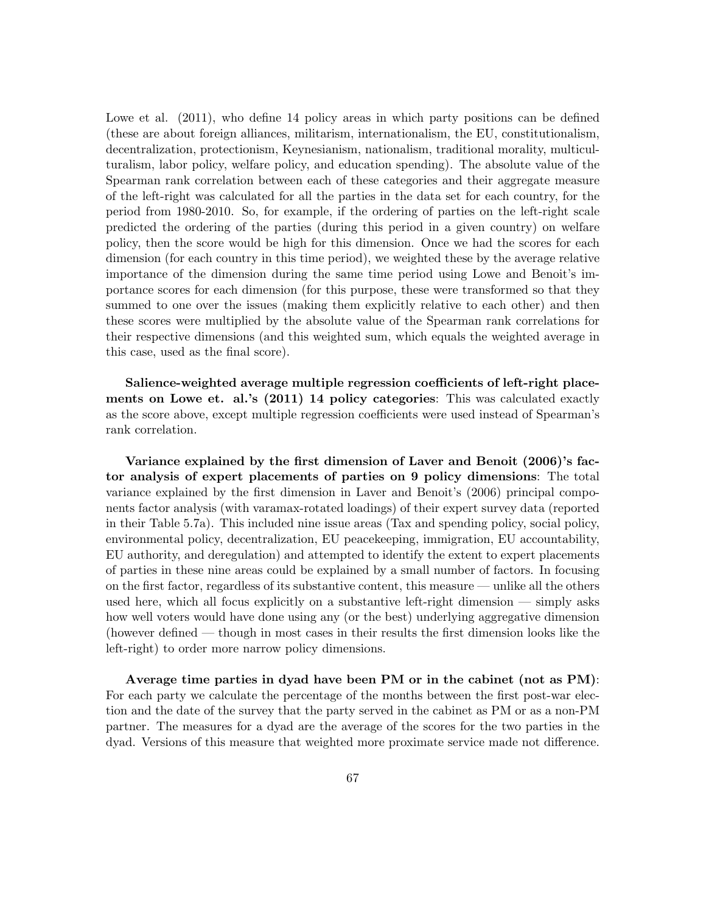Lowe et al.  $(2011)$ , who define 14 policy areas in which party positions can be defined (these are about foreign alliances, militarism, internationalism, the EU, constitutionalism, decentralization, protectionism, Keynesianism, nationalism, traditional morality, multiculturalism, labor policy, welfare policy, and education spending). The absolute value of the Spearman rank correlation between each of these categories and their aggregate measure of the left-right was calculated for all the parties in the data set for each country, for the period from 1980-2010. So, for example, if the ordering of parties on the left-right scale predicted the ordering of the parties (during this period in a given country) on welfare policy, then the score would be high for this dimension. Once we had the scores for each dimension (for each country in this time period), we weighted these by the average relative importance of the dimension during the same time period using Lowe and Benoit's importance scores for each dimension (for this purpose, these were transformed so that they summed to one over the issues (making them explicitly relative to each other) and then these scores were multiplied by the absolute value of the Spearman rank correlations for their respective dimensions (and this weighted sum, which equals the weighted average in this case, used as the final score).

Salience-weighted average multiple regression coefficients of left-right placements on Lowe et. al.'s (2011) 14 policy categories: This was calculated exactly as the score above, except multiple regression coefficients were used instead of Spearman's rank correlation.

Variance explained by the first dimension of Laver and Benoit (2006)'s factor analysis of expert placements of parties on 9 policy dimensions: The total variance explained by the first dimension in Laver and Benoit's (2006) principal components factor analysis (with varamax-rotated loadings) of their expert survey data (reported in their Table 5.7a). This included nine issue areas (Tax and spending policy, social policy, environmental policy, decentralization, EU peacekeeping, immigration, EU accountability, EU authority, and deregulation) and attempted to identify the extent to expert placements of parties in these nine areas could be explained by a small number of factors. In focusing on the first factor, regardless of its substantive content, this measure — unlike all the others used here, which all focus explicitly on a substantive left-right dimension — simply asks how well voters would have done using any (or the best) underlying aggregative dimension (however defined — though in most cases in their results the first dimension looks like the left-right) to order more narrow policy dimensions.

Average time parties in dyad have been PM or in the cabinet (not as PM): For each party we calculate the percentage of the months between the first post-war election and the date of the survey that the party served in the cabinet as PM or as a non-PM partner. The measures for a dyad are the average of the scores for the two parties in the dyad. Versions of this measure that weighted more proximate service made not difference.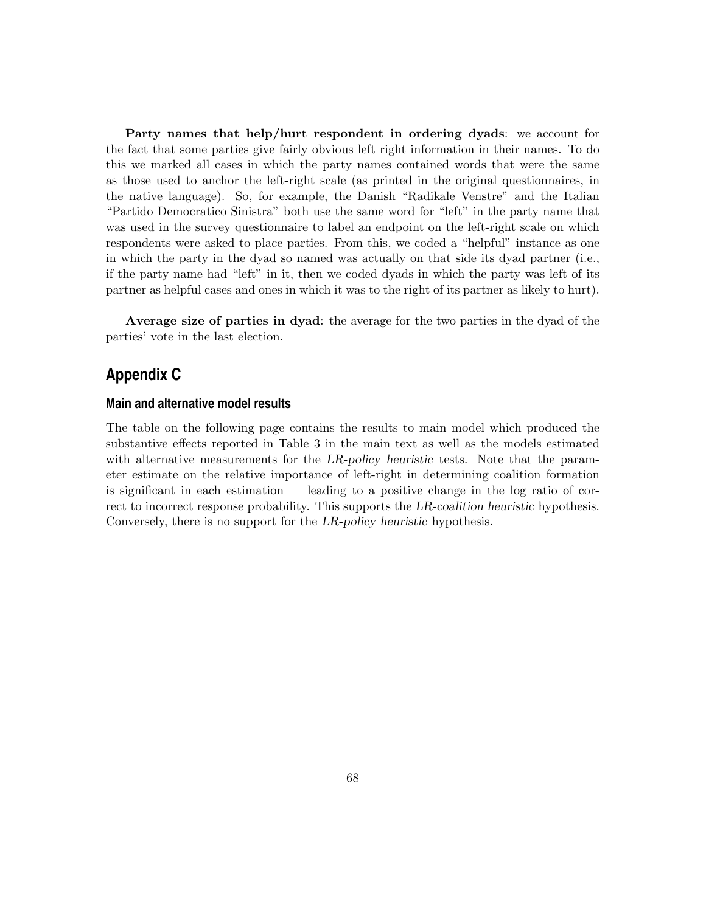Party names that help/hurt respondent in ordering dyads: we account for the fact that some parties give fairly obvious left right information in their names. To do this we marked all cases in which the party names contained words that were the same as those used to anchor the left-right scale (as printed in the original questionnaires, in the native language). So, for example, the Danish "Radikale Venstre" and the Italian "Partido Democratico Sinistra" both use the same word for "left" in the party name that was used in the survey questionnaire to label an endpoint on the left-right scale on which respondents were asked to place parties. From this, we coded a "helpful" instance as one in which the party in the dyad so named was actually on that side its dyad partner (i.e., if the party name had "left" in it, then we coded dyads in which the party was left of its partner as helpful cases and ones in which it was to the right of its partner as likely to hurt).

Average size of parties in dyad: the average for the two parties in the dyad of the parties' vote in the last election.

# **Appendix C**

#### **Main and alternative model results**

The table on the following page contains the results to main model which produced the substantive effects reported in Table 3 in the main text as well as the models estimated with alternative measurements for the LR-policy heuristic tests. Note that the parameter estimate on the relative importance of left-right in determining coalition formation is significant in each estimation — leading to a positive change in the log ratio of correct to incorrect response probability. This supports the LR-coalition heuristic hypothesis. Conversely, there is no support for the LR-policy heuristic hypothesis.